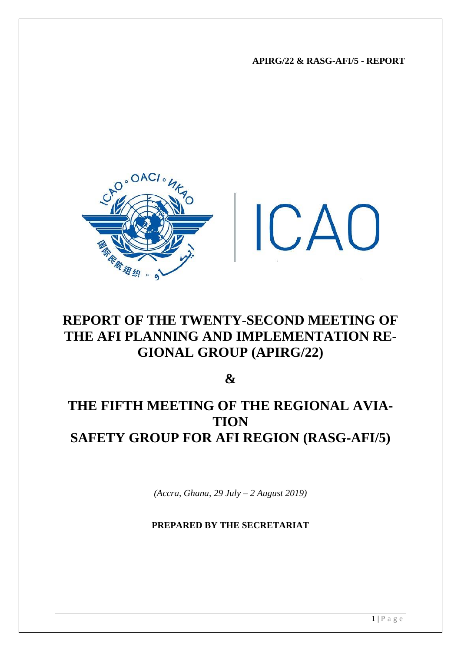**APIRG/22 & RASG-AFI/5 - REPORT**



# **REPORT OF THE TWENTY-SECOND MEETING OF THE AFI PLANNING AND IMPLEMENTATION RE-GIONAL GROUP (APIRG/22)**

**&**

# **THE FIFTH MEETING OF THE REGIONAL AVIA-TION SAFETY GROUP FOR AFI REGION (RASG-AFI/5)**

*(Accra, Ghana, 29 July – 2 August 2019)*

**PREPARED BY THE SECRETARIAT**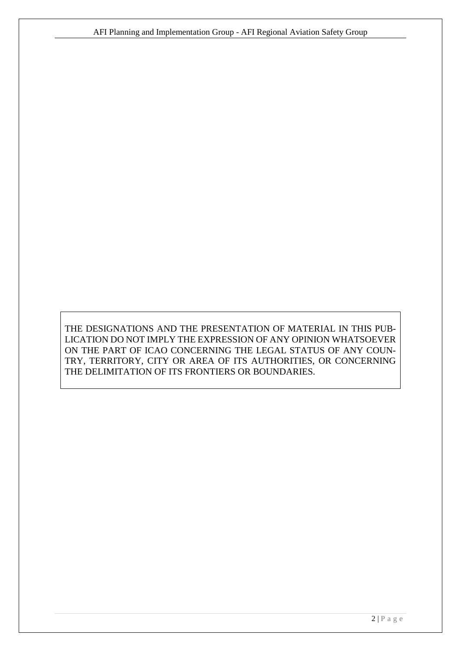THE DESIGNATIONS AND THE PRESENTATION OF MATERIAL IN THIS PUB-LICATION DO NOT IMPLY THE EXPRESSION OF ANY OPINION WHATSOEVER ON THE PART OF ICAO CONCERNING THE LEGAL STATUS OF ANY COUN-TRY, TERRITORY, CITY OR AREA OF ITS AUTHORITIES, OR CONCERNING THE DELIMITATION OF ITS FRONTIERS OR BOUNDARIES.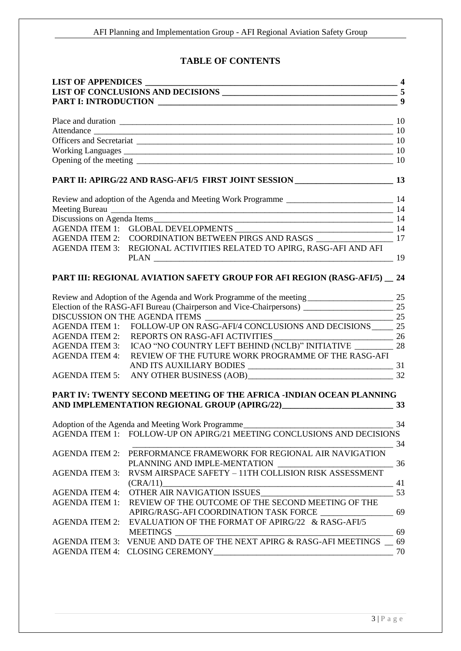# **TABLE OF CONTENTS**

| <b>LIST OF APPENDICES</b> |                                                                                                                                                                                                  |    |
|---------------------------|--------------------------------------------------------------------------------------------------------------------------------------------------------------------------------------------------|----|
|                           |                                                                                                                                                                                                  |    |
|                           |                                                                                                                                                                                                  |    |
|                           |                                                                                                                                                                                                  |    |
|                           |                                                                                                                                                                                                  |    |
|                           |                                                                                                                                                                                                  |    |
|                           |                                                                                                                                                                                                  |    |
|                           |                                                                                                                                                                                                  |    |
|                           |                                                                                                                                                                                                  |    |
|                           |                                                                                                                                                                                                  |    |
|                           |                                                                                                                                                                                                  |    |
|                           |                                                                                                                                                                                                  |    |
|                           |                                                                                                                                                                                                  |    |
|                           | $\begin{tabular}{ll} AGENDA ITEM 1: & GLOBAL DEVELOPMENTS \underline{\hspace{2cm}} & 14 \\ AGENDA ITEM 2: & COORDINATION BETWEEN PIRGS AND RASGS \underline{\hspace{2cm}} & 17 \\ \end{tabular}$ |    |
| <b>AGENDA ITEM 3:</b>     | REGIONAL ACTIVITIES RELATED TO APIRG, RASG-AFI AND AFI                                                                                                                                           |    |
|                           | PART III: REGIONAL AVIATION SAFETY GROUP FOR AFI REGION (RASG-AFI/5) _ 24                                                                                                                        |    |
|                           |                                                                                                                                                                                                  |    |
|                           |                                                                                                                                                                                                  |    |
|                           |                                                                                                                                                                                                  |    |
|                           |                                                                                                                                                                                                  |    |
|                           | AGENDA ITEM 2: REPORTS ON RASG-AFI ACTIVITIES                                                                                                                                                    |    |
| <b>AGENDA ITEM 3:</b>     | ICAO "NO COUNTRY LEFT BEHIND (NCLB)" INITIATIVE ___________ 28                                                                                                                                   |    |
| <b>AGENDA ITEM 4:</b>     | REVIEW OF THE FUTURE WORK PROGRAMME OF THE RASG-AFI                                                                                                                                              |    |
|                           |                                                                                                                                                                                                  |    |
|                           | AGENDA ITEM 5: ANY OTHER BUSINESS (AOB) 232                                                                                                                                                      |    |
|                           | PART IV: TWENTY SECOND MEETING OF THE AFRICA -INDIAN OCEAN PLANNING<br>AND IMPLEMENTATION REGIONAL GROUP (APIRG/22)<br>$\sim$ 33                                                                 |    |
|                           | Adoption of the Agenda and Meeting Work Programme                                                                                                                                                |    |
|                           | AGENDA ITEM 1: FOLLOW-UP ON APIRG/21 MEETING CONCLUSIONS AND DECISIONS                                                                                                                           |    |
|                           | $\sim$ 34<br>AGENDA ITEM 2: PERFORMANCE FRAMEWORK FOR REGIONAL AIR NAVIGATION                                                                                                                    |    |
|                           | PLANNING AND IMPLE-MENTATION<br>$\sim$ 36                                                                                                                                                        |    |
| <b>AGENDA ITEM 3:</b>     | RVSM AIRSPACE SAFETY - 11TH COLLISION RISK ASSESSMENT                                                                                                                                            |    |
|                           | $(CRA/11)$ 41                                                                                                                                                                                    |    |
| <b>AGENDA ITEM 4:</b>     | OTHER AIR NAVIGATION ISSUES                                                                                                                                                                      | 53 |
| <b>AGENDA ITEM 1:</b>     | REVIEW OF THE OUTCOME OF THE SECOND MEETING OF THE<br>APIRG/RASG-AFI COORDINATION TASK FORCE ________________                                                                                    | 69 |
|                           | AGENDA ITEM 2: EVALUATION OF THE FORMAT OF APIRG/22 & RASG-AFI/5<br><b>MEETINGS</b>                                                                                                              | 69 |
|                           | AGENDA ITEM 3: VENUE AND DATE OF THE NEXT APIRG & RASG-AFI MEETINGS _ 69                                                                                                                         |    |
|                           |                                                                                                                                                                                                  | 70 |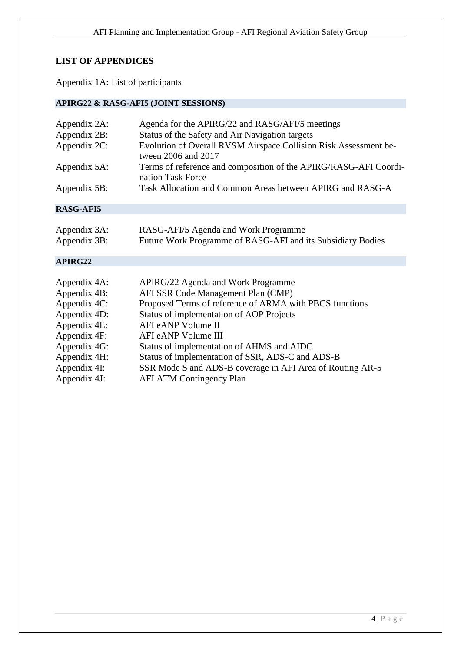# <span id="page-3-0"></span>**LIST OF APPENDICES**

Appendix 1A: List of participants

# **APIRG22 & RASG-AFI5 (JOINT SESSIONS)**

| Appendix 2A:     | Agenda for the APIRG/22 and RASG/AFI/5 meetings                                         |
|------------------|-----------------------------------------------------------------------------------------|
| Appendix 2B:     | Status of the Safety and Air Navigation targets                                         |
| Appendix 2C:     | Evolution of Overall RVSM Airspace Collision Risk Assessment be-<br>tween 2006 and 2017 |
| Appendix 5A:     | Terms of reference and composition of the APIRG/RASG-AFI Coordi-<br>nation Task Force   |
| Appendix 5B:     | Task Allocation and Common Areas between APIRG and RASG-A                               |
| <b>RASG-AFI5</b> |                                                                                         |
|                  |                                                                                         |
| Appendix 3A:     | RASG-AFI/5 Agenda and Work Programme                                                    |
| Appendix 3B:     | Future Work Programme of RASG-AFI and its Subsidiary Bodies                             |
|                  |                                                                                         |
| APIRG22          |                                                                                         |
|                  |                                                                                         |
| Appendix 4A:     | APIRG/22 Agenda and Work Programme                                                      |
| Appendix 4B:     | AFI SSR Code Management Plan (CMP)                                                      |
| Appendix 4C:     | Proposed Terms of reference of ARMA with PBCS functions                                 |
| Appendix 4D:     | Status of implementation of AOP Projects                                                |
| Appendix 4E:     | AFI eANP Volume II                                                                      |
| Appendix 4F:     | AFI eANP Volume III                                                                     |
| Appendix 4G:     | Status of implementation of AHMS and AIDC                                               |
| Appendix 4H:     | Status of implementation of SSR, ADS-C and ADS-B                                        |
| Appendix 4I:     | SSR Mode S and ADS-B coverage in AFI Area of Routing AR-5                               |
|                  |                                                                                         |

Appendix 4J: AFI ATM Contingency Plan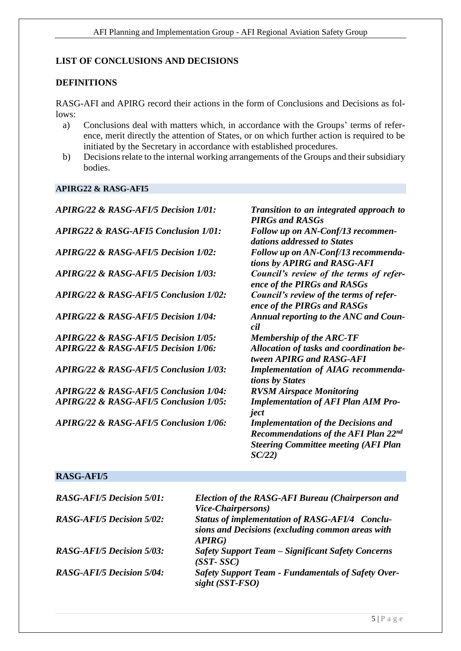# <span id="page-4-0"></span>**LIST OF CONCLUSIONS AND DECISIONS**

# **DEFINITIONS**

RASG-AFI and APIRG record their actions in the form of Conclusions and Decisions as follows:

- a) Conclusions deal with matters which, in accordance with the Groups' terms of reference, merit directly the attention of States, or on which further action is required to be initiated by the Secretary in accordance with established procedures.
- b) Decisions relate to the internal working arrangements of the Groups and their subsidiary bodies.

# **APIRG22 & RASG-AFI5**

| <b>APIRG/22 &amp; RASG-AFI/5 Decision 1/01:</b>   | Transition to an integrated approach to<br><b>PIRGs and RASGs</b>                                                                                 |
|---------------------------------------------------|---------------------------------------------------------------------------------------------------------------------------------------------------|
| <b>APIRG22 &amp; RASG-AFI5 Conclusion 1/01:</b>   | Follow up on AN-Conf/13 recommen-<br>dations addressed to States                                                                                  |
| <b>APIRG/22 &amp; RASG-AFI/5 Decision 1/02:</b>   | Follow up on AN-Conf/13 recommenda-<br>tions by APIRG and RASG-AFI                                                                                |
| <b>APIRG/22 &amp; RASG-AFI/5 Decision 1/03:</b>   | Council's review of the terms of refer-<br>ence of the PIRGs and RASGs                                                                            |
| <b>APIRG/22 &amp; RASG-AFI/5 Conclusion 1/02:</b> | Council's review of the terms of refer-<br>ence of the PIRGs and RASGs                                                                            |
| <b>APIRG/22 &amp; RASG-AFI/5 Decision 1/04:</b>   | <b>Annual reporting to the ANC and Coun-</b><br>cil                                                                                               |
| <b>APIRG/22 &amp; RASG-AFI/5 Decision 1/05:</b>   | <b>Membership of the ARC-TF</b>                                                                                                                   |
| APIRG/22 & RASG-AFI/5 Decision 1/06:              | Allocation of tasks and coordination be-<br>tween APIRG and RASG-AFI                                                                              |
| <b>APIRG/22 &amp; RASG-AFI/5 Conclusion 1/03:</b> | <b>Implementation of AIAG recommenda-</b><br>tions by States                                                                                      |
| <b>APIRG/22 &amp; RASG-AFI/5 Conclusion 1/04:</b> | <b>RVSM Airspace Monitoring</b>                                                                                                                   |
| <b>APIRG/22 &amp; RASG-AFI/5 Conclusion 1/05:</b> | <b>Implementation of AFI Plan AIM Pro-</b><br>ject                                                                                                |
| <b>APIRG/22 &amp; RASG-AFI/5 Conclusion 1/06:</b> | <b>Implementation of the Decisions and</b><br><b>Recommendations of the AFI Plan 22nd</b><br><b>Steering Committee meeting (AFI Plan</b><br>SC/22 |

# **RASG-AFI/5**

| <b>RASG-AFI/5 Decision 5/01:</b> | <b>Election of the RASG-AFI Bureau (Chairperson and</b><br>Vice-Chairpersons)                      |
|----------------------------------|----------------------------------------------------------------------------------------------------|
| <b>RASG-AFI/5 Decision 5/02:</b> | Status of implementation of RASG-AFI/4 Conclu-<br>sions and Decisions (excluding common areas with |
|                                  | APIRG)                                                                                             |
| <b>RASG-AFI/5 Decision 5/03:</b> | <b>Safety Support Team – Significant Safety Concerns</b><br>$(SST-SSC)$                            |
| <b>RASG-AFI/5 Decision 5/04:</b> | <b>Safety Support Team - Fundamentals of Safety Over-</b><br>$sight$ (SST-FSO)                     |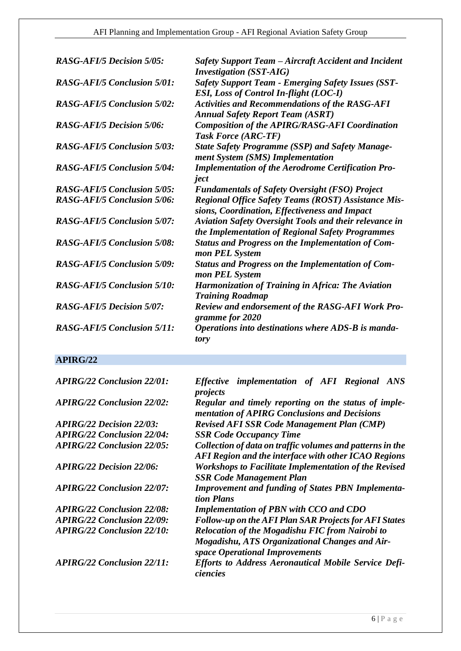| <b>RASG-AFI/5 Decision 5/05:</b>   | Safety Support Team – Aircraft Accident and Incident<br><b>Investigation</b> (SST-AIG)                            |
|------------------------------------|-------------------------------------------------------------------------------------------------------------------|
| <b>RASG-AFI/5 Conclusion 5/01:</b> | <b>Safety Support Team - Emerging Safety Issues (SST-</b><br><b>ESI, Loss of Control In-flight (LOC-I)</b>        |
| <b>RASG-AFI/5 Conclusion 5/02:</b> | <b>Activities and Recommendations of the RASG-AFI</b><br><b>Annual Safety Report Team (ASRT)</b>                  |
| <b>RASG-AFI/5 Decision 5/06:</b>   | <b>Composition of the APIRG/RASG-AFI Coordination</b><br><b>Task Force (ARC-TF)</b>                               |
| <b>RASG-AFI/5 Conclusion 5/03:</b> | <b>State Safety Programme (SSP) and Safety Manage-</b><br>ment System (SMS) Implementation                        |
| <b>RASG-AFI/5 Conclusion 5/04:</b> | <b>Implementation of the Aerodrome Certification Pro-</b><br>ject                                                 |
| <b>RASG-AFI/5 Conclusion 5/05:</b> | <b>Fundamentals of Safety Oversight (FSO) Project</b>                                                             |
| <b>RASG-AFI/5 Conclusion 5/06:</b> | <b>Regional Office Safety Teams (ROST) Assistance Mis-</b><br>sions, Coordination, Effectiveness and Impact       |
| <b>RASG-AFI/5 Conclusion 5/07:</b> | <b>Aviation Safety Oversight Tools and their relevance in</b><br>the Implementation of Regional Safety Programmes |
| <b>RASG-AFI/5 Conclusion 5/08:</b> | <b>Status and Progress on the Implementation of Com-</b><br>mon PEL System                                        |
| <b>RASG-AFI/5 Conclusion 5/09:</b> | <b>Status and Progress on the Implementation of Com-</b><br>mon PEL System                                        |
| <b>RASG-AFI/5 Conclusion 5/10:</b> | <b>Harmonization of Training in Africa: The Aviation</b><br><b>Training Roadmap</b>                               |
| <b>RASG-AFI/5 Decision 5/07:</b>   | <b>Review and endorsement of the RASG-AFI Work Pro-</b><br>gramme for 2020                                        |
| <b>RASG-AFI/5 Conclusion 5/11:</b> | Operations into destinations where ADS-B is manda-<br>tory                                                        |

# **APIRG/22**

| <b>APIRG/22 Conclusion 22/01:</b> | Effective implementation of AFI Regional ANS<br>projects                                                                            |
|-----------------------------------|-------------------------------------------------------------------------------------------------------------------------------------|
| <b>APIRG/22 Conclusion 22/02:</b> | Regular and timely reporting on the status of imple-<br>mentation of APIRG Conclusions and Decisions                                |
| <b>APIRG/22 Decision 22/03:</b>   | <b>Revised AFI SSR Code Management Plan (CMP)</b>                                                                                   |
| <b>APIRG/22 Conclusion 22/04:</b> | <b>SSR Code Occupancy Time</b>                                                                                                      |
| <b>APIRG/22 Conclusion 22/05:</b> | Collection of data on traffic volumes and patterns in the<br>AFI Region and the interface with other ICAO Regions                   |
| <b>APIRG/22 Decision 22/06:</b>   | <b>Workshops to Facilitate Implementation of the Revised</b><br><b>SSR Code Management Plan</b>                                     |
| <b>APIRG/22 Conclusion 22/07:</b> | <b>Improvement and funding of States PBN Implementa-</b><br>tion Plans                                                              |
| <b>APIRG/22 Conclusion 22/08:</b> | <b>Implementation of PBN with CCO and CDO</b>                                                                                       |
| <b>APIRG/22 Conclusion 22/09:</b> | <b>Follow-up on the AFI Plan SAR Projects for AFI States</b>                                                                        |
| <b>APIRG/22 Conclusion 22/10:</b> | Relocation of the Mogadishu FIC from Nairobi to<br>Mogadishu, ATS Organizational Changes and Air-<br>space Operational Improvements |
| <b>APIRG/22 Conclusion 22/11:</b> | <b>Efforts to Address Aeronautical Mobile Service Defi-</b><br>ciencies                                                             |
|                                   |                                                                                                                                     |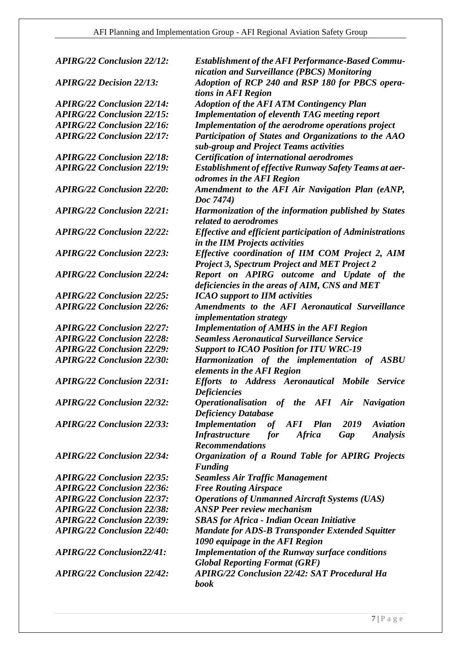*APIRG/22 Conclusion 22/25: ICAO support to IIM activities APIRG/22 Conclusion 22/36: Free Routing Airspace APIRG/22 Conclusion 22/38: ANSP Peer review mechanism*

*APIRG/22 Conclusion 22/12: Establishment of the AFI Performance-Based Communication and Surveillance (PBCS) Monitoring APIRG/22 Decision 22/13: Adoption of RCP 240 and RSP 180 for PBCS operations in AFI Region APIRG/22 Conclusion 22/14: Adoption of the AFI ATM Contingency Plan APIRG/22 Conclusion 22/15: Implementation of eleventh TAG meeting report APIRG/22 Conclusion 22/16: Implementation of the aerodrome operations project APIRG/22 Conclusion 22/17: Participation of States and Organizations to the AAO sub-group and Project Teams activities APIRG/22 Conclusion 22/18: Certification of international aerodromes APIRG/22 Conclusion 22/19: Establishment of effective Runway Safety Teams at aerodromes in the AFI Region APIRG/22 Conclusion 22/20: Amendment to the AFI Air Navigation Plan (eANP, Doc 7474) APIRG/22 Conclusion 22/21: Harmonization of the information published by States related to aerodromes APIRG/22 Conclusion 22/22: Effective and efficient participation of Administrations in the IIM Projects activities APIRG/22 Conclusion 22/23: Effective coordination of IIM COM Project 2, AIM Project 3, Spectrum Project and MET Project 2 APIRG/22 Conclusion 22/24: Report on APIRG outcome and Update of the deficiencies in the areas of AIM, CNS and MET APIRG/22 Conclusion 22/26: Amendments to the AFI Aeronautical Surveillance implementation strategy APIRG/22 Conclusion 22/27: Implementation of AMHS in the AFI Region APIRG/22 Conclusion 22/28: Seamless Aeronautical Surveillance Service APIRG/22 Conclusion 22/29: Support to ICAO Position for ITU WRC-19 APIRG/22 Conclusion 22/30: Harmonization of the implementation of ASBU elements in the AFI Region APIRG/22 Conclusion 22/31: Efforts to Address Aeronautical Mobile Service Deficiencies APIRG/22 Conclusion 22/32: Operationalisation of the AFI Air Navigation Deficiency Database APIRG/22 Conclusion 22/33: Implementation of AFI Plan 2019 Aviation Infrastructure for Africa Gap Analysis Recommendations APIRG/22 Conclusion 22/34: Organization of a Round Table for APIRG Projects Funding APIRG/22 Conclusion 22/35: Seamless Air Traffic Management APIRG/22 Conclusion 22/37: Operations of Unmanned Aircraft Systems (UAS) APIRG/22 Conclusion 22/39: SBAS for Africa - Indian Ocean Initiative APIRG/22 Conclusion 22/40: Mandate for ADS-B Transponder Extended Squitter 1090 equipage in the AFI Region APIRG/22 Conclusion22/41: Implementation of the Runway surface conditions Global Reporting Format (GRF) APIRG/22 Conclusion 22/42: APIRG/22 Conclusion 22/42: SAT Procedural Ha book*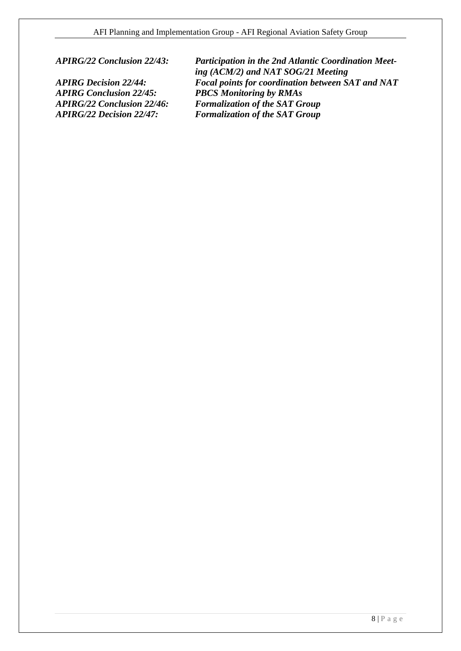*APIRG Conclusion 22/45: PBCS Monitoring by RMAs*

*APIRG/22 Conclusion 22/43: Participation in the 2nd Atlantic Coordination Meeting (ACM/2) and NAT SOG/21 Meeting APIRG Decision 22/44: Focal points for coordination between SAT and NAT APIRG/22 Conclusion 22/46: Formalization of the SAT Group APIRG/22 Decision 22/47: Formalization of the SAT Group*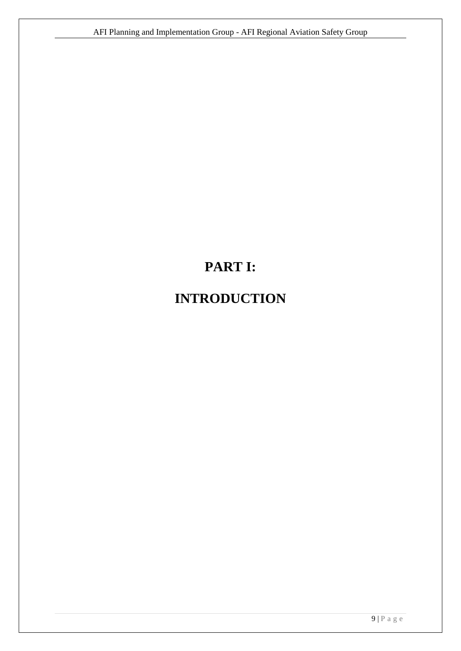# **PART I:**

# <span id="page-8-0"></span>**INTRODUCTION**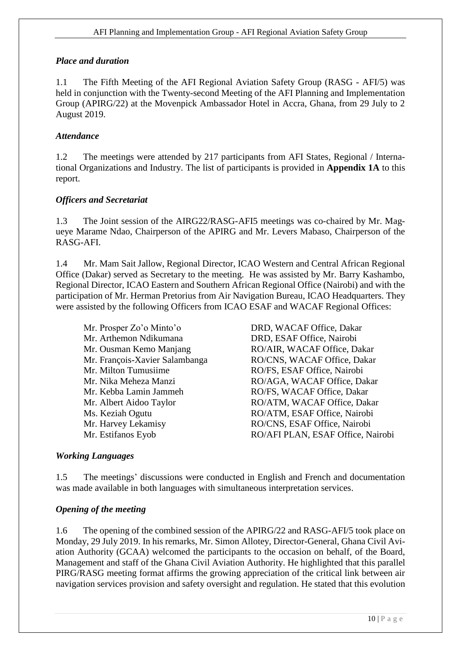## <span id="page-9-0"></span>*Place and duration*

1.1 The Fifth Meeting of the AFI Regional Aviation Safety Group (RASG - AFI/5) was held in conjunction with the Twenty-second Meeting of the AFI Planning and Implementation Group (APIRG/22) at the Movenpick Ambassador Hotel in Accra, Ghana, from 29 July to 2 August 2019.

## <span id="page-9-1"></span>*Attendance*

1.2 The meetings were attended by 217 participants from AFI States, Regional / International Organizations and Industry. The list of participants is provided in **Appendix 1A** to this report.

## <span id="page-9-2"></span>*Officers and Secretariat*

1.3 The Joint session of the AIRG22/RASG-AFI5 meetings was co-chaired by Mr. Magueye Marame Ndao, Chairperson of the APIRG and Mr. Levers Mabaso, Chairperson of the RASG-AFI.

1.4 Mr. Mam Sait Jallow, Regional Director, ICAO Western and Central African Regional Office (Dakar) served as Secretary to the meeting. He was assisted by Mr. Barry Kashambo, Regional Director, ICAO Eastern and Southern African Regional Office (Nairobi) and with the participation of Mr. Herman Pretorius from Air Navigation Bureau, ICAO Headquarters. They were assisted by the following Officers from ICAO ESAF and WACAF Regional Offices:

Mr. Prosper Zo'o Minto'o DRD, WACAF Office, Dakar Mr. Arthemon Ndikumana DRD, ESAF Office, Nairobi Mr. Milton Tumusiime RO/FS, ESAF Office, Nairobi Mr. Kebba Lamin Jammeh RO/FS, WACAF Office, Dakar Mr. Harvey Lekamisy RO/CNS, ESAF Office, Nairobi

Mr. Ousman Kemo Manjang RO/AIR, WACAF Office, Dakar Mr. François-Xavier Salambanga RO/CNS, WACAF Office, Dakar Mr. Nika Meheza Manzi RO/AGA, WACAF Office, Dakar Mr. Albert Aidoo Taylor RO/ATM, WACAF Office, Dakar Ms. Keziah Ogutu RO/ATM, ESAF Office, Nairobi Mr. Estifanos Eyob RO/AFI PLAN, ESAF Office, Nairobi

## <span id="page-9-3"></span>*Working Languages*

1.5 The meetings' discussions were conducted in English and French and documentation was made available in both languages with simultaneous interpretation services.

## <span id="page-9-4"></span>*Opening of the meeting*

1.6 The opening of the combined session of the APIRG/22 and RASG-AFI/5 took place on Monday, 29 July 2019. In his remarks, Mr. Simon Allotey, Director-General, Ghana Civil Aviation Authority (GCAA) welcomed the participants to the occasion on behalf, of the Board, Management and staff of the Ghana Civil Aviation Authority. He highlighted that this parallel PIRG/RASG meeting format affirms the growing appreciation of the critical link between air navigation services provision and safety oversight and regulation. He stated that this evolution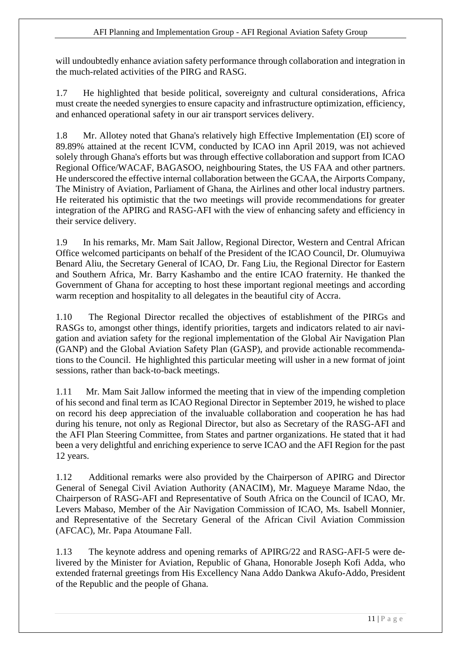will undoubtedly enhance aviation safety performance through collaboration and integration in the much-related activities of the PIRG and RASG.

1.7 He highlighted that beside political, sovereignty and cultural considerations, Africa must create the needed synergies to ensure capacity and infrastructure optimization, efficiency, and enhanced operational safety in our air transport services delivery.

1.8 Mr. Allotey noted that Ghana's relatively high Effective Implementation (EI) score of 89.89% attained at the recent ICVM, conducted by ICAO inn April 2019, was not achieved solely through Ghana's efforts but was through effective collaboration and support from ICAO Regional Office/WACAF, BAGASOO, neighbouring States, the US FAA and other partners. He underscored the effective internal collaboration between the GCAA, the Airports Company, The Ministry of Aviation, Parliament of Ghana, the Airlines and other local industry partners. He reiterated his optimistic that the two meetings will provide recommendations for greater integration of the APIRG and RASG-AFI with the view of enhancing safety and efficiency in their service delivery.

1.9 In his remarks, Mr. Mam Sait Jallow, Regional Director, Western and Central African Office welcomed participants on behalf of the President of the ICAO Council, Dr. Olumuyiwa Benard Aliu, the Secretary General of ICAO, Dr. Fang Liu, the Regional Director for Eastern and Southern Africa, Mr. Barry Kashambo and the entire ICAO fraternity. He thanked the Government of Ghana for accepting to host these important regional meetings and according warm reception and hospitality to all delegates in the beautiful city of Accra.

1.10 The Regional Director recalled the objectives of establishment of the PIRGs and RASGs to, amongst other things, identify priorities, targets and indicators related to air navigation and aviation safety for the regional implementation of the Global Air Navigation Plan (GANP) and the Global Aviation Safety Plan (GASP), and provide actionable recommendations to the Council. He highlighted this particular meeting will usher in a new format of joint sessions, rather than back-to-back meetings.

1.11 Mr. Mam Sait Jallow informed the meeting that in view of the impending completion of his second and final term as ICAO Regional Director in September 2019, he wished to place on record his deep appreciation of the invaluable collaboration and cooperation he has had during his tenure, not only as Regional Director, but also as Secretary of the RASG-AFI and the AFI Plan Steering Committee, from States and partner organizations. He stated that it had been a very delightful and enriching experience to serve ICAO and the AFI Region for the past 12 years.

1.12 Additional remarks were also provided by the Chairperson of APIRG and Director General of Senegal Civil Aviation Authority (ANACIM), Mr. Magueye Marame Ndao, the Chairperson of RASG-AFI and Representative of South Africa on the Council of ICAO, Mr. Levers Mabaso, Member of the Air Navigation Commission of ICAO, Ms. Isabell Monnier, and Representative of the Secretary General of the African Civil Aviation Commission (AFCAC), Mr. Papa Atoumane Fall.

1.13 The keynote address and opening remarks of APIRG/22 and RASG-AFI-5 were delivered by the Minister for Aviation, Republic of Ghana, Honorable Joseph Kofi Adda, who extended fraternal greetings from His Excellency Nana Addo Dankwa Akufo-Addo, President of the Republic and the people of Ghana.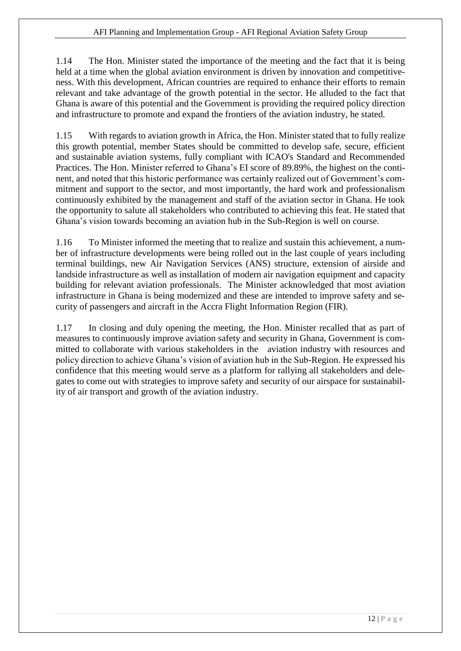1.14 The Hon. Minister stated the importance of the meeting and the fact that it is being held at a time when the global aviation environment is driven by innovation and competitiveness. With this development, African countries are required to enhance their efforts to remain relevant and take advantage of the growth potential in the sector. He alluded to the fact that Ghana is aware of this potential and the Government is providing the required policy direction and infrastructure to promote and expand the frontiers of the aviation industry, he stated.

1.15 With regards to aviation growth in Africa, the Hon. Minister stated that to fully realize this growth potential, member States should be committed to develop safe, secure, efficient and sustainable aviation systems, fully compliant with ICAO's Standard and Recommended Practices. The Hon. Minister referred to Ghana's EI score of 89.89%, the highest on the continent, and noted that this historic performance was certainly realized out of Government's commitment and support to the sector, and most importantly, the hard work and professionalism continuously exhibited by the management and staff of the aviation sector in Ghana. He took the opportunity to salute all stakeholders who contributed to achieving this feat. He stated that Ghana's vision towards becoming an aviation hub in the Sub-Region is well on course.

1.16 To Minister informed the meeting that to realize and sustain this achievement, a number of infrastructure developments were being rolled out in the last couple of years including terminal buildings, new Air Navigation Services (ANS) structure, extension of airside and landside infrastructure as well as installation of modern air navigation equipment and capacity building for relevant aviation professionals. The Minister acknowledged that most aviation infrastructure in Ghana is being modernized and these are intended to improve safety and security of passengers and aircraft in the Accra Flight Information Region (FIR).

1.17 In closing and duly opening the meeting, the Hon. Minister recalled that as part of measures to continuously improve aviation safety and security in Ghana, Government is committed to collaborate with various stakeholders in the aviation industry with resources and policy direction to achieve Ghana's vision of aviation hub in the Sub-Region. He expressed his confidence that this meeting would serve as a platform for rallying all stakeholders and delegates to come out with strategies to improve safety and security of our airspace for sustainability of air transport and growth of the aviation industry.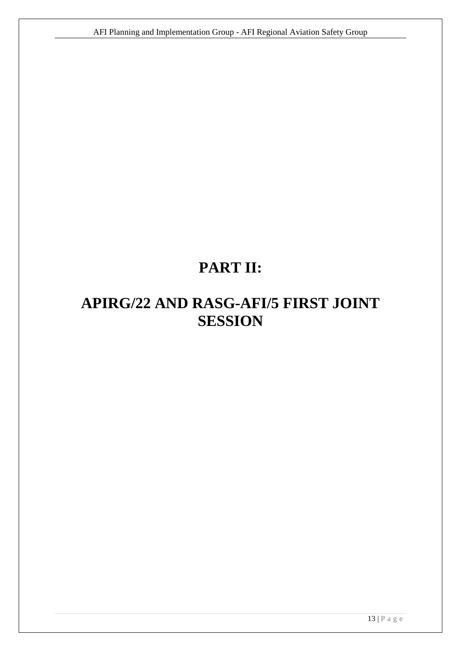# **PART II:**

# <span id="page-12-0"></span>**APIRG/22 AND RASG-AFI/5 FIRST JOINT SESSION**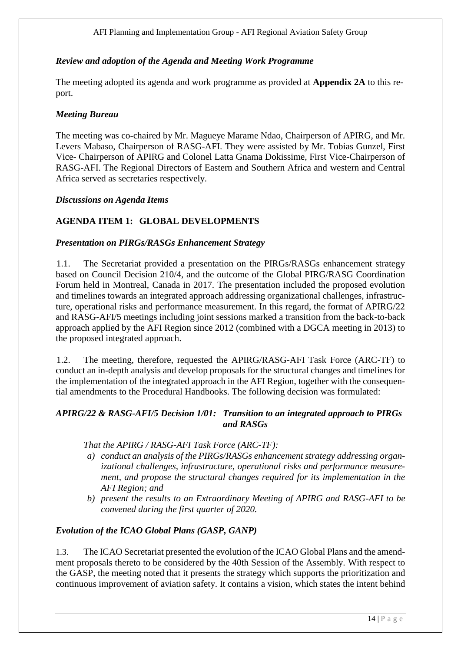## <span id="page-13-0"></span>*Review and adoption of the Agenda and Meeting Work Programme*

The meeting adopted its agenda and work programme as provided at **Appendix 2A** to this report.

#### <span id="page-13-1"></span>*Meeting Bureau*

The meeting was co-chaired by Mr. Magueye Marame Ndao, Chairperson of APIRG, and Mr. Levers Mabaso, Chairperson of RASG-AFI. They were assisted by Mr. Tobias Gunzel, First Vice- Chairperson of APIRG and Colonel Latta Gnama Dokissime, First Vice-Chairperson of RASG-AFI. The Regional Directors of Eastern and Southern Africa and western and Central Africa served as secretaries respectively.

#### <span id="page-13-2"></span>*Discussions on Agenda Items*

## <span id="page-13-3"></span>**AGENDA ITEM 1: GLOBAL DEVELOPMENTS**

#### *Presentation on PIRGs/RASGs Enhancement Strategy*

1.1. The Secretariat provided a presentation on the PIRGs/RASGs enhancement strategy based on Council Decision 210/4, and the outcome of the Global PIRG/RASG Coordination Forum held in Montreal, Canada in 2017. The presentation included the proposed evolution and timelines towards an integrated approach addressing organizational challenges, infrastructure, operational risks and performance measurement. In this regard, the format of APIRG/22 and RASG-AFI/5 meetings including joint sessions marked a transition from the back-to-back approach applied by the AFI Region since 2012 (combined with a DGCA meeting in 2013) to the proposed integrated approach.

1.2. The meeting, therefore, requested the APIRG/RASG-AFI Task Force (ARC-TF) to conduct an in-depth analysis and develop proposals for the structural changes and timelines for the implementation of the integrated approach in the AFI Region, together with the consequential amendments to the Procedural Handbooks. The following decision was formulated:

## *APIRG/22 & RASG-AFI/5 Decision 1/01: Transition to an integrated approach to PIRGs and RASGs*

#### *That the APIRG / RASG-AFI Task Force (ARC-TF):*

- *a) conduct an analysis of the PIRGs/RASGs enhancement strategy addressing organizational challenges, infrastructure, operational risks and performance measurement, and propose the structural changes required for its implementation in the AFI Region; and*
- *b) present the results to an Extraordinary Meeting of APIRG and RASG-AFI to be convened during the first quarter of 2020.*

## *Evolution of the ICAO Global Plans (GASP, GANP)*

1.3. The ICAO Secretariat presented the evolution of the ICAO Global Plans and the amendment proposals thereto to be considered by the 40th Session of the Assembly. With respect to the GASP, the meeting noted that it presents the strategy which supports the prioritization and continuous improvement of aviation safety. It contains a vision, which states the intent behind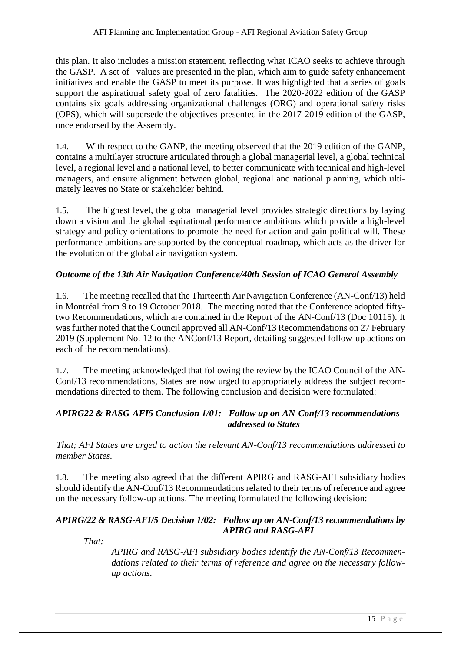this plan. It also includes a mission statement, reflecting what ICAO seeks to achieve through the GASP. A set of values are presented in the plan, which aim to guide safety enhancement initiatives and enable the GASP to meet its purpose. It was highlighted that a series of goals support the aspirational safety goal of zero fatalities. The 2020-2022 edition of the GASP contains six goals addressing organizational challenges (ORG) and operational safety risks (OPS), which will supersede the objectives presented in the 2017-2019 edition of the GASP, once endorsed by the Assembly.

1.4. With respect to the GANP, the meeting observed that the 2019 edition of the GANP, contains a multilayer structure articulated through a global managerial level, a global technical level, a regional level and a national level, to better communicate with technical and high-level managers, and ensure alignment between global, regional and national planning, which ultimately leaves no State or stakeholder behind.

1.5. The highest level, the global managerial level provides strategic directions by laying down a vision and the global aspirational performance ambitions which provide a high-level strategy and policy orientations to promote the need for action and gain political will. These performance ambitions are supported by the conceptual roadmap, which acts as the driver for the evolution of the global air navigation system.

## *Outcome of the 13th Air Navigation Conference/40th Session of ICAO General Assembly*

1.6. The meeting recalled that the Thirteenth Air Navigation Conference (AN-Conf/13) held in Montréal from 9 to 19 October 2018. The meeting noted that the Conference adopted fiftytwo Recommendations, which are contained in the Report of the AN-Conf/13 (Doc 10115). It was further noted that the Council approved all AN-Conf/13 Recommendations on 27 February 2019 (Supplement No. 12 to the ANConf/13 Report, detailing suggested follow-up actions on each of the recommendations).

1.7. The meeting acknowledged that following the review by the ICAO Council of the AN-Conf/13 recommendations, States are now urged to appropriately address the subject recommendations directed to them. The following conclusion and decision were formulated:

## *APIRG22 & RASG-AFI5 Conclusion 1/01: Follow up on AN-Conf/13 recommendations addressed to States*

*That; AFI States are urged to action the relevant AN-Conf/13 recommendations addressed to member States.*

1.8. The meeting also agreed that the different APIRG and RASG-AFI subsidiary bodies should identify the AN-Conf/13 Recommendations related to their terms of reference and agree on the necessary follow-up actions. The meeting formulated the following decision:

## *APIRG/22 & RASG-AFI/5 Decision 1/02: Follow up on AN-Conf/13 recommendations by APIRG and RASG-AFI*

*That:*

*APIRG and RASG-AFI subsidiary bodies identify the AN-Conf/13 Recommendations related to their terms of reference and agree on the necessary followup actions.*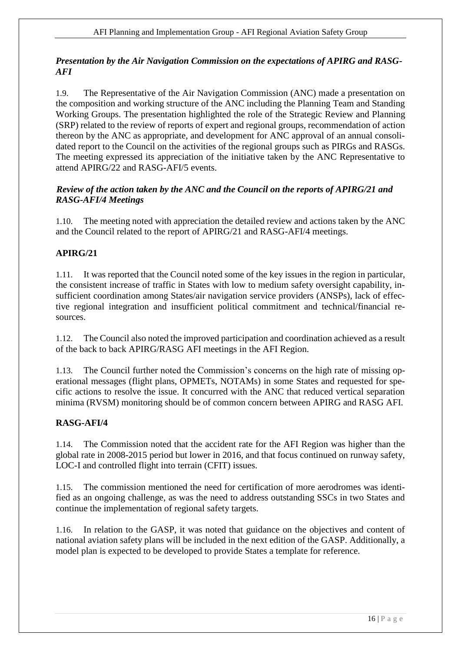## *Presentation by the Air Navigation Commission on the expectations of APIRG and RASG-AFI*

1.9. The Representative of the Air Navigation Commission (ANC) made a presentation on the composition and working structure of the ANC including the Planning Team and Standing Working Groups. The presentation highlighted the role of the Strategic Review and Planning (SRP) related to the review of reports of expert and regional groups, recommendation of action thereon by the ANC as appropriate, and development for ANC approval of an annual consolidated report to the Council on the activities of the regional groups such as PIRGs and RASGs. The meeting expressed its appreciation of the initiative taken by the ANC Representative to attend APIRG/22 and RASG-AFI/5 events.

## *Review of the action taken by the ANC and the Council on the reports of APIRG/21 and RASG-AFI/4 Meetings*

1.10. The meeting noted with appreciation the detailed review and actions taken by the ANC and the Council related to the report of APIRG/21 and RASG-AFI/4 meetings.

# **APIRG/21**

1.11. It was reported that the Council noted some of the key issues in the region in particular, the consistent increase of traffic in States with low to medium safety oversight capability, insufficient coordination among States/air navigation service providers (ANSPs), lack of effective regional integration and insufficient political commitment and technical/financial resources.

1.12. The Council also noted the improved participation and coordination achieved as a result of the back to back APIRG/RASG AFI meetings in the AFI Region.

1.13. The Council further noted the Commission's concerns on the high rate of missing operational messages (flight plans, OPMETs, NOTAMs) in some States and requested for specific actions to resolve the issue. It concurred with the ANC that reduced vertical separation minima (RVSM) monitoring should be of common concern between APIRG and RASG AFI.

# **RASG-AFI/4**

1.14. The Commission noted that the accident rate for the AFI Region was higher than the global rate in 2008-2015 period but lower in 2016, and that focus continued on runway safety, LOC-I and controlled flight into terrain (CFIT) issues.

1.15. The commission mentioned the need for certification of more aerodromes was identified as an ongoing challenge, as was the need to address outstanding SSCs in two States and continue the implementation of regional safety targets.

1.16. In relation to the GASP, it was noted that guidance on the objectives and content of national aviation safety plans will be included in the next edition of the GASP. Additionally, a model plan is expected to be developed to provide States a template for reference.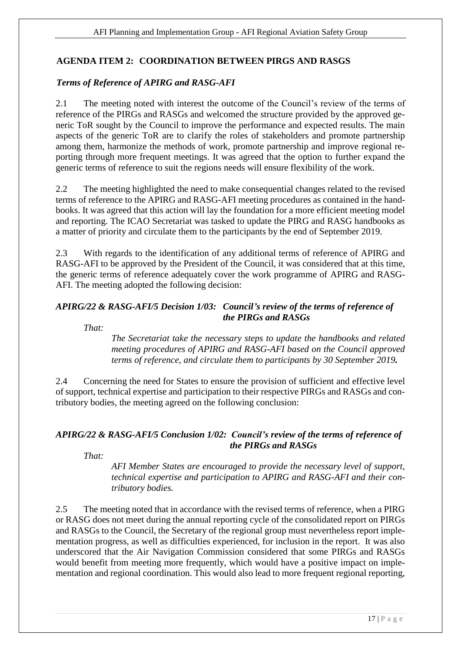# <span id="page-16-0"></span>**AGENDA ITEM 2: COORDINATION BETWEEN PIRGS AND RASGS**

## *Terms of Reference of APIRG and RASG-AFI*

2.1 The meeting noted with interest the outcome of the Council's review of the terms of reference of the PIRGs and RASGs and welcomed the structure provided by the approved generic ToR sought by the Council to improve the performance and expected results. The main aspects of the generic ToR are to clarify the roles of stakeholders and promote partnership among them, harmonize the methods of work, promote partnership and improve regional reporting through more frequent meetings. It was agreed that the option to further expand the generic terms of reference to suit the regions needs will ensure flexibility of the work.

2.2 The meeting highlighted the need to make consequential changes related to the revised terms of reference to the APIRG and RASG-AFI meeting procedures as contained in the handbooks. It was agreed that this action will lay the foundation for a more efficient meeting model and reporting. The ICAO Secretariat was tasked to update the PIRG and RASG handbooks as a matter of priority and circulate them to the participants by the end of September 2019.

2.3 With regards to the identification of any additional terms of reference of APIRG and RASG-AFI to be approved by the President of the Council, it was considered that at this time, the generic terms of reference adequately cover the work programme of APIRG and RASG-AFI. The meeting adopted the following decision:

## *APIRG/22 & RASG-AFI/5 Decision 1/03: Council's review of the terms of reference of the PIRGs and RASGs*

*That:*

*The Secretariat take the necessary steps to update the handbooks and related meeting procedures of APIRG and RASG-AFI based on the Council approved terms of reference, and circulate them to participants by 30 September 2019.*

2.4 Concerning the need for States to ensure the provision of sufficient and effective level of support, technical expertise and participation to their respective PIRGs and RASGs and contributory bodies, the meeting agreed on the following conclusion:

# *APIRG/22 & RASG-AFI/5 Conclusion 1/02: Council's review of the terms of reference of the PIRGs and RASGs*

*That:*

*AFI Member States are encouraged to provide the necessary level of support, technical expertise and participation to APIRG and RASG-AFI and their contributory bodies.*

2.5 The meeting noted that in accordance with the revised terms of reference, when a PIRG or RASG does not meet during the annual reporting cycle of the consolidated report on PIRGs and RASGs to the Council, the Secretary of the regional group must nevertheless report implementation progress, as well as difficulties experienced, for inclusion in the report. It was also underscored that the Air Navigation Commission considered that some PIRGs and RASGs would benefit from meeting more frequently, which would have a positive impact on implementation and regional coordination. This would also lead to more frequent regional reporting,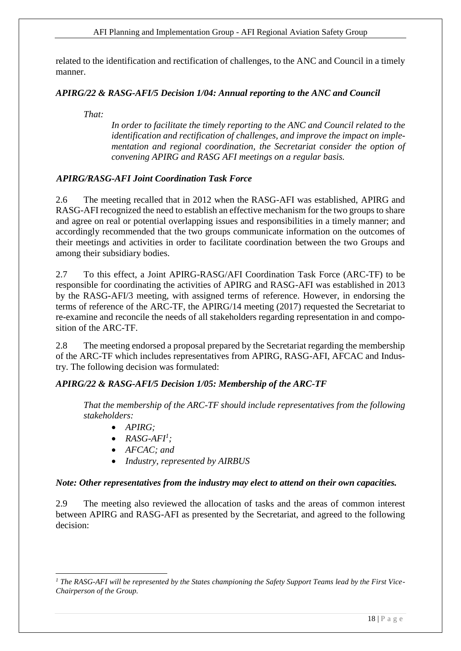#### AFI Planning and Implementation Group - AFI Regional Aviation Safety Group

related to the identification and rectification of challenges, to the ANC and Council in a timely manner.

## *APIRG/22 & RASG-AFI/5 Decision 1/04: Annual reporting to the ANC and Council*

*That:*

*In order to facilitate the timely reporting to the ANC and Council related to the*  identification and rectification of challenges, and *improve the impact on implementation and regional coordination, the Secretariat consider the option of convening APIRG and RASG AFI meetings on a regular basis.*

## *APIRG/RASG-AFI Joint Coordination Task Force*

2.6 The meeting recalled that in 2012 when the RASG-AFI was established, APIRG and RASG-AFI recognized the need to establish an effective mechanism for the two groups to share and agree on real or potential overlapping issues and responsibilities in a timely manner; and accordingly recommended that the two groups communicate information on the outcomes of their meetings and activities in order to facilitate coordination between the two Groups and among their subsidiary bodies.

2.7 To this effect, a Joint APIRG-RASG/AFI Coordination Task Force (ARC-TF) to be responsible for coordinating the activities of APIRG and RASG-AFI was established in 2013 by the RASG-AFI/3 meeting, with assigned terms of reference. However, in endorsing the terms of reference of the ARC-TF, the APIRG/14 meeting (2017) requested the Secretariat to re-examine and reconcile the needs of all stakeholders regarding representation in and composition of the ARC-TF.

2.8 The meeting endorsed a proposal prepared by the Secretariat regarding the membership of the ARC-TF which includes representatives from APIRG, RASG-AFI, AFCAC and Industry. The following decision was formulated:

## *APIRG/22 & RASG-AFI/5 Decision 1/05: Membership of the ARC-TF*

*That the membership of the ARC-TF should include representatives from the following stakeholders:*

- *APIRG;*
- $\bullet$  *RASG-AFI<sup>1</sup>*;
- *AFCAC; and*
- *Industry, represented by AIRBUS*

#### *Note: Other representatives from the industry may elect to attend on their own capacities.*

2.9 The meeting also reviewed the allocation of tasks and the areas of common interest between APIRG and RASG-AFI as presented by the Secretariat, and agreed to the following decision:

<sup>1</sup> *<sup>1</sup> The RASG-AFI will be represented by the States championing the Safety Support Teams lead by the First Vice-Chairperson of the Group.*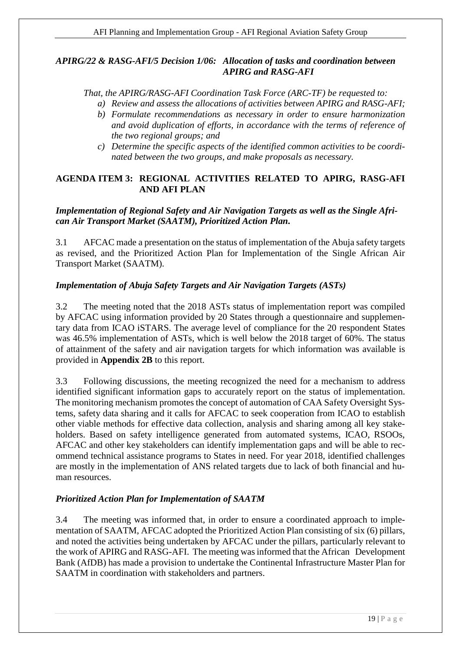## *APIRG/22 & RASG-AFI/5 Decision 1/06: Allocation of tasks and coordination between APIRG and RASG-AFI*

*That, the APIRG/RASG-AFI Coordination Task Force (ARC-TF) be requested to:*

- *a) Review and assess the allocations of activities between APIRG and RASG-AFI;*
- *b) Formulate recommendations as necessary in order to ensure harmonization and avoid duplication of efforts, in accordance with the terms of reference of the two regional groups; and*
- *c) Determine the specific aspects of the identified common activities to be coordinated between the two groups, and make proposals as necessary.*

## <span id="page-18-0"></span>**AGENDA ITEM 3: REGIONAL ACTIVITIES RELATED TO APIRG, RASG-AFI AND AFI PLAN**

## *Implementation of Regional Safety and Air Navigation Targets as well as the Single African Air Transport Market (SAATM), Prioritized Action Plan.*

3.1 AFCAC made a presentation on the status of implementation of the Abuja safety targets as revised, and the Prioritized Action Plan for Implementation of the Single African Air Transport Market (SAATM).

# *Implementation of Abuja Safety Targets and Air Navigation Targets (ASTs)*

3.2 The meeting noted that the 2018 ASTs status of implementation report was compiled by AFCAC using information provided by 20 States through a questionnaire and supplementary data from ICAO iSTARS. The average level of compliance for the 20 respondent States was 46.5% implementation of ASTs, which is well below the 2018 target of 60%. The status of attainment of the safety and air navigation targets for which information was available is provided in **Appendix 2B** to this report.

3.3 Following discussions, the meeting recognized the need for a mechanism to address identified significant information gaps to accurately report on the status of implementation. The monitoring mechanism promotes the concept of automation of CAA Safety Oversight Systems, safety data sharing and it calls for AFCAC to seek cooperation from ICAO to establish other viable methods for effective data collection, analysis and sharing among all key stakeholders. Based on safety intelligence generated from automated systems, ICAO, RSOOs, AFCAC and other key stakeholders can identify implementation gaps and will be able to recommend technical assistance programs to States in need. For year 2018, identified challenges are mostly in the implementation of ANS related targets due to lack of both financial and human resources.

## *Prioritized Action Plan for Implementation of SAATM*

3.4 The meeting was informed that, in order to ensure a coordinated approach to implementation of SAATM, AFCAC adopted the Prioritized Action Plan consisting of six (6) pillars, and noted the activities being undertaken by AFCAC under the pillars, particularly relevant to the work of APIRG and RASG-AFI. The meeting was informed that the African Development Bank (AfDB) has made a provision to undertake the Continental Infrastructure Master Plan for SAATM in coordination with stakeholders and partners.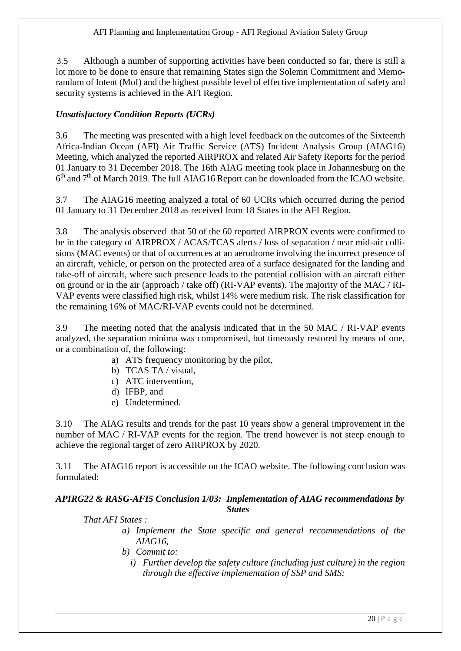3.5 Although a number of supporting activities have been conducted so far, there is still a lot more to be done to ensure that remaining States sign the Solemn Commitment and Memorandum of Intent (MoI) and the highest possible level of effective implementation of safety and security systems is achieved in the AFI Region.

## *Unsatisfactory Condition Reports (UCRs)*

3.6 The meeting was presented with a high level feedback on the outcomes of the Sixteenth Africa-Indian Ocean (AFI) Air Traffic Service (ATS) Incident Analysis Group (AIAG16) Meeting, which analyzed the reported AIRPROX and related Air Safety Reports for the period 01 January to 31 December 2018. The 16th AIAG meeting took place in Johannesburg on the 6<sup>th</sup> and 7<sup>th</sup> of March 2019. The full AIAG16 Report can be downloaded from the ICAO website.

3.7 The AIAG16 meeting analyzed a total of 60 UCRs which occurred during the period 01 January to 31 December 2018 as received from 18 States in the AFI Region.

3.8 The analysis observed that 50 of the 60 reported AIRPROX events were confirmed to be in the category of AIRPROX / ACAS/TCAS alerts / loss of separation / near mid-air collisions (MAC events) or that of occurrences at an aerodrome involving the incorrect presence of an aircraft, vehicle, or person on the protected area of a surface designated for the landing and take-off of aircraft, where such presence leads to the potential collision with an aircraft either on ground or in the air (approach / take off) (RI-VAP events). The majority of the MAC / RI-VAP events were classified high risk, whilst 14% were medium risk. The risk classification for the remaining 16% of MAC/RI-VAP events could not be determined.

3.9 The meeting noted that the analysis indicated that in the 50 MAC / RI-VAP events analyzed, the separation minima was compromised, but timeously restored by means of one, or a combination of, the following:

- a) ATS frequency monitoring by the pilot,
- b) TCAS TA / visual,
- c) ATC intervention,
- d) IFBP, and
- e) Undetermined.

3.10 The AIAG results and trends for the past 10 years show a general improvement in the number of MAC / RI-VAP events for the region. The trend however is not steep enough to achieve the regional target of zero AIRPROX by 2020.

3.11 The AIAG16 report is accessible on the ICAO website. The following conclusion was formulated:

## *APIRG22 & RASG-AFI5 Conclusion 1/03: Implementation of AIAG recommendations by States*

## *That AFI States :*

- *a) Implement the State specific and general recommendations of the AIAG16,*
- *b) Commit to:*
	- *i) Further develop the safety culture (including just culture) in the region through the effective implementation of SSP and SMS;*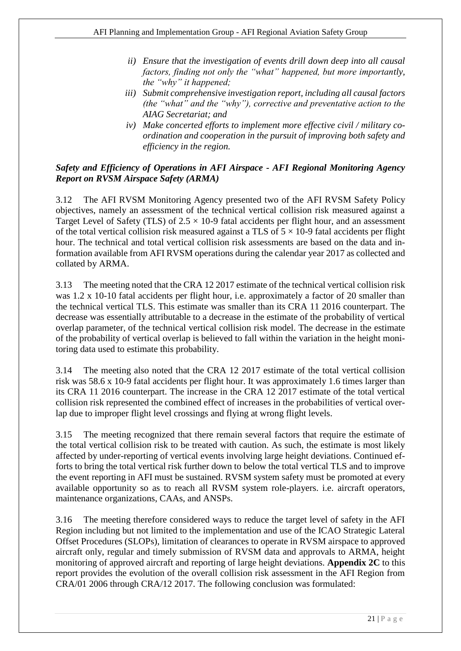- *ii) Ensure that the investigation of events drill down deep into all causal factors, finding not only the "what" happened, but more importantly, the "why" it happened;*
- *iii) Submit comprehensive investigation report, including all causal factors (the "what" and the "why"), corrective and preventative action to the AIAG Secretariat; and*
- *iv) Make concerted efforts to implement more effective civil / military coordination and cooperation in the pursuit of improving both safety and efficiency in the region.*

## *Safety and Efficiency of Operations in AFI Airspace - AFI Regional Monitoring Agency Report on RVSM Airspace Safety (ARMA)*

3.12 The AFI RVSM Monitoring Agency presented two of the AFI RVSM Safety Policy objectives, namely an assessment of the technical vertical collision risk measured against a Target Level of Safety (TLS) of  $2.5 \times 10$ -9 fatal accidents per flight hour, and an assessment of the total vertical collision risk measured against a TLS of  $5 \times 10^{-9}$  fatal accidents per flight hour. The technical and total vertical collision risk assessments are based on the data and information available from AFI RVSM operations during the calendar year 2017 as collected and collated by ARMA.

3.13 The meeting noted that the CRA 12 2017 estimate of the technical vertical collision risk was 1.2 x 10-10 fatal accidents per flight hour, i.e. approximately a factor of 20 smaller than the technical vertical TLS. This estimate was smaller than its CRA 11 2016 counterpart. The decrease was essentially attributable to a decrease in the estimate of the probability of vertical overlap parameter, of the technical vertical collision risk model. The decrease in the estimate of the probability of vertical overlap is believed to fall within the variation in the height monitoring data used to estimate this probability.

3.14 The meeting also noted that the CRA 12 2017 estimate of the total vertical collision risk was 58.6 x 10-9 fatal accidents per flight hour. It was approximately 1.6 times larger than its CRA 11 2016 counterpart. The increase in the CRA 12 2017 estimate of the total vertical collision risk represented the combined effect of increases in the probabilities of vertical overlap due to improper flight level crossings and flying at wrong flight levels.

3.15 The meeting recognized that there remain several factors that require the estimate of the total vertical collision risk to be treated with caution. As such, the estimate is most likely affected by under-reporting of vertical events involving large height deviations. Continued efforts to bring the total vertical risk further down to below the total vertical TLS and to improve the event reporting in AFI must be sustained. RVSM system safety must be promoted at every available opportunity so as to reach all RVSM system role-players. i.e. aircraft operators, maintenance organizations, CAAs, and ANSPs.

3.16 The meeting therefore considered ways to reduce the target level of safety in the AFI Region including but not limited to the implementation and use of the ICAO Strategic Lateral Offset Procedures (SLOPs), limitation of clearances to operate in RVSM airspace to approved aircraft only, regular and timely submission of RVSM data and approvals to ARMA, height monitoring of approved aircraft and reporting of large height deviations. **Appendix 2C** to this report provides the evolution of the overall collision risk assessment in the AFI Region from CRA/01 2006 through CRA/12 2017. The following conclusion was formulated: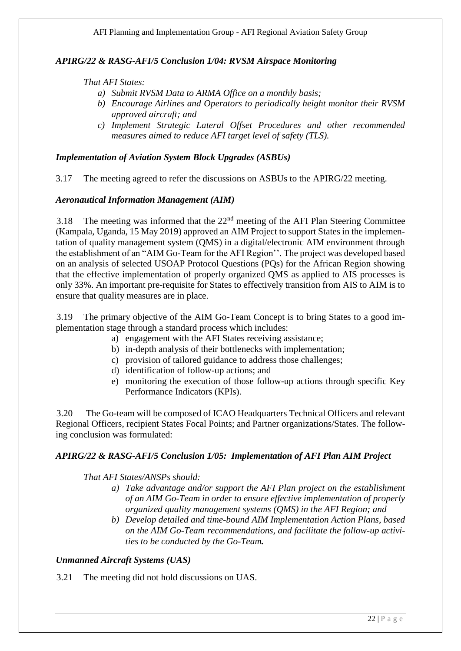## *APIRG/22 & RASG-AFI/5 Conclusion 1/04: RVSM Airspace Monitoring*

#### *That AFI States:*

- *a) Submit RVSM Data to ARMA Office on a monthly basis;*
- *b) Encourage Airlines and Operators to periodically height monitor their RVSM approved aircraft; and*
- *c) Implement Strategic Lateral Offset Procedures and other recommended measures aimed to reduce AFI target level of safety (TLS).*

## *Implementation of Aviation System Block Upgrades (ASBUs)*

3.17 The meeting agreed to refer the discussions on ASBUs to the APIRG/22 meeting.

#### *Aeronautical Information Management (AIM)*

3.18 The meeting was informed that the  $22<sup>nd</sup>$  meeting of the AFI Plan Steering Committee (Kampala, Uganda, 15 May 2019) approved an AIM Project to support States in the implementation of quality management system (QMS) in a digital/electronic AIM environment through the establishment of an "AIM Go-Team for the AFI Region''. The project was developed based on an analysis of selected USOAP Protocol Questions (PQs) for the African Region showing that the effective implementation of properly organized QMS as applied to AIS processes is only 33%. An important pre-requisite for States to effectively transition from AIS to AIM is to ensure that quality measures are in place.

3.19 The primary objective of the AIM Go-Team Concept is to bring States to a good implementation stage through a standard process which includes:

- a) engagement with the AFI States receiving assistance;
- b) in-depth analysis of their bottlenecks with implementation;
- c) provision of tailored guidance to address those challenges;
- d) identification of follow-up actions; and
- e) monitoring the execution of those follow-up actions through specific Key Performance Indicators (KPIs).

3.20 The Go-team will be composed of ICAO Headquarters Technical Officers and relevant Regional Officers, recipient States Focal Points; and Partner organizations/States. The following conclusion was formulated:

## *APIRG/22 & RASG-AFI/5 Conclusion 1/05: Implementation of AFI Plan AIM Project*

#### *That AFI States/ANSPs should:*

- *a) Take advantage and/or support the AFI Plan project on the establishment of an AIM Go-Team in order to ensure effective implementation of properly organized quality management systems (QMS) in the AFI Region; and*
- *b) Develop detailed and time-bound AIM Implementation Action Plans, based on the AIM Go-Team recommendations, and facilitate the follow-up activities to be conducted by the Go-Team.*

#### *Unmanned Aircraft Systems (UAS)*

3.21 The meeting did not hold discussions on UAS.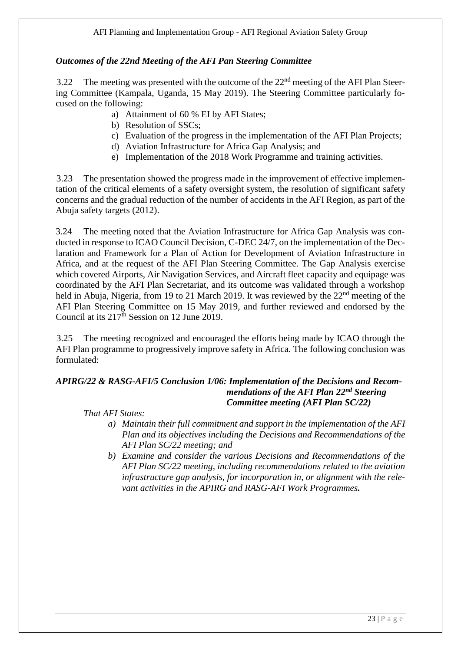## *Outcomes of the 22nd Meeting of the AFI Pan Steering Committee*

3.22 The meeting was presented with the outcome of the  $22<sup>nd</sup>$  meeting of the AFI Plan Steering Committee (Kampala, Uganda, 15 May 2019). The Steering Committee particularly focused on the following:

- a) Attainment of 60 % EI by AFI States;
- b) Resolution of SSCs;
- c) Evaluation of the progress in the implementation of the AFI Plan Projects;
- d) Aviation Infrastructure for Africa Gap Analysis; and
- e) Implementation of the 2018 Work Programme and training activities.

3.23 The presentation showed the progress made in the improvement of effective implementation of the critical elements of a safety oversight system, the resolution of significant safety concerns and the gradual reduction of the number of accidents in the AFI Region, as part of the Abuja safety targets (2012).

3.24 The meeting noted that the Aviation Infrastructure for Africa Gap Analysis was conducted in response to ICAO Council Decision, C-DEC 24/7, on the implementation of the Declaration and Framework for a Plan of Action for Development of Aviation Infrastructure in Africa, and at the request of the AFI Plan Steering Committee. The Gap Analysis exercise which covered Airports, Air Navigation Services, and Aircraft fleet capacity and equipage was coordinated by the AFI Plan Secretariat, and its outcome was validated through a workshop held in Abuja, Nigeria, from 19 to 21 March 2019. It was reviewed by the 22<sup>nd</sup> meeting of the AFI Plan Steering Committee on 15 May 2019, and further reviewed and endorsed by the Council at its  $217^{\text{th}}$  Session on 12 June 2019.

3.25 The meeting recognized and encouraged the efforts being made by ICAO through the AFI Plan programme to progressively improve safety in Africa. The following conclusion was formulated:

# *APIRG/22 & RASG-AFI/5 Conclusion 1/06: Implementation of the Decisions and Recommendations of the AFI Plan 22nd Steering Committee meeting (AFI Plan SC/22)*

## *That AFI States:*

- *a) Maintain their full commitment and support in the implementation of the AFI Plan and its objectives including the Decisions and Recommendations of the AFI Plan SC/22 meeting; and*
- *b) Examine and consider the various Decisions and Recommendations of the AFI Plan SC/22 meeting, including recommendations related to the aviation infrastructure gap analysis, for incorporation in, or alignment with the relevant activities in the APIRG and RASG-AFI Work Programmes.*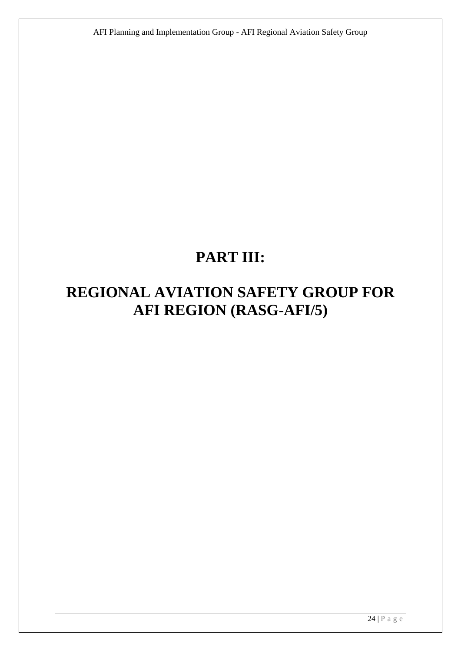# **PART III:**

# <span id="page-23-0"></span>**REGIONAL AVIATION SAFETY GROUP FOR AFI REGION (RASG-AFI/5)**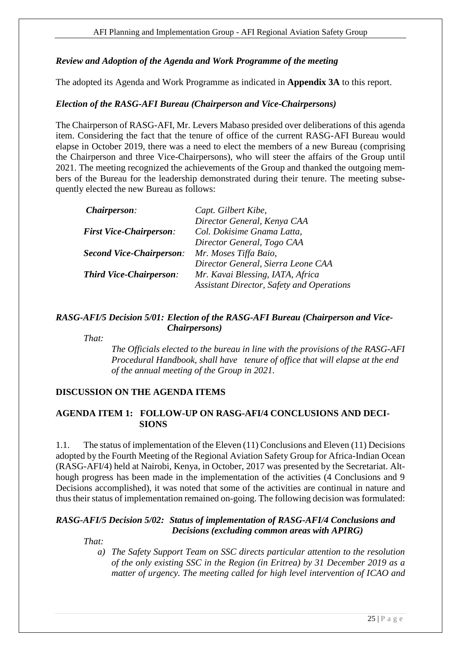## <span id="page-24-0"></span>*Review and Adoption of the Agenda and Work Programme of the meeting*

The adopted its Agenda and Work Programme as indicated in **Appendix 3A** to this report.

## <span id="page-24-1"></span>*Election of the RASG-AFI Bureau (Chairperson and Vice-Chairpersons)*

The Chairperson of RASG-AFI, Mr. Levers Mabaso presided over deliberations of this agenda item. Considering the fact that the tenure of office of the current RASG-AFI Bureau would elapse in October 2019, there was a need to elect the members of a new Bureau (comprising the Chairperson and three Vice-Chairpersons), who will steer the affairs of the Group until 2021. The meeting recognized the achievements of the Group and thanked the outgoing members of the Bureau for the leadership demonstrated during their tenure. The meeting subsequently elected the new Bureau as follows:

| <i>Chairperson:</i>             | Capt. Gilbert Kibe,                              |
|---------------------------------|--------------------------------------------------|
|                                 | Director General, Kenya CAA                      |
| <b>First Vice-Chairperson:</b>  | Col. Dokisime Gnama Latta,                       |
|                                 | Director General, Togo CAA                       |
| <b>Second Vice-Chairperson:</b> | Mr. Moses Tiffa Baio,                            |
|                                 | Director General, Sierra Leone CAA               |
| <b>Third Vice-Chairperson:</b>  | Mr. Kavai Blessing, IATA, Africa                 |
|                                 | <b>Assistant Director, Safety and Operations</b> |

#### *RASG-AFI/5 Decision 5/01: Election of the RASG-AFI Bureau (Chairperson and Vice- Chairpersons)*

*That:*

*The Officials elected to the bureau in line with the provisions of the RASG-AFI Procedural Handbook, shall have tenure of office that will elapse at the end of the annual meeting of the Group in 2021.*

## <span id="page-24-2"></span>**DISCUSSION ON THE AGENDA ITEMS**

## <span id="page-24-3"></span>**AGENDA ITEM 1: FOLLOW-UP ON RASG-AFI/4 CONCLUSIONS AND DECI-SIONS**

1.1. The status of implementation of the Eleven (11) Conclusions and Eleven (11) Decisions adopted by the Fourth Meeting of the Regional Aviation Safety Group for Africa-Indian Ocean (RASG-AFI/4) held at Nairobi, Kenya, in October, 2017 was presented by the Secretariat. Although progress has been made in the implementation of the activities (4 Conclusions and 9 Decisions accomplished), it was noted that some of the activities are continual in nature and thus their status of implementation remained on-going. The following decision was formulated:

## *RASG-AFI/5 Decision 5/02: Status of implementation of RASG-AFI/4 Conclusions and Decisions (excluding common areas with APIRG)*

*That:*

*a) The Safety Support Team on SSC directs particular attention to the resolution of the only existing SSC in the Region (in Eritrea) by 31 December 2019 as a matter of urgency. The meeting called for high level intervention of ICAO and*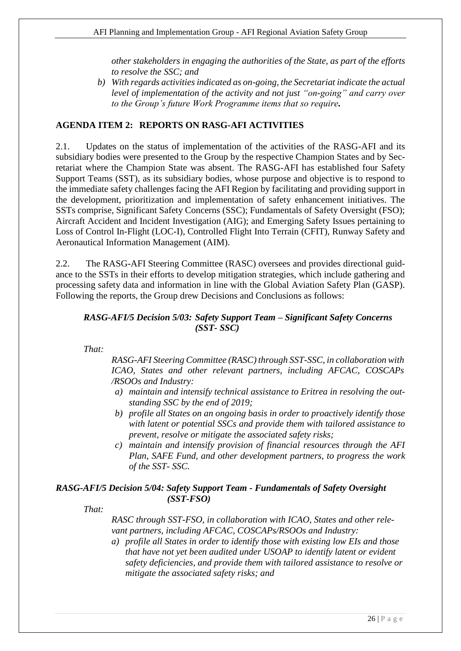*other stakeholders in engaging the authorities of the State, as part of the efforts to resolve the SSC; and*

*b) With regards activities indicated as on-going, the Secretariat indicate the actual level of implementation of the activity and not just "on-going" and carry over to the Group's future Work Programme items that so require.*

## <span id="page-25-0"></span>**AGENDA ITEM 2: REPORTS ON RASG-AFI ACTIVITIES**

2.1. Updates on the status of implementation of the activities of the RASG-AFI and its subsidiary bodies were presented to the Group by the respective Champion States and by Secretariat where the Champion State was absent. The RASG-AFI has established four Safety Support Teams (SST), as its subsidiary bodies, whose purpose and objective is to respond to the immediate safety challenges facing the AFI Region by facilitating and providing support in the development, prioritization and implementation of safety enhancement initiatives. The SSTs comprise, Significant Safety Concerns (SSC); Fundamentals of Safety Oversight (FSO); Aircraft Accident and Incident Investigation (AIG); and Emerging Safety Issues pertaining to Loss of Control In-Flight (LOC-I), Controlled Flight Into Terrain (CFIT), Runway Safety and Aeronautical Information Management (AIM).

2.2. The RASG-AFI Steering Committee (RASC) oversees and provides directional guidance to the SSTs in their efforts to develop mitigation strategies, which include gathering and processing safety data and information in line with the Global Aviation Safety Plan (GASP). Following the reports, the Group drew Decisions and Conclusions as follows:

#### *RASG-AFI/5 Decision 5/03: Safety Support Team – Significant Safety Concerns (SST- SSC)*

*That:*

*RASG-AFI Steering Committee (RASC) through SST-SSC, in collaboration with ICAO, States and other relevant partners, including AFCAC, COSCAPs /RSOOs and Industry:*

- *a) maintain and intensify technical assistance to Eritrea in resolving the outstanding SSC by the end of 2019;*
- *b) profile all States on an ongoing basis in order to proactively identify those with latent or potential SSCs and provide them with tailored assistance to prevent, resolve or mitigate the associated safety risks;*
- *c) maintain and intensify provision of financial resources through the AFI Plan, SAFE Fund, and other development partners, to progress the work of the SST- SSC.*

## *RASG-AFI/5 Decision 5/04: Safety Support Team - Fundamentals of Safety Oversight (SST-FSO)*

*That:*

*RASC through SST-FSO, in collaboration with ICAO, States and other relevant partners, including AFCAC, COSCAPs/RSOOs and Industry:*

*a) profile all States in order to identify those with existing low EIs and those that have not yet been audited under USOAP to identify latent or evident safety deficiencies, and provide them with tailored assistance to resolve or mitigate the associated safety risks; and*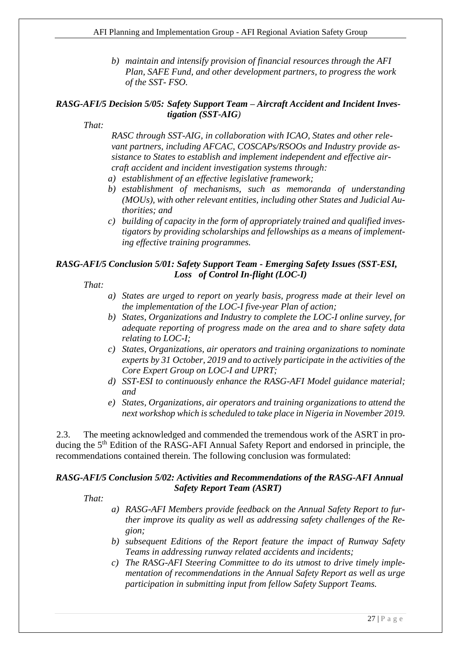*b) maintain and intensify provision of financial resources through the AFI Plan, SAFE Fund, and other development partners, to progress the work of the SST- FSO.*

#### *RASG-AFI/5 Decision 5/05: Safety Support Team – Aircraft Accident and Incident Investigation (SST-AIG)*

*That:*

*RASC through SST-AIG, in collaboration with ICAO, States and other relevant partners, including AFCAC, COSCAPs/RSOOs and Industry provide assistance to States to establish and implement independent and effective aircraft accident and incident investigation systems through:*

- *a) establishment of an effective legislative framework;*
- *b) establishment of mechanisms, such as memoranda of understanding (MOUs), with other relevant entities, including other States and Judicial Authorities; and*
- *c) building of capacity in the form of appropriately trained and qualified investigators by providing scholarships and fellowships as a means of implementing effective training programmes.*

## *RASG-AFI/5 Conclusion 5/01: Safety Support Team - Emerging Safety Issues (SST-ESI, Loss of Control In-flight (LOC-I)*

*That:*

- *a) States are urged to report on yearly basis, progress made at their level on the implementation of the LOC-I five-year Plan of action;*
- *b) States, Organizations and Industry to complete the LOC-I online survey, for adequate reporting of progress made on the area and to share safety data relating to LOC-I;*
- *c) States, Organizations, air operators and training organizations to nominate experts by 31 October, 2019 and to actively participate in the activities of the Core Expert Group on LOC-I and UPRT;*
- *d) SST-ESI to continuously enhance the RASG-AFI Model guidance material; and*
- *e) States, Organizations, air operators and training organizations to attend the next workshop which is scheduled to take place in Nigeria in November 2019.*

2.3. The meeting acknowledged and commended the tremendous work of the ASRT in producing the 5<sup>th</sup> Edition of the RASG-AFI Annual Safety Report and endorsed in principle, the recommendations contained therein. The following conclusion was formulated:

## *RASG-AFI/5 Conclusion 5/02: Activities and Recommendations of the RASG-AFI Annual Safety Report Team (ASRT)*

*That:*

- *a) RASG-AFI Members provide feedback on the Annual Safety Report to further improve its quality as well as addressing safety challenges of the Region;*
- *b) subsequent Editions of the Report feature the impact of Runway Safety Teams in addressing runway related accidents and incidents;*
- *c) The RASG-AFI Steering Committee to do its utmost to drive timely implementation of recommendations in the Annual Safety Report as well as urge participation in submitting input from fellow Safety Support Teams.*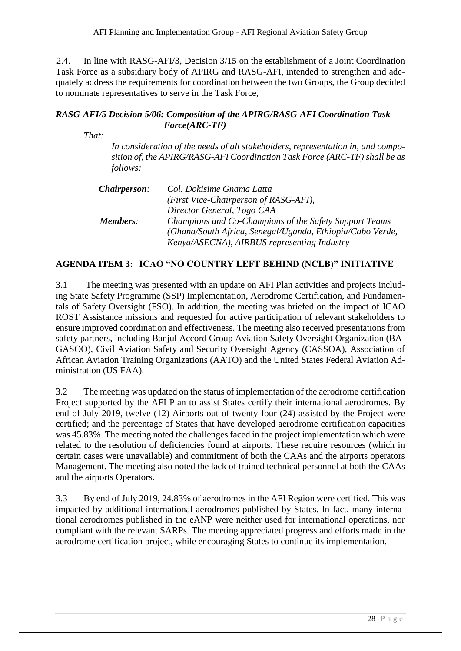2.4. In line with RASG-AFI/3, Decision 3/15 on the establishment of a Joint Coordination Task Force as a subsidiary body of APIRG and RASG-AFI, intended to strengthen and adequately address the requirements for coordination between the two Groups, the Group decided to nominate representatives to serve in the Task Force,

## *RASG-AFI/5 Decision 5/06: Composition of the APIRG/RASG-AFI Coordination Task Force(ARC-TF)*

*That:*

*In consideration of the needs of all stakeholders, representation in, and composition of, the APIRG/RASG-AFI Coordination Task Force (ARC-TF) shall be as follows:*

| <i>Chairperson:</i> | Col. Dokisime Gnama Latta                                 |
|---------------------|-----------------------------------------------------------|
|                     | (First Vice-Chairperson of RASG-AFI),                     |
|                     | Director General, Togo CAA                                |
| Members:            | Champions and Co-Champions of the Safety Support Teams    |
|                     | (Ghana/South Africa, Senegal/Uganda, Ethiopia/Cabo Verde, |
|                     | Kenya/ASECNA), AIRBUS representing Industry               |

## <span id="page-27-0"></span>**AGENDA ITEM 3: ICAO "NO COUNTRY LEFT BEHIND (NCLB)" INITIATIVE**

3.1 The meeting was presented with an update on AFI Plan activities and projects including State Safety Programme (SSP) Implementation, Aerodrome Certification, and Fundamentals of Safety Oversight (FSO). In addition, the meeting was briefed on the impact of ICAO ROST Assistance missions and requested for active participation of relevant stakeholders to ensure improved coordination and effectiveness. The meeting also received presentations from safety partners, including Banjul Accord Group Aviation Safety Oversight Organization (BA-GASOO), Civil Aviation Safety and Security Oversight Agency (CASSOA), Association of African Aviation Training Organizations (AATO) and the United States Federal Aviation Administration (US FAA).

3.2 The meeting was updated on the status of implementation of the aerodrome certification Project supported by the AFI Plan to assist States certify their international aerodromes. By end of July 2019, twelve (12) Airports out of twenty-four (24) assisted by the Project were certified; and the percentage of States that have developed aerodrome certification capacities was 45.83%. The meeting noted the challenges faced in the project implementation which were related to the resolution of deficiencies found at airports. These require resources (which in certain cases were unavailable) and commitment of both the CAAs and the airports operators Management. The meeting also noted the lack of trained technical personnel at both the CAAs and the airports Operators.

3.3 By end of July 2019, 24.83% of aerodromes in the AFI Region were certified. This was impacted by additional international aerodromes published by States. In fact, many international aerodromes published in the eANP were neither used for international operations, nor compliant with the relevant SARPs. The meeting appreciated progress and efforts made in the aerodrome certification project, while encouraging States to continue its implementation.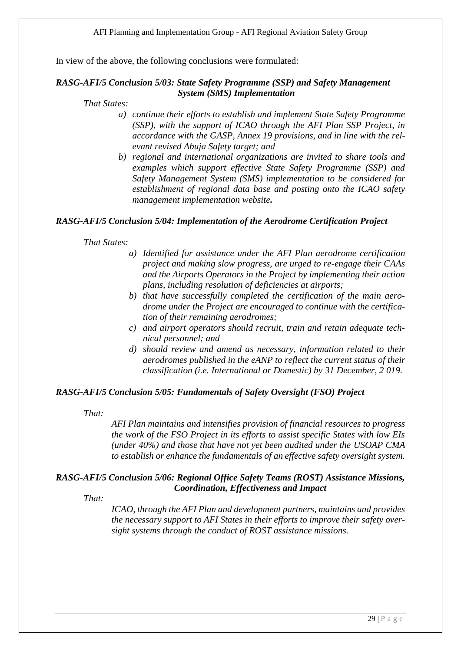In view of the above, the following conclusions were formulated:

#### *RASG-AFI/5 Conclusion 5/03: State Safety Programme (SSP) and Safety Management System (SMS) Implementation*

#### *That States:*

- *a) continue their efforts to establish and implement State Safety Programme (SSP), with the support of ICAO through the AFI Plan SSP Project, in accordance with the GASP, Annex 19 provisions, and in line with the relevant revised Abuja Safety target; and*
- *b) regional and international organizations are invited to share tools and examples which support effective State Safety Programme (SSP) and Safety Management System (SMS) implementation to be considered for establishment of regional data base and posting onto the ICAO safety management implementation website.*

#### *RASG-AFI/5 Conclusion 5/04: Implementation of the Aerodrome Certification Project*

*That States:*

- *a) Identified for assistance under the AFI Plan aerodrome certification project and making slow progress, are urged to re-engage their CAAs and the Airports Operators in the Project by implementing their action plans, including resolution of deficiencies at airports;*
- *b) that have successfully completed the certification of the main aerodrome under the Project are encouraged to continue with the certification of their remaining aerodromes;*
- *c) and airport operators should recruit, train and retain adequate technical personnel; and*
- *d) should review and amend as necessary, information related to their aerodromes published in the eANP to reflect the current status of their classification (i.e. International or Domestic) by 31 December, 2 019.*

#### *RASG-AFI/5 Conclusion 5/05: Fundamentals of Safety Oversight (FSO) Project*

#### *That:*

*AFI Plan maintains and intensifies provision of financial resources to progress the work of the FSO Project in its efforts to assist specific States with low EIs (under 40%) and those that have not yet been audited under the USOAP CMA to establish or enhance the fundamentals of an effective safety oversight system.*

#### *RASG-AFI/5 Conclusion 5/06: Regional Office Safety Teams (ROST) Assistance Missions, Coordination, Effectiveness and Impact*

*That:*

*ICAO, through the AFI Plan and development partners, maintains and provides the necessary support to AFI States in their efforts to improve their safety oversight systems through the conduct of ROST assistance missions.*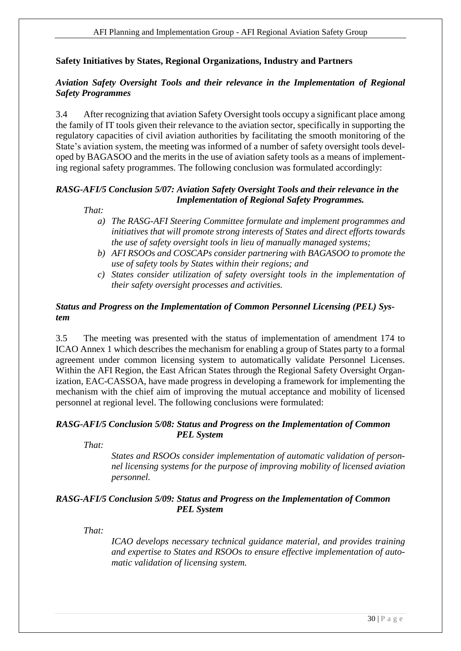# **Safety Initiatives by States, Regional Organizations, Industry and Partners**

## *Aviation Safety Oversight Tools and their relevance in the Implementation of Regional Safety Programmes*

3.4 After recognizing that aviation Safety Oversight tools occupy a significant place among the family of IT tools given their relevance to the aviation sector, specifically in supporting the regulatory capacities of civil aviation authorities by facilitating the smooth monitoring of the State's aviation system, the meeting was informed of a number of safety oversight tools developed by BAGASOO and the merits in the use of aviation safety tools as a means of implementing regional safety programmes. The following conclusion was formulated accordingly:

## *RASG-AFI/5 Conclusion 5/07: Aviation Safety Oversight Tools and their relevance in the Implementation of Regional Safety Programmes.*

 *That:*

- *a) The RASG-AFI Steering Committee formulate and implement programmes and initiatives that will promote strong interests of States and direct efforts towards the use of safety oversight tools in lieu of manually managed systems;*
- *b) AFI RSOOs and COSCAPs consider partnering with BAGASOO to promote the use of safety tools by States within their regions; and*
- *c) States consider utilization of safety oversight tools in the implementation of their safety oversight processes and activities.*

## *Status and Progress on the Implementation of Common Personnel Licensing (PEL) System*

3.5 The meeting was presented with the status of implementation of amendment 174 to ICAO Annex 1 which describes the mechanism for enabling a group of States party to a formal agreement under common licensing system to automatically validate Personnel Licenses. Within the AFI Region, the East African States through the Regional Safety Oversight Organization, EAC-CASSOA, have made progress in developing a framework for implementing the mechanism with the chief aim of improving the mutual acceptance and mobility of licensed personnel at regional level. The following conclusions were formulated:

#### *RASG-AFI/5 Conclusion 5/08: Status and Progress on the Implementation of Common PEL System*

*That:*

*States and RSOOs consider implementation of automatic validation of personnel licensing systems for the purpose of improving mobility of licensed aviation personnel.*

## *RASG-AFI/5 Conclusion 5/09: Status and Progress on the Implementation of Common PEL System*

*That:*

*ICAO develops necessary technical guidance material, and provides training and expertise to States and RSOOs to ensure effective implementation of automatic validation of licensing system.*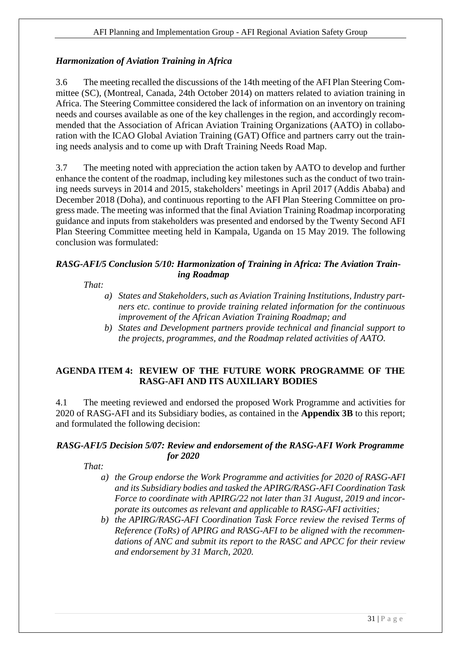# *Harmonization of Aviation Training in Africa*

3.6 The meeting recalled the discussions of the 14th meeting of the AFI Plan Steering Committee (SC), (Montreal, Canada, 24th October 2014) on matters related to aviation training in Africa. The Steering Committee considered the lack of information on an inventory on training needs and courses available as one of the key challenges in the region, and accordingly recommended that the Association of African Aviation Training Organizations (AATO) in collaboration with the ICAO Global Aviation Training (GAT) Office and partners carry out the training needs analysis and to come up with Draft Training Needs Road Map.

3.7 The meeting noted with appreciation the action taken by AATO to develop and further enhance the content of the roadmap, including key milestones such as the conduct of two training needs surveys in 2014 and 2015, stakeholders' meetings in April 2017 (Addis Ababa) and December 2018 (Doha), and continuous reporting to the AFI Plan Steering Committee on progress made. The meeting was informed that the final Aviation Training Roadmap incorporating guidance and inputs from stakeholders was presented and endorsed by the Twenty Second AFI Plan Steering Committee meeting held in Kampala, Uganda on 15 May 2019. The following conclusion was formulated:

## *RASG-AFI/5 Conclusion 5/10: Harmonization of Training in Africa: The Aviation Training Roadmap*

# *That:*

- *a) States and Stakeholders, such as Aviation Training Institutions, Industry partners etc. continue to provide training related information for the continuous improvement of the African Aviation Training Roadmap; and*
- *b) States and Development partners provide technical and financial support to the projects, programmes, and the Roadmap related activities of AATO.*

## <span id="page-30-0"></span>**AGENDA ITEM 4: REVIEW OF THE FUTURE WORK PROGRAMME OF THE RASG-AFI AND ITS AUXILIARY BODIES**

4.1 The meeting reviewed and endorsed the proposed Work Programme and activities for 2020 of RASG-AFI and its Subsidiary bodies, as contained in the **Appendix 3B** to this report; and formulated the following decision:

## *RASG-AFI/5 Decision 5/07: Review and endorsement of the RASG-AFI Work Programme for 2020*

*That:*

- *a) the Group endorse the Work Programme and activities for 2020 of RASG-AFI and its Subsidiary bodies and tasked the APIRG/RASG-AFI Coordination Task Force to coordinate with APIRG/22 not later than 31 August, 2019 and incorporate its outcomes as relevant and applicable to RASG-AFI activities;*
- *b) the APIRG/RASG-AFI Coordination Task Force review the revised Terms of Reference (ToRs) of APIRG and RASG-AFI to be aligned with the recommendations of ANC and submit its report to the RASC and APCC for their review and endorsement by 31 March, 2020.*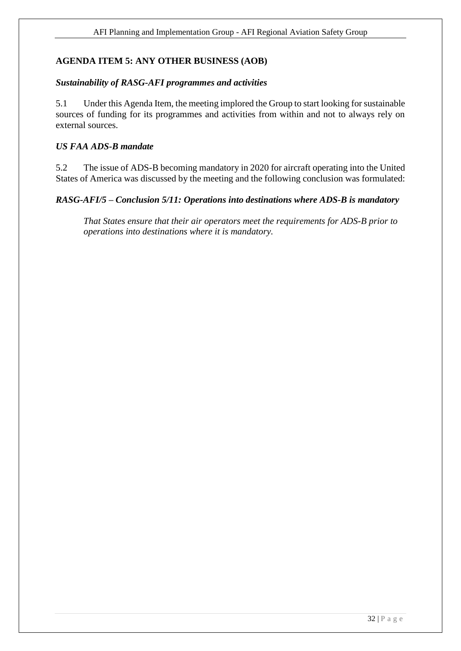# <span id="page-31-0"></span>**AGENDA ITEM 5: ANY OTHER BUSINESS (AOB)**

#### *Sustainability of RASG-AFI programmes and activities*

5.1 Under this Agenda Item, the meeting implored the Group to start looking for sustainable sources of funding for its programmes and activities from within and not to always rely on external sources.

## *US FAA ADS-B mandate*

5.2 The issue of ADS-B becoming mandatory in 2020 for aircraft operating into the United States of America was discussed by the meeting and the following conclusion was formulated:

## *RASG-AFI/5 – Conclusion 5/11: Operations into destinations where ADS-B is mandatory*

*That States ensure that their air operators meet the requirements for ADS-B prior to operations into destinations where it is mandatory.*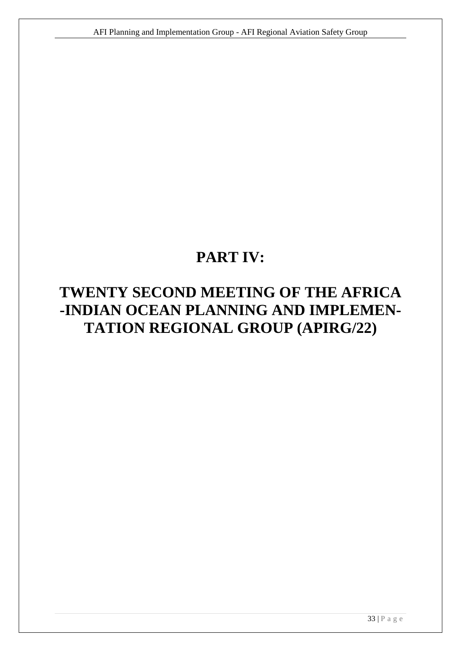# **PART IV:**

# <span id="page-32-0"></span>**TWENTY SECOND MEETING OF THE AFRICA -INDIAN OCEAN PLANNING AND IMPLEMEN-TATION REGIONAL GROUP (APIRG/22)**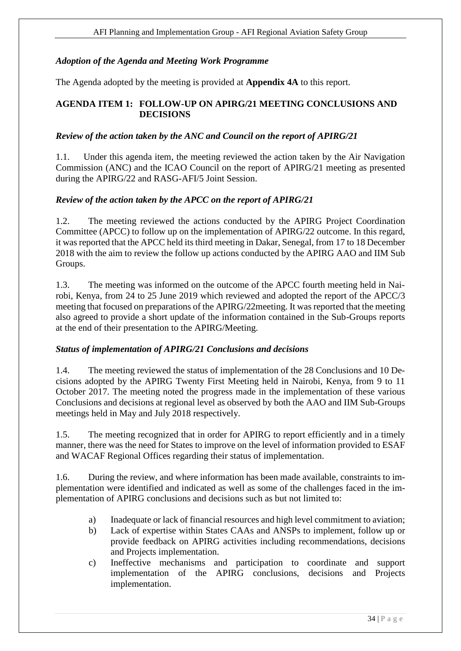## <span id="page-33-0"></span>*Adoption of the Agenda and Meeting Work Programme*

The Agenda adopted by the meeting is provided at **Appendix 4A** to this report.

## <span id="page-33-2"></span><span id="page-33-1"></span>**AGENDA ITEM 1: FOLLOW-UP ON APIRG/21 MEETING CONCLUSIONS AND DECISIONS**

## *Review of the action taken by the ANC and Council on the report of APIRG/21*

1.1. Under this agenda item, the meeting reviewed the action taken by the Air Navigation Commission (ANC) and the ICAO Council on the report of APIRG/21 meeting as presented during the APIRG/22 and RASG-AFI/5 Joint Session.

## *Review of the action taken by the APCC on the report of APIRG/21*

1.2. The meeting reviewed the actions conducted by the APIRG Project Coordination Committee (APCC) to follow up on the implementation of APIRG/22 outcome. In this regard, it was reported that the APCC held its third meeting in Dakar, Senegal, from 17 to 18 December 2018 with the aim to review the follow up actions conducted by the APIRG AAO and IIM Sub Groups.

1.3. The meeting was informed on the outcome of the APCC fourth meeting held in Nairobi, Kenya, from 24 to 25 June 2019 which reviewed and adopted the report of the APCC/3 meeting that focused on preparations of the APIRG/22meeting. It was reported that the meeting also agreed to provide a short update of the information contained in the Sub-Groups reports at the end of their presentation to the APIRG/Meeting.

## *Status of implementation of APIRG/21 Conclusions and decisions*

1.4. The meeting reviewed the status of implementation of the 28 Conclusions and 10 Decisions adopted by the APIRG Twenty First Meeting held in Nairobi, Kenya, from 9 to 11 October 2017. The meeting noted the progress made in the implementation of these various Conclusions and decisions at regional level as observed by both the AAO and IIM Sub-Groups meetings held in May and July 2018 respectively.

1.5. The meeting recognized that in order for APIRG to report efficiently and in a timely manner, there was the need for States to improve on the level of information provided to ESAF and WACAF Regional Offices regarding their status of implementation.

1.6. During the review, and where information has been made available, constraints to implementation were identified and indicated as well as some of the challenges faced in the implementation of APIRG conclusions and decisions such as but not limited to:

- a) Inadequate or lack of financial resources and high level commitment to aviation;
- b) Lack of expertise within States CAAs and ANSPs to implement, follow up or provide feedback on APIRG activities including recommendations, decisions and Projects implementation.
- c) Ineffective mechanisms and participation to coordinate and support implementation of the APIRG conclusions, decisions and Projects implementation.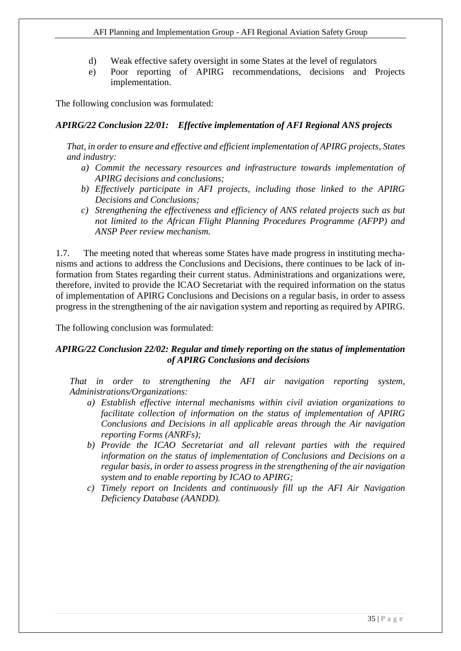- d) Weak effective safety oversight in some States at the level of regulators
- e) Poor reporting of APIRG recommendations, decisions and Projects implementation.

The following conclusion was formulated:

#### *APIRG/22 Conclusion 22/01: Effective implementation of AFI Regional ANS projects*

*That, in order to ensure and effective and efficient implementation of APIRG projects, States and industry:*

- *a) Commit the necessary resources and infrastructure towards implementation of APIRG decisions and conclusions;*
- *b) Effectively participate in AFI projects, including those linked to the APIRG Decisions and Conclusions;*
- *c) Strengthening the effectiveness and efficiency of ANS related projects such as but not limited to the African Flight Planning Procedures Programme (AFPP) and ANSP Peer review mechanism.*

1.7. The meeting noted that whereas some States have made progress in instituting mechanisms and actions to address the Conclusions and Decisions, there continues to be lack of information from States regarding their current status. Administrations and organizations were, therefore, invited to provide the ICAO Secretariat with the required information on the status of implementation of APIRG Conclusions and Decisions on a regular basis, in order to assess progress in the strengthening of the air navigation system and reporting as required by APIRG.

The following conclusion was formulated:

## *APIRG/22 Conclusion 22/02: Regular and timely reporting on the status of implementation of APIRG Conclusions and decisions*

*That in order to strengthening the AFI air navigation reporting system, Administrations/Organizations:* 

- *a) Establish effective internal mechanisms within civil aviation organizations to facilitate collection of information on the status of implementation of APIRG Conclusions and Decisions in all applicable areas through the Air navigation reporting Forms (ANRFs);*
- *b) Provide the ICAO Secretariat and all relevant parties with the required information on the status of implementation of Conclusions and Decisions on a regular basis, in order to assess progress in the strengthening of the air navigation system and to enable reporting by ICAO to APIRG;*
- <span id="page-34-0"></span>*c) Timely report on Incidents and continuously fill up the AFI Air Navigation Deficiency Database (AANDD).*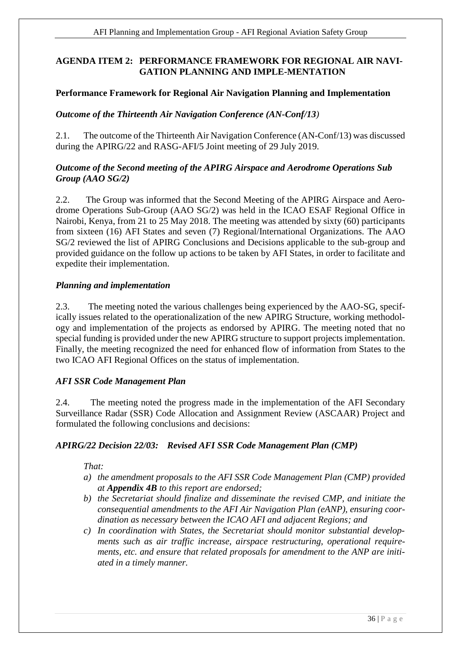## **AGENDA ITEM 2: PERFORMANCE FRAMEWORK FOR REGIONAL AIR NAVI-GATION PLANNING AND IMPLE-MENTATION**

## **Performance Framework for Regional Air Navigation Planning and Implementation**

## *Outcome of the Thirteenth Air Navigation Conference (AN-Conf/13)*

2.1. The outcome of the Thirteenth Air Navigation Conference (AN-Conf/13) was discussed during the APIRG/22 and RASG-AFI/5 Joint meeting of 29 July 2019.

## *Outcome of the Second meeting of the APIRG Airspace and Aerodrome Operations Sub Group (AAO SG/2)*

2.2. The Group was informed that the Second Meeting of the APIRG Airspace and Aerodrome Operations Sub-Group (AAO SG/2) was held in the ICAO ESAF Regional Office in Nairobi, Kenya, from 21 to 25 May 2018. The meeting was attended by sixty (60) participants from sixteen (16) AFI States and seven (7) Regional/International Organizations. The AAO SG/2 reviewed the list of APIRG Conclusions and Decisions applicable to the sub-group and provided guidance on the follow up actions to be taken by AFI States, in order to facilitate and expedite their implementation.

## *Planning and implementation*

2.3. The meeting noted the various challenges being experienced by the AAO-SG, specifically issues related to the operationalization of the new APIRG Structure, working methodology and implementation of the projects as endorsed by APIRG. The meeting noted that no special funding is provided under the new APIRG structure to support projects implementation. Finally, the meeting recognized the need for enhanced flow of information from States to the two ICAO AFI Regional Offices on the status of implementation.

## *AFI SSR Code Management Plan*

2.4. The meeting noted the progress made in the implementation of the AFI Secondary Surveillance Radar (SSR) Code Allocation and Assignment Review (ASCAAR) Project and formulated the following conclusions and decisions:

## *APIRG/22 Decision 22/03: Revised AFI SSR Code Management Plan (CMP)*

*That:*

- *a) the amendment proposals to the AFI SSR Code Management Plan (CMP) provided at Appendix 4B to this report are endorsed;*
- *b) the Secretariat should finalize and disseminate the revised CMP, and initiate the consequential amendments to the AFI Air Navigation Plan (eANP), ensuring coordination as necessary between the ICAO AFI and adjacent Regions; and*
- *c) In coordination with States, the Secretariat should monitor substantial developments such as air traffic increase, airspace restructuring, operational requirements, etc. and ensure that related proposals for amendment to the ANP are initiated in a timely manner.*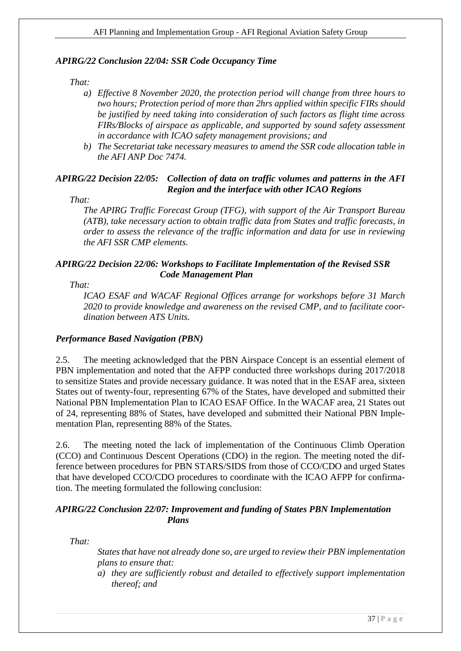## *APIRG/22 Conclusion 22/04: SSR Code Occupancy Time*

#### *That:*

- *a) Effective 8 November 2020, the protection period will change from three hours to two hours; Protection period of more than 2hrs applied within specific FIRs should be justified by need taking into consideration of such factors as flight time across FIRs/Blocks of airspace as applicable, and supported by sound safety assessment in accordance with ICAO safety management provisions; and*
- *b) The Secretariat take necessary measures to amend the SSR code allocation table in the AFI ANP Doc 7474.*

## *APIRG/22 Decision 22/05: Collection of data on traffic volumes and patterns in the AFI Region and the interface with other ICAO Regions*

*That:*

*The APIRG Traffic Forecast Group (TFG), with support of the Air Transport Bureau (ATB), take necessary action to obtain traffic data from States and traffic forecasts, in order to assess the relevance of the traffic information and data for use in reviewing the AFI SSR CMP elements.*

## *APIRG/22 Decision 22/06: Workshops to Facilitate Implementation of the Revised SSR Code Management Plan*

*That:*

*ICAO ESAF and WACAF Regional Offices arrange for workshops before 31 March 2020 to provide knowledge and awareness on the revised CMP, and to facilitate coordination between ATS Units.*

#### *Performance Based Navigation (PBN)*

2.5. The meeting acknowledged that the PBN Airspace Concept is an essential element of PBN implementation and noted that the AFPP conducted three workshops during 2017/2018 to sensitize States and provide necessary guidance. It was noted that in the ESAF area, sixteen States out of twenty-four, representing 67% of the States, have developed and submitted their National PBN Implementation Plan to ICAO ESAF Office. In the WACAF area, 21 States out of 24, representing 88% of States, have developed and submitted their National PBN Implementation Plan, representing 88% of the States.

2.6. The meeting noted the lack of implementation of the Continuous Climb Operation (CCO) and Continuous Descent Operations (CDO) in the region. The meeting noted the difference between procedures for PBN STARS/SIDS from those of CCO/CDO and urged States that have developed CCO/CDO procedures to coordinate with the ICAO AFPP for confirmation. The meeting formulated the following conclusion:

## *APIRG/22 Conclusion 22/07: Improvement and funding of States PBN Implementation Plans*

*That:*

*States that have not already done so, are urged to review their PBN implementation plans to ensure that:*

*a) they are sufficiently robust and detailed to effectively support implementation thereof; and*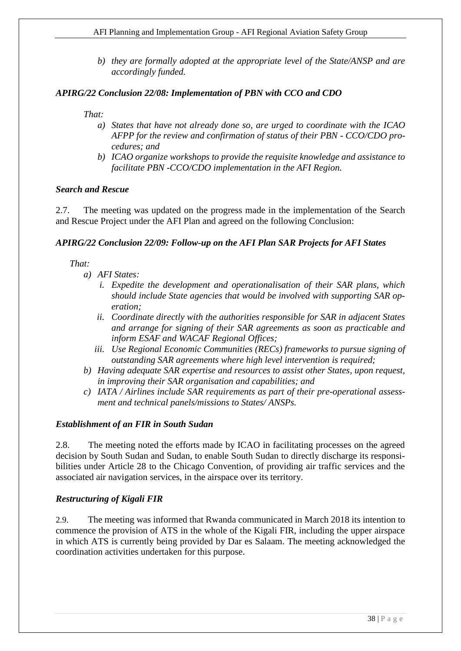*b) they are formally adopted at the appropriate level of the State/ANSP and are accordingly funded.*

## *APIRG/22 Conclusion 22/08: Implementation of PBN with CCO and CDO*

*That:*

- *a) States that have not already done so, are urged to coordinate with the ICAO AFPP for the review and confirmation of status of their PBN - CCO/CDO procedures; and*
- *b) ICAO organize workshops to provide the requisite knowledge and assistance to facilitate PBN -CCO/CDO implementation in the AFI Region.*

#### *Search and Rescue*

2.7. The meeting was updated on the progress made in the implementation of the Search and Rescue Project under the AFI Plan and agreed on the following Conclusion:

## *APIRG/22 Conclusion 22/09: Follow-up on the AFI Plan SAR Projects for AFI States*

*That:*

- *a) AFI States:*
	- *i. Expedite the development and operationalisation of their SAR plans, which should include State agencies that would be involved with supporting SAR operation;*
	- *ii. Coordinate directly with the authorities responsible for SAR in adjacent States and arrange for signing of their SAR agreements as soon as practicable and inform ESAF and WACAF Regional Offices;*
	- *iii. Use Regional Economic Communities (RECs) frameworks to pursue signing of outstanding SAR agreements where high level intervention is required;*
- *b) Having adequate SAR expertise and resources to assist other States, upon request, in improving their SAR organisation and capabilities; and*
- *c) IATA / Airlines include SAR requirements as part of their pre-operational assessment and technical panels/missions to States/ ANSPs.*

#### *Establishment of an FIR in South Sudan*

2.8. The meeting noted the efforts made by ICAO in facilitating processes on the agreed decision by South Sudan and Sudan, to enable South Sudan to directly discharge its responsibilities under Article 28 to the Chicago Convention, of providing air traffic services and the associated air navigation services, in the airspace over its territory.

## *Restructuring of Kigali FIR*

2.9. The meeting was informed that Rwanda communicated in March 2018 its intention to commence the provision of ATS in the whole of the Kigali FIR, including the upper airspace in which ATS is currently being provided by Dar es Salaam. The meeting acknowledged the coordination activities undertaken for this purpose.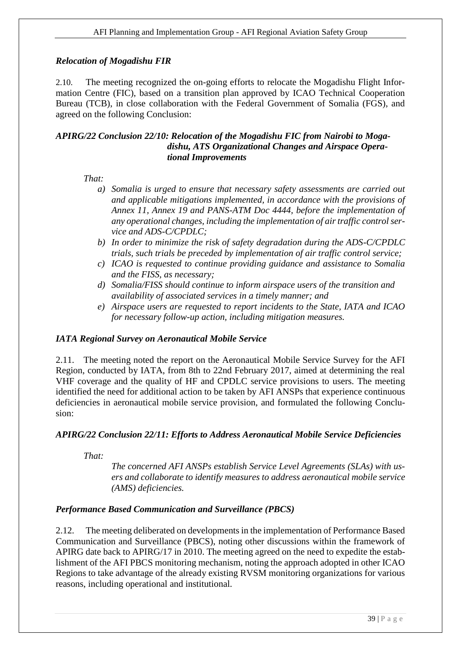# *Relocation of Mogadishu FIR*

2.10. The meeting recognized the on-going efforts to relocate the Mogadishu Flight Information Centre (FIC), based on a transition plan approved by ICAO Technical Cooperation Bureau (TCB), in close collaboration with the Federal Government of Somalia (FGS), and agreed on the following Conclusion:

#### *APIRG/22 Conclusion 22/10: Relocation of the Mogadishu FIC from Nairobi to Mogadishu, ATS Organizational Changes and Airspace Operational Improvements*

*That:*

- *a) Somalia is urged to ensure that necessary safety assessments are carried out and applicable mitigations implemented, in accordance with the provisions of Annex 11, Annex 19 and PANS-ATM Doc 4444, before the implementation of any operational changes, including the implementation of air traffic control service and ADS-C/CPDLC;*
- *b) In order to minimize the risk of safety degradation during the ADS-C/CPDLC trials, such trials be preceded by implementation of air traffic control service;*
- *c) ICAO is requested to continue providing guidance and assistance to Somalia and the FISS, as necessary;*
- *d) Somalia/FISS should continue to inform airspace users of the transition and availability of associated services in a timely manner; and*
- *e) Airspace users are requested to report incidents to the State, IATA and ICAO for necessary follow-up action, including mitigation measures.*

## *IATA Regional Survey on Aeronautical Mobile Service*

2.11. The meeting noted the report on the Aeronautical Mobile Service Survey for the AFI Region, conducted by IATA, from 8th to 22nd February 2017, aimed at determining the real VHF coverage and the quality of HF and CPDLC service provisions to users. The meeting identified the need for additional action to be taken by AFI ANSPs that experience continuous deficiencies in aeronautical mobile service provision, and formulated the following Conclusion:

## *APIRG/22 Conclusion 22/11: Efforts to Address Aeronautical Mobile Service Deficiencies*

*That:*

*The concerned AFI ANSPs establish Service Level Agreements (SLAs) with users and collaborate to identify measures to address aeronautical mobile service (AMS) deficiencies.*

## *Performance Based Communication and Surveillance (PBCS)*

2.12. The meeting deliberated on developments in the implementation of Performance Based Communication and Surveillance (PBCS), noting other discussions within the framework of APIRG date back to APIRG/17 in 2010. The meeting agreed on the need to expedite the establishment of the AFI PBCS monitoring mechanism, noting the approach adopted in other ICAO Regions to take advantage of the already existing RVSM monitoring organizations for various reasons, including operational and institutional.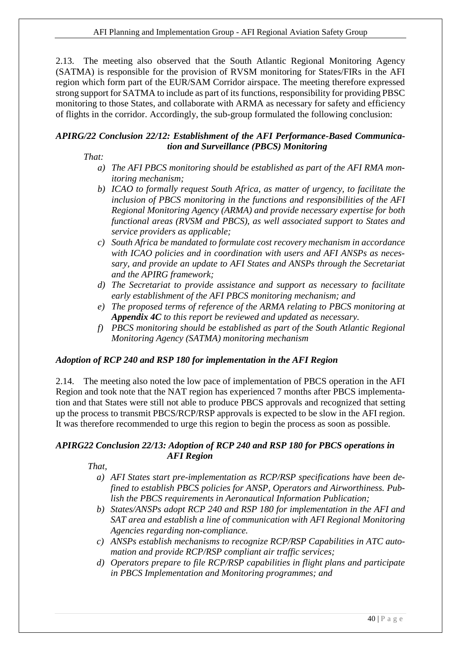2.13. The meeting also observed that the South Atlantic Regional Monitoring Agency (SATMA) is responsible for the provision of RVSM monitoring for States/FIRs in the AFI region which form part of the EUR/SAM Corridor airspace. The meeting therefore expressed strong support for SATMA to include as part of its functions, responsibility for providing PBSC monitoring to those States, and collaborate with ARMA as necessary for safety and efficiency of flights in the corridor. Accordingly, the sub-group formulated the following conclusion:

## *APIRG/22 Conclusion 22/12: Establishment of the AFI Performance-Based Communication and Surveillance (PBCS) Monitoring*

*That:*

- *a) The AFI PBCS monitoring should be established as part of the AFI RMA monitoring mechanism;*
- *b) ICAO to formally request South Africa, as matter of urgency, to facilitate the inclusion of PBCS monitoring in the functions and responsibilities of the AFI Regional Monitoring Agency (ARMA) and provide necessary expertise for both functional areas (RVSM and PBCS), as well associated support to States and service providers as applicable;*
- *c) South Africa be mandated to formulate cost recovery mechanism in accordance with ICAO policies and in coordination with users and AFI ANSPs as necessary, and provide an update to AFI States and ANSPs through the Secretariat and the APIRG framework;*
- *d) The Secretariat to provide assistance and support as necessary to facilitate early establishment of the AFI PBCS monitoring mechanism; and*
- *e) The proposed terms of reference of the ARMA relating to PBCS monitoring at Appendix 4C to this report be reviewed and updated as necessary.*
- *f) PBCS monitoring should be established as part of the South Atlantic Regional Monitoring Agency (SATMA) monitoring mechanism*

## *Adoption of RCP 240 and RSP 180 for implementation in the AFI Region*

2.14. The meeting also noted the low pace of implementation of PBCS operation in the AFI Region and took note that the NAT region has experienced 7 months after PBCS implementation and that States were still not able to produce PBCS approvals and recognized that setting up the process to transmit PBCS/RCP/RSP approvals is expected to be slow in the AFI region. It was therefore recommended to urge this region to begin the process as soon as possible.

## *APIRG22 Conclusion 22/13: Adoption of RCP 240 and RSP 180 for PBCS operations in AFI Region*

 *That,* 

- *a) AFI States start pre-implementation as RCP/RSP specifications have been defined to establish PBCS policies for ANSP, Operators and Airworthiness. Publish the PBCS requirements in Aeronautical Information Publication;*
- *b) States/ANSPs adopt RCP 240 and RSP 180 for implementation in the AFI and SAT area and establish a line of communication with AFI Regional Monitoring Agencies regarding non-compliance.*
- *c) ANSPs establish mechanisms to recognize RCP/RSP Capabilities in ATC automation and provide RCP/RSP compliant air traffic services;*
- *d) Operators prepare to file RCP/RSP capabilities in flight plans and participate in PBCS Implementation and Monitoring programmes; and*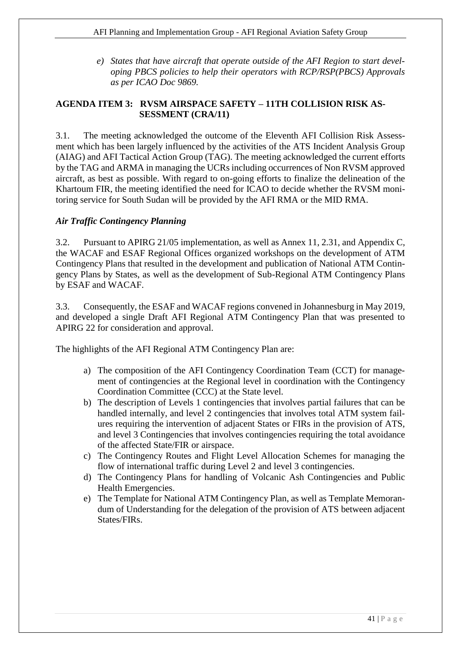*e) States that have aircraft that operate outside of the AFI Region to start developing PBCS policies to help their operators with RCP/RSP(PBCS) Approvals as per ICAO Doc 9869.* 

## <span id="page-40-0"></span>**AGENDA ITEM 3: RVSM AIRSPACE SAFETY – 11TH COLLISION RISK AS-SESSMENT (CRA/11)**

3.1. The meeting acknowledged the outcome of the Eleventh AFI Collision Risk Assessment which has been largely influenced by the activities of the ATS Incident Analysis Group (AIAG) and AFI Tactical Action Group (TAG). The meeting acknowledged the current efforts by the TAG and ARMA in managing the UCRs including occurrences of Non RVSM approved aircraft, as best as possible. With regard to on-going efforts to finalize the delineation of the Khartoum FIR, the meeting identified the need for ICAO to decide whether the RVSM monitoring service for South Sudan will be provided by the AFI RMA or the MID RMA.

## *Air Traffic Contingency Planning*

3.2. Pursuant to APIRG 21/05 implementation, as well as Annex 11, 2.31, and Appendix C, the WACAF and ESAF Regional Offices organized workshops on the development of ATM Contingency Plans that resulted in the development and publication of National ATM Contingency Plans by States, as well as the development of Sub-Regional ATM Contingency Plans by ESAF and WACAF.

3.3. Consequently, the ESAF and WACAF regions convened in Johannesburg in May 2019, and developed a single Draft AFI Regional ATM Contingency Plan that was presented to APIRG 22 for consideration and approval.

The highlights of the AFI Regional ATM Contingency Plan are:

- a) The composition of the AFI Contingency Coordination Team (CCT) for management of contingencies at the Regional level in coordination with the Contingency Coordination Committee (CCC) at the State level.
- b) The description of Levels 1 contingencies that involves partial failures that can be handled internally, and level 2 contingencies that involves total ATM system failures requiring the intervention of adjacent States or FIRs in the provision of ATS, and level 3 Contingencies that involves contingencies requiring the total avoidance of the affected State/FIR or airspace.
- c) The Contingency Routes and Flight Level Allocation Schemes for managing the flow of international traffic during Level 2 and level 3 contingencies.
- d) The Contingency Plans for handling of Volcanic Ash Contingencies and Public Health Emergencies.
- e) The Template for National ATM Contingency Plan, as well as Template Memorandum of Understanding for the delegation of the provision of ATS between adjacent States/FIRs.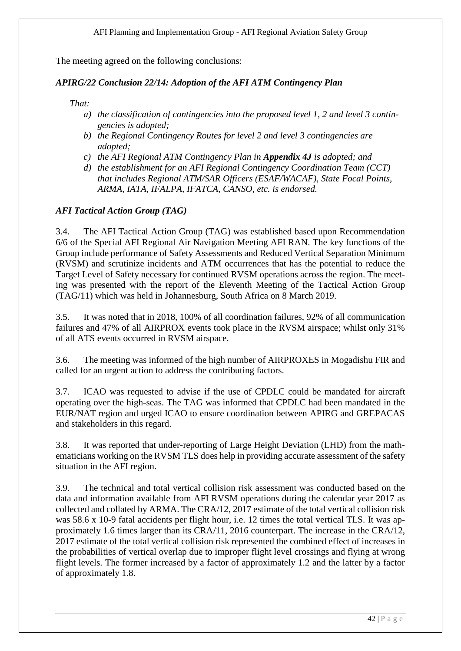The meeting agreed on the following conclusions:

## *APIRG/22 Conclusion 22/14: Adoption of the AFI ATM Contingency Plan*

*That:*

- *a) the classification of contingencies into the proposed level 1, 2 and level 3 contingencies is adopted;*
- *b) the Regional Contingency Routes for level 2 and level 3 contingencies are adopted;*
- *c) the AFI Regional ATM Contingency Plan in Appendix 4J is adopted; and*
- *d) the establishment for an AFI Regional Contingency Coordination Team (CCT) that includes Regional ATM/SAR Officers (ESAF/WACAF), State Focal Points, ARMA, IATA, IFALPA, IFATCA, CANSO, etc. is endorsed.*

## *AFI Tactical Action Group (TAG)*

3.4. The AFI Tactical Action Group (TAG) was established based upon Recommendation 6/6 of the Special AFI Regional Air Navigation Meeting AFI RAN. The key functions of the Group include performance of Safety Assessments and Reduced Vertical Separation Minimum (RVSM) and scrutinize incidents and ATM occurrences that has the potential to reduce the Target Level of Safety necessary for continued RVSM operations across the region. The meeting was presented with the report of the Eleventh Meeting of the Tactical Action Group (TAG/11) which was held in Johannesburg, South Africa on 8 March 2019.

3.5. It was noted that in 2018, 100% of all coordination failures, 92% of all communication failures and 47% of all AIRPROX events took place in the RVSM airspace; whilst only 31% of all ATS events occurred in RVSM airspace.

3.6. The meeting was informed of the high number of AIRPROXES in Mogadishu FIR and called for an urgent action to address the contributing factors.

3.7. ICAO was requested to advise if the use of CPDLC could be mandated for aircraft operating over the high-seas. The TAG was informed that CPDLC had been mandated in the EUR/NAT region and urged ICAO to ensure coordination between APIRG and GREPACAS and stakeholders in this regard.

3.8. It was reported that under-reporting of Large Height Deviation (LHD) from the mathematicians working on the RVSM TLS does help in providing accurate assessment of the safety situation in the AFI region.

3.9. The technical and total vertical collision risk assessment was conducted based on the data and information available from AFI RVSM operations during the calendar year 2017 as collected and collated by ARMA. The CRA/12, 2017 estimate of the total vertical collision risk was 58.6 x 10-9 fatal accidents per flight hour, i.e. 12 times the total vertical TLS. It was approximately 1.6 times larger than its CRA/11, 2016 counterpart. The increase in the CRA/12, 2017 estimate of the total vertical collision risk represented the combined effect of increases in the probabilities of vertical overlap due to improper flight level crossings and flying at wrong flight levels. The former increased by a factor of approximately 1.2 and the latter by a factor of approximately 1.8.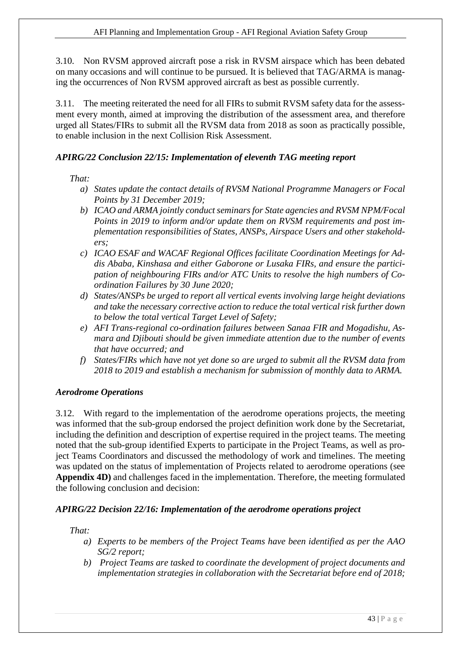3.10. Non RVSM approved aircraft pose a risk in RVSM airspace which has been debated on many occasions and will continue to be pursued. It is believed that TAG/ARMA is managing the occurrences of Non RVSM approved aircraft as best as possible currently.

3.11. The meeting reiterated the need for all FIRs to submit RVSM safety data for the assessment every month, aimed at improving the distribution of the assessment area, and therefore urged all States/FIRs to submit all the RVSM data from 2018 as soon as practically possible, to enable inclusion in the next Collision Risk Assessment.

## *APIRG/22 Conclusion 22/15: Implementation of eleventh TAG meeting report*

## *That:*

- *a) States update the contact details of RVSM National Programme Managers or Focal Points by 31 December 2019;*
- *b) ICAO and ARMA jointly conduct seminars for State agencies and RVSM NPM/Focal Points in 2019 to inform and/or update them on RVSM requirements and post implementation responsibilities of States, ANSPs, Airspace Users and other stakeholders;*
- *c) ICAO ESAF and WACAF Regional Offices facilitate Coordination Meetings for Addis Ababa, Kinshasa and either Gaborone or Lusaka FIRs, and ensure the participation of neighbouring FIRs and/or ATC Units to resolve the high numbers of Coordination Failures by 30 June 2020;*
- *d) States/ANSPs be urged to report all vertical events involving large height deviations and take the necessary corrective action to reduce the total vertical risk further down to below the total vertical Target Level of Safety;*
- *e) AFI Trans-regional co-ordination failures between Sanaa FIR and Mogadishu, Asmara and Djibouti should be given immediate attention due to the number of events that have occurred; and*
- *f) States/FIRs which have not yet done so are urged to submit all the RVSM data from 2018 to 2019 and establish a mechanism for submission of monthly data to ARMA.*

## *Aerodrome Operations*

3.12. With regard to the implementation of the aerodrome operations projects, the meeting was informed that the sub-group endorsed the project definition work done by the Secretariat, including the definition and description of expertise required in the project teams. The meeting noted that the sub-group identified Experts to participate in the Project Teams, as well as project Teams Coordinators and discussed the methodology of work and timelines. The meeting was updated on the status of implementation of Projects related to aerodrome operations (see **Appendix 4D)** and challenges faced in the implementation. Therefore, the meeting formulated the following conclusion and decision:

## *APIRG/22 Decision 22/16: Implementation of the aerodrome operations project*

# *That:*

- *a) Experts to be members of the Project Teams have been identified as per the AAO SG/2 report;*
- *b) Project Teams are tasked to coordinate the development of project documents and implementation strategies in collaboration with the Secretariat before end of 2018;*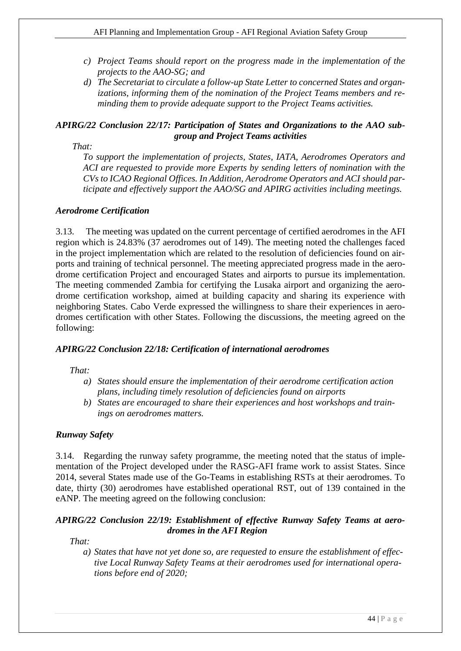- *c) Project Teams should report on the progress made in the implementation of the projects to the AAO-SG; and*
- *d) The Secretariat to circulate a follow-up State Letter to concerned States and organizations, informing them of the nomination of the Project Teams members and reminding them to provide adequate support to the Project Teams activities.*

## *APIRG/22 Conclusion 22/17: Participation of States and Organizations to the AAO subgroup and Project Teams activities*

*That:*

*To support the implementation of projects, States, IATA, Aerodromes Operators and ACI are requested to provide more Experts by sending letters of nomination with the CVs to ICAO Regional Offices. In Addition, Aerodrome Operators and ACI should participate and effectively support the AAO/SG and APIRG activities including meetings.*

## *Aerodrome Certification*

3.13. The meeting was updated on the current percentage of certified aerodromes in the AFI region which is 24.83% (37 aerodromes out of 149). The meeting noted the challenges faced in the project implementation which are related to the resolution of deficiencies found on airports and training of technical personnel. The meeting appreciated progress made in the aerodrome certification Project and encouraged States and airports to pursue its implementation. The meeting commended Zambia for certifying the Lusaka airport and organizing the aerodrome certification workshop, aimed at building capacity and sharing its experience with neighboring States. Cabo Verde expressed the willingness to share their experiences in aerodromes certification with other States. Following the discussions, the meeting agreed on the following:

#### *APIRG/22 Conclusion 22/18: Certification of international aerodromes*

*That:*

- *a) States should ensure the implementation of their aerodrome certification action plans, including timely resolution of deficiencies found on airports*
- *b) States are encouraged to share their experiences and host workshops and trainings on aerodromes matters.*

#### *Runway Safety*

3.14. Regarding the runway safety programme, the meeting noted that the status of implementation of the Project developed under the RASG-AFI frame work to assist States. Since 2014, several States made use of the Go-Teams in establishing RSTs at their aerodromes. To date, thirty (30) aerodromes have established operational RST, out of 139 contained in the eANP. The meeting agreed on the following conclusion:

## *APIRG/22 Conclusion 22/19: Establishment of effective Runway Safety Teams at aerodromes in the AFI Region*

*That:*

*a) States that have not yet done so, are requested to ensure the establishment of effective Local Runway Safety Teams at their aerodromes used for international operations before end of 2020;*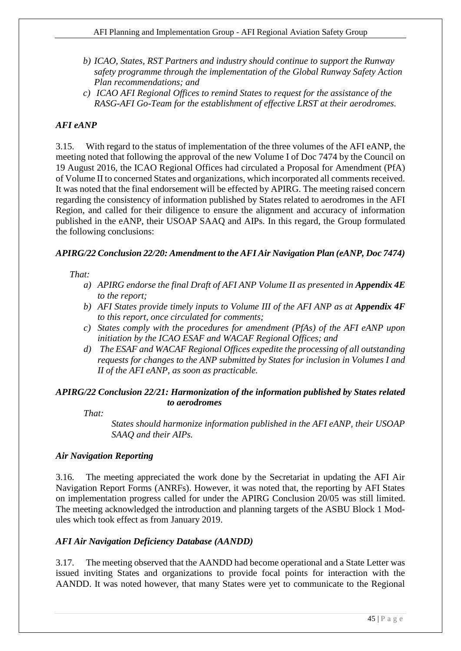- *b) ICAO, States, RST Partners and industry should continue to support the Runway safety programme through the implementation of the Global Runway Safety Action Plan recommendations; and*
- *c) ICAO AFI Regional Offices to remind States to request for the assistance of the RASG-AFI Go-Team for the establishment of effective LRST at their aerodromes.*

# *AFI eANP*

3.15. With regard to the status of implementation of the three volumes of the AFI eANP, the meeting noted that following the approval of the new Volume I of Doc 7474 by the Council on 19 August 2016, the ICAO Regional Offices had circulated a Proposal for Amendment (PfA) of Volume II to concerned States and organizations, which incorporated all comments received. It was noted that the final endorsement will be effected by APIRG. The meeting raised concern regarding the consistency of information published by States related to aerodromes in the AFI Region, and called for their diligence to ensure the alignment and accuracy of information published in the eANP, their USOAP SAAQ and AIPs. In this regard, the Group formulated the following conclusions:

## *APIRG/22 Conclusion 22/20: Amendment to the AFI Air Navigation Plan (eANP, Doc 7474)*

## *That:*

- *a*) *APIRG endorse the final Draft of AFI ANP Volume II as presented in <i>Appendix 4E to the report;*
- *b) AFI States provide timely inputs to Volume III of the AFI ANP as at <i>Appendix 4F to this report, once circulated for comments;*
- *c) States comply with the procedures for amendment (PfAs) of the AFI eANP upon initiation by the ICAO ESAF and WACAF Regional Offices; and*
- *d) The ESAF and WACAF Regional Offices expedite the processing of all outstanding requests for changes to the ANP submitted by States for inclusion in Volumes I and II of the AFI eANP, as soon as practicable.*

## *APIRG/22 Conclusion 22/21: Harmonization of the information published by States related to aerodromes*

*That:*

*States should harmonize information published in the AFI eANP, their USOAP SAAQ and their AIPs.*

## *Air Navigation Reporting*

3.16. The meeting appreciated the work done by the Secretariat in updating the AFI Air Navigation Report Forms (ANRFs). However, it was noted that, the reporting by AFI States on implementation progress called for under the APIRG Conclusion 20/05 was still limited. The meeting acknowledged the introduction and planning targets of the ASBU Block 1 Modules which took effect as from January 2019.

## *AFI Air Navigation Deficiency Database (AANDD)*

3.17. The meeting observed that the AANDD had become operational and a State Letter was issued inviting States and organizations to provide focal points for interaction with the AANDD. It was noted however, that many States were yet to communicate to the Regional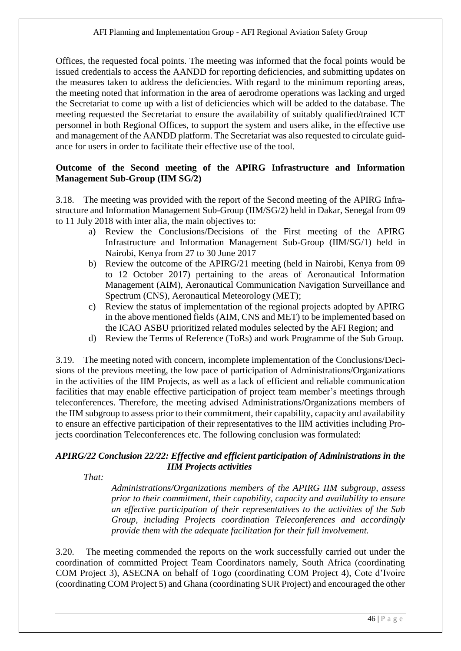Offices, the requested focal points. The meeting was informed that the focal points would be issued credentials to access the AANDD for reporting deficiencies, and submitting updates on the measures taken to address the deficiencies. With regard to the minimum reporting areas, the meeting noted that information in the area of aerodrome operations was lacking and urged the Secretariat to come up with a list of deficiencies which will be added to the database. The meeting requested the Secretariat to ensure the availability of suitably qualified/trained ICT personnel in both Regional Offices, to support the system and users alike, in the effective use and management of the AANDD platform. The Secretariat was also requested to circulate guidance for users in order to facilitate their effective use of the tool.

## **Outcome of the Second meeting of the APIRG Infrastructure and Information Management Sub-Group (IIM SG/2)**

3.18. The meeting was provided with the report of the Second meeting of the APIRG Infrastructure and Information Management Sub-Group (IIM/SG/2) held in Dakar, Senegal from 09 to 11 July 2018 with inter alia, the main objectives to:

- a) Review the Conclusions/Decisions of the First meeting of the APIRG Infrastructure and Information Management Sub-Group (IIM/SG/1) held in Nairobi, Kenya from 27 to 30 June 2017
- b) Review the outcome of the APIRG/21 meeting (held in Nairobi, Kenya from 09 to 12 October 2017) pertaining to the areas of Aeronautical Information Management (AIM), Aeronautical Communication Navigation Surveillance and Spectrum (CNS), Aeronautical Meteorology (MET);
- c) Review the status of implementation of the regional projects adopted by APIRG in the above mentioned fields (AIM, CNS and MET) to be implemented based on the ICAO ASBU prioritized related modules selected by the AFI Region; and
- d) Review the Terms of Reference (ToRs) and work Programme of the Sub Group.

3.19. The meeting noted with concern, incomplete implementation of the Conclusions/Decisions of the previous meeting, the low pace of participation of Administrations/Organizations in the activities of the IIM Projects, as well as a lack of efficient and reliable communication facilities that may enable effective participation of project team member's meetings through teleconferences. Therefore, the meeting advised Administrations/Organizations members of the IIM subgroup to assess prior to their commitment, their capability, capacity and availability to ensure an effective participation of their representatives to the IIM activities including Projects coordination Teleconferences etc. The following conclusion was formulated:

## *APIRG/22 Conclusion 22/22: Effective and efficient participation of Administrations in the IIM Projects activities*

*That:*

*Administrations/Organizations members of the APIRG IIM subgroup, assess prior to their commitment, their capability, capacity and availability to ensure an effective participation of their representatives to the activities of the Sub Group, including Projects coordination Teleconferences and accordingly provide them with the adequate facilitation for their full involvement.*

3.20. The meeting commended the reports on the work successfully carried out under the coordination of committed Project Team Coordinators namely, South Africa (coordinating COM Project 3), ASECNA on behalf of Togo (coordinating COM Project 4), Cote d'Ivoire (coordinating COM Project 5) and Ghana (coordinating SUR Project) and encouraged the other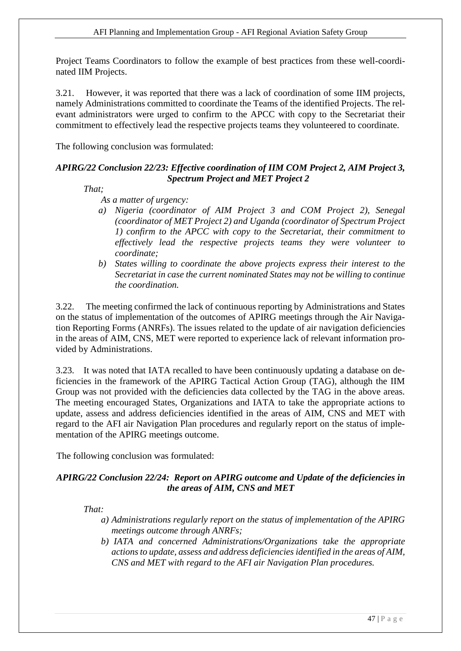Project Teams Coordinators to follow the example of best practices from these well-coordinated IIM Projects.

3.21. However, it was reported that there was a lack of coordination of some IIM projects, namely Administrations committed to coordinate the Teams of the identified Projects. The relevant administrators were urged to confirm to the APCC with copy to the Secretariat their commitment to effectively lead the respective projects teams they volunteered to coordinate.

The following conclusion was formulated:

## *APIRG/22 Conclusion 22/23: Effective coordination of IIM COM Project 2, AIM Project 3, Spectrum Project and MET Project 2*

*That;*

*As a matter of urgency:*

- *a) Nigeria (coordinator of AIM Project 3 and COM Project 2), Senegal (coordinator of MET Project 2) and Uganda (coordinator of Spectrum Project 1) confirm to the APCC with copy to the Secretariat, their commitment to effectively lead the respective projects teams they were volunteer to coordinate;*
- *b) States willing to coordinate the above projects express their interest to the Secretariat in case the current nominated States may not be willing to continue the coordination.*

3.22. The meeting confirmed the lack of continuous reporting by Administrations and States on the status of implementation of the outcomes of APIRG meetings through the Air Navigation Reporting Forms (ANRFs). The issues related to the update of air navigation deficiencies in the areas of AIM, CNS, MET were reported to experience lack of relevant information provided by Administrations.

3.23. It was noted that IATA recalled to have been continuously updating a database on deficiencies in the framework of the APIRG Tactical Action Group (TAG), although the IIM Group was not provided with the deficiencies data collected by the TAG in the above areas. The meeting encouraged States, Organizations and IATA to take the appropriate actions to update, assess and address deficiencies identified in the areas of AIM, CNS and MET with regard to the AFI air Navigation Plan procedures and regularly report on the status of implementation of the APIRG meetings outcome.

The following conclusion was formulated:

## *APIRG/22 Conclusion 22/24: Report on APIRG outcome and Update of the deficiencies in the areas of AIM, CNS and MET*

*That:*

- *a) Administrations regularly report on the status of implementation of the APIRG meetings outcome through ANRFs;*
- *b) IATA and concerned Administrations/Organizations take the appropriate actions to update, assess and address deficiencies identified in the areas of AIM, CNS and MET with regard to the AFI air Navigation Plan procedures.*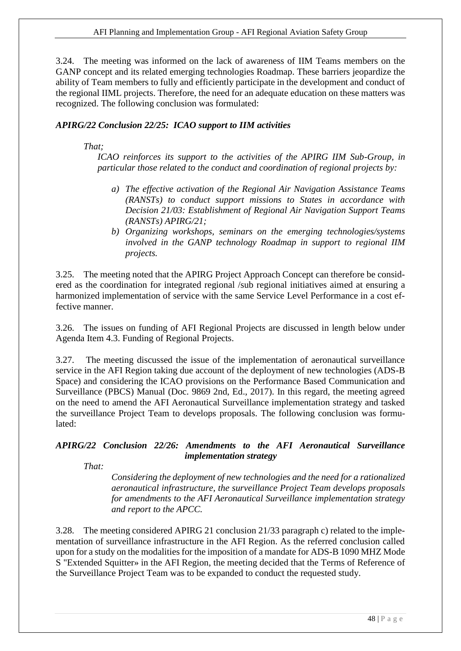3.24. The meeting was informed on the lack of awareness of IIM Teams members on the GANP concept and its related emerging technologies Roadmap. These barriers jeopardize the ability of Team members to fully and efficiently participate in the development and conduct of the regional IIML projects. Therefore, the need for an adequate education on these matters was recognized. The following conclusion was formulated:

## *APIRG/22 Conclusion 22/25: ICAO support to IIM activities*

*That;*

*ICAO reinforces its support to the activities of the APIRG IIM Sub-Group, in particular those related to the conduct and coordination of regional projects by:*

- *a) The effective activation of the Regional Air Navigation Assistance Teams (RANSTs) to conduct support missions to States in accordance with Decision 21/03: Establishment of Regional Air Navigation Support Teams (RANSTs) APIRG/21;*
- *b) Organizing workshops, seminars on the emerging technologies/systems involved in the GANP technology Roadmap in support to regional IIM projects.*

3.25. The meeting noted that the APIRG Project Approach Concept can therefore be considered as the coordination for integrated regional /sub regional initiatives aimed at ensuring a harmonized implementation of service with the same Service Level Performance in a cost effective manner.

3.26. The issues on funding of AFI Regional Projects are discussed in length below under Agenda Item 4.3. Funding of Regional Projects.

3.27. The meeting discussed the issue of the implementation of aeronautical surveillance service in the AFI Region taking due account of the deployment of new technologies (ADS-B Space) and considering the ICAO provisions on the Performance Based Communication and Surveillance (PBCS) Manual (Doc. 9869 2nd, Ed., 2017). In this regard, the meeting agreed on the need to amend the AFI Aeronautical Surveillance implementation strategy and tasked the surveillance Project Team to develops proposals. The following conclusion was formulated:

## *APIRG/22 Conclusion 22/26: Amendments to the AFI Aeronautical Surveillance implementation strategy*

*That:*

*Considering the deployment of new technologies and the need for a rationalized aeronautical infrastructure, the surveillance Project Team develops proposals for amendments to the AFI Aeronautical Surveillance implementation strategy and report to the APCC.*

3.28. The meeting considered APIRG 21 conclusion 21/33 paragraph c) related to the implementation of surveillance infrastructure in the AFI Region. As the referred conclusion called upon for a study on the modalities for the imposition of a mandate for ADS-B 1090 MHZ Mode S "Extended Squitter» in the AFI Region, the meeting decided that the Terms of Reference of the Surveillance Project Team was to be expanded to conduct the requested study.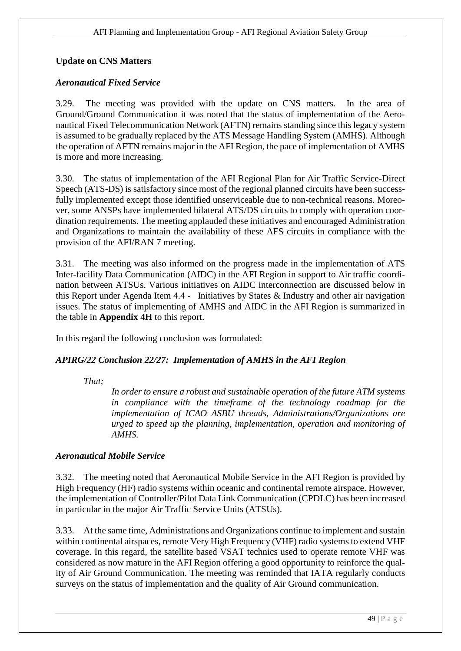# **Update on CNS Matters**

## *Aeronautical Fixed Service*

3.29. The meeting was provided with the update on CNS matters. In the area of Ground/Ground Communication it was noted that the status of implementation of the Aeronautical Fixed Telecommunication Network (AFTN) remains standing since this legacy system is assumed to be gradually replaced by the ATS Message Handling System (AMHS). Although the operation of AFTN remains major in the AFI Region, the pace of implementation of AMHS is more and more increasing.

3.30. The status of implementation of the AFI Regional Plan for Air Traffic Service-Direct Speech (ATS-DS) is satisfactory since most of the regional planned circuits have been successfully implemented except those identified unserviceable due to non-technical reasons. Moreover, some ANSPs have implemented bilateral ATS/DS circuits to comply with operation coordination requirements. The meeting applauded these initiatives and encouraged Administration and Organizations to maintain the availability of these AFS circuits in compliance with the provision of the AFI/RAN 7 meeting.

3.31. The meeting was also informed on the progress made in the implementation of ATS Inter-facility Data Communication (AIDC) in the AFI Region in support to Air traffic coordination between ATSUs. Various initiatives on AIDC interconnection are discussed below in this Report under Agenda Item 4.4 - Initiatives by States & Industry and other air navigation issues. The status of implementing of AMHS and AIDC in the AFI Region is summarized in the table in **Appendix 4H** to this report.

In this regard the following conclusion was formulated:

## *APIRG/22 Conclusion 22/27: Implementation of AMHS in the AFI Region*

*That;*

*In order to ensure a robust and sustainable operation of the future ATM systems in compliance with the timeframe of the technology roadmap for the implementation of ICAO ASBU threads, Administrations/Organizations are urged to speed up the planning, implementation, operation and monitoring of AMHS.* 

## *Aeronautical Mobile Service*

3.32. The meeting noted that Aeronautical Mobile Service in the AFI Region is provided by High Frequency (HF) radio systems within oceanic and continental remote airspace. However, the implementation of Controller/Pilot Data Link Communication (CPDLC) has been increased in particular in the major Air Traffic Service Units (ATSUs).

3.33. At the same time, Administrations and Organizations continue to implement and sustain within continental airspaces, remote Very High Frequency (VHF) radio systems to extend VHF coverage. In this regard, the satellite based VSAT technics used to operate remote VHF was considered as now mature in the AFI Region offering a good opportunity to reinforce the quality of Air Ground Communication. The meeting was reminded that IATA regularly conducts surveys on the status of implementation and the quality of Air Ground communication.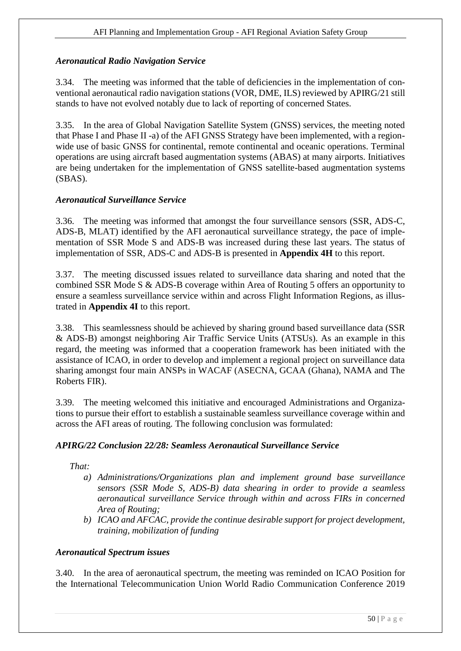## *Aeronautical Radio Navigation Service*

3.34. The meeting was informed that the table of deficiencies in the implementation of conventional aeronautical radio navigation stations (VOR, DME, ILS) reviewed by APIRG/21 still stands to have not evolved notably due to lack of reporting of concerned States.

3.35. In the area of Global Navigation Satellite System (GNSS) services, the meeting noted that Phase I and Phase II -a) of the AFI GNSS Strategy have been implemented, with a regionwide use of basic GNSS for continental, remote continental and oceanic operations. Terminal operations are using aircraft based augmentation systems (ABAS) at many airports. Initiatives are being undertaken for the implementation of GNSS satellite-based augmentation systems (SBAS).

## *Aeronautical Surveillance Service*

3.36. The meeting was informed that amongst the four surveillance sensors (SSR, ADS-C, ADS-B, MLAT) identified by the AFI aeronautical surveillance strategy, the pace of implementation of SSR Mode S and ADS-B was increased during these last years. The status of implementation of SSR, ADS-C and ADS-B is presented in **Appendix 4H** to this report.

3.37. The meeting discussed issues related to surveillance data sharing and noted that the combined SSR Mode S & ADS-B coverage within Area of Routing 5 offers an opportunity to ensure a seamless surveillance service within and across Flight Information Regions, as illustrated in **Appendix 4I** to this report.

3.38. This seamlessness should be achieved by sharing ground based surveillance data (SSR & ADS-B) amongst neighboring Air Traffic Service Units (ATSUs). As an example in this regard, the meeting was informed that a cooperation framework has been initiated with the assistance of ICAO, in order to develop and implement a regional project on surveillance data sharing amongst four main ANSPs in WACAF (ASECNA, GCAA (Ghana), NAMA and The Roberts FIR).

3.39. The meeting welcomed this initiative and encouraged Administrations and Organizations to pursue their effort to establish a sustainable seamless surveillance coverage within and across the AFI areas of routing. The following conclusion was formulated:

## *APIRG/22 Conclusion 22/28: Seamless Aeronautical Surveillance Service*

*That:*

- *a) Administrations/Organizations plan and implement ground base surveillance sensors (SSR Mode S, ADS-B) data shearing in order to provide a seamless aeronautical surveillance Service through within and across FIRs in concerned Area of Routing;*
- *b) ICAO and AFCAC, provide the continue desirable support for project development, training, mobilization of funding*

#### *Aeronautical Spectrum issues*

3.40. In the area of aeronautical spectrum, the meeting was reminded on ICAO Position for the International Telecommunication Union World Radio Communication Conference 2019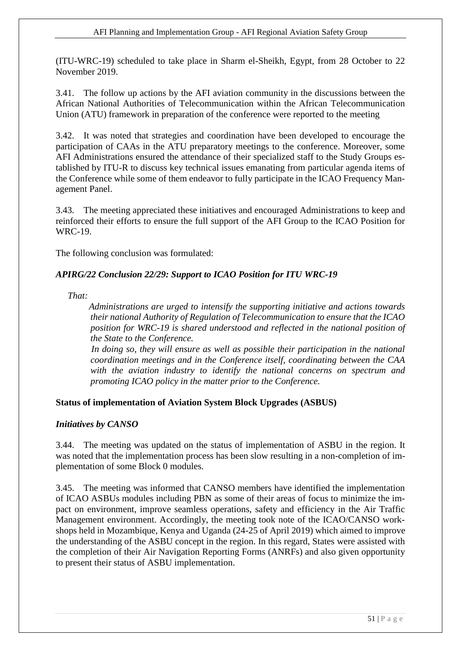(ITU-WRC-19) scheduled to take place in Sharm el-Sheikh, Egypt, from 28 October to 22 November 2019.

3.41. The follow up actions by the AFI aviation community in the discussions between the African National Authorities of Telecommunication within the African Telecommunication Union (ATU) framework in preparation of the conference were reported to the meeting

3.42. It was noted that strategies and coordination have been developed to encourage the participation of CAAs in the ATU preparatory meetings to the conference. Moreover, some AFI Administrations ensured the attendance of their specialized staff to the Study Groups established by ITU-R to discuss key technical issues emanating from particular agenda items of the Conference while some of them endeavor to fully participate in the ICAO Frequency Management Panel.

3.43. The meeting appreciated these initiatives and encouraged Administrations to keep and reinforced their efforts to ensure the full support of the AFI Group to the ICAO Position for WRC-19.

The following conclusion was formulated:

## *APIRG/22 Conclusion 22/29: Support to ICAO Position for ITU WRC-19*

*That:*

 *Administrations are urged to intensify the supporting initiative and actions towards their national Authority of Regulation of Telecommunication to ensure that the ICAO position for WRC-19 is shared understood and reflected in the national position of the State to the Conference.*

 *In doing so, they will ensure as well as possible their participation in the national coordination meetings and in the Conference itself, coordinating between the CAA with the aviation industry to identify the national concerns on spectrum and promoting ICAO policy in the matter prior to the Conference.*

## **Status of implementation of Aviation System Block Upgrades (ASBUS)**

#### *Initiatives by CANSO*

3.44. The meeting was updated on the status of implementation of ASBU in the region. It was noted that the implementation process has been slow resulting in a non-completion of implementation of some Block 0 modules.

3.45. The meeting was informed that CANSO members have identified the implementation of ICAO ASBUs modules including PBN as some of their areas of focus to minimize the impact on environment, improve seamless operations, safety and efficiency in the Air Traffic Management environment. Accordingly, the meeting took note of the ICAO/CANSO workshops held in Mozambique, Kenya and Uganda (24-25 of April 2019) which aimed to improve the understanding of the ASBU concept in the region. In this regard, States were assisted with the completion of their Air Navigation Reporting Forms (ANRFs) and also given opportunity to present their status of ASBU implementation.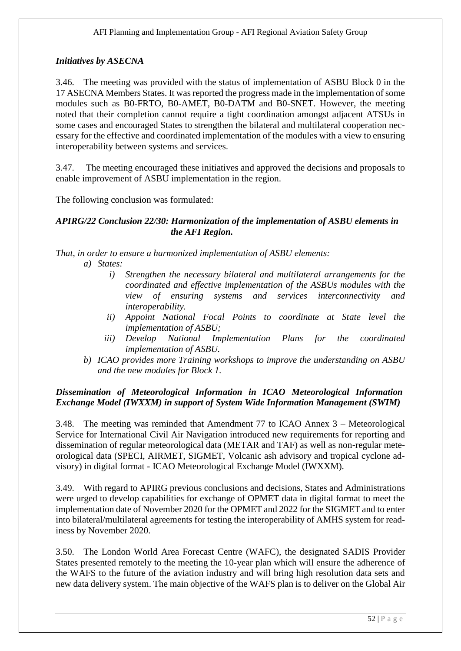## *Initiatives by ASECNA*

3.46. The meeting was provided with the status of implementation of ASBU Block 0 in the 17 ASECNA Members States. It was reported the progress made in the implementation of some modules such as B0-FRTO, B0-AMET, B0-DATM and B0-SNET. However, the meeting noted that their completion cannot require a tight coordination amongst adjacent ATSUs in some cases and encouraged States to strengthen the bilateral and multilateral cooperation necessary for the effective and coordinated implementation of the modules with a view to ensuring interoperability between systems and services.

3.47. The meeting encouraged these initiatives and approved the decisions and proposals to enable improvement of ASBU implementation in the region.

The following conclusion was formulated:

#### *APIRG/22 Conclusion 22/30: Harmonization of the implementation of ASBU elements in the AFI Region.*

*That, in order to ensure a harmonized implementation of ASBU elements:*

- *a) States:*
	- *i) Strengthen the necessary bilateral and multilateral arrangements for the coordinated and effective implementation of the ASBUs modules with the view of ensuring systems and services interconnectivity and interoperability.*
	- *ii) Appoint National Focal Points to coordinate at State level the implementation of ASBU;*
	- *iii) Develop National Implementation Plans for the coordinated implementation of ASBU.*
- *b) ICAO provides more Training workshops to improve the understanding on ASBU and the new modules for Block 1.*

# *Dissemination of Meteorological Information in ICAO Meteorological Information Exchange Model (IWXXM) in support of System Wide Information Management (SWIM)*

3.48. The meeting was reminded that Amendment 77 to ICAO Annex 3 – Meteorological Service for International Civil Air Navigation introduced new requirements for reporting and dissemination of regular meteorological data (METAR and TAF) as well as non-regular meteorological data (SPECI, AIRMET, SIGMET, Volcanic ash advisory and tropical cyclone advisory) in digital format - ICAO Meteorological Exchange Model (IWXXM).

3.49. With regard to APIRG previous conclusions and decisions, States and Administrations were urged to develop capabilities for exchange of OPMET data in digital format to meet the implementation date of November 2020 for the OPMET and 2022 for the SIGMET and to enter into bilateral/multilateral agreements for testing the interoperability of AMHS system for readiness by November 2020.

3.50. The London World Area Forecast Centre (WAFC), the designated SADIS Provider States presented remotely to the meeting the 10-year plan which will ensure the adherence of the WAFS to the future of the aviation industry and will bring high resolution data sets and new data delivery system. The main objective of the WAFS plan is to deliver on the Global Air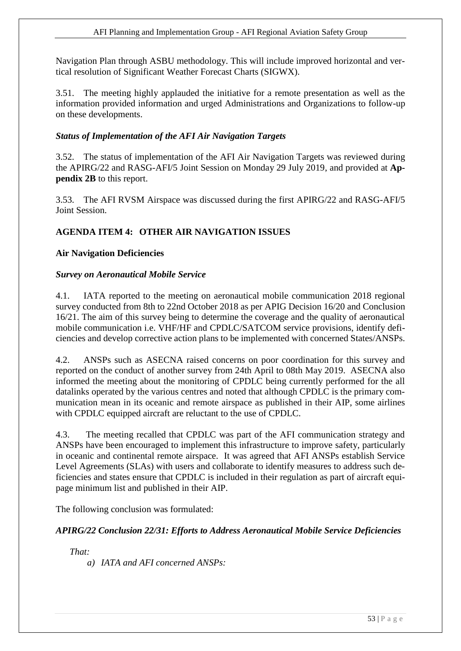Navigation Plan through ASBU methodology. This will include improved horizontal and vertical resolution of Significant Weather Forecast Charts (SIGWX).

3.51. The meeting highly applauded the initiative for a remote presentation as well as the information provided information and urged Administrations and Organizations to follow-up on these developments.

## *Status of Implementation of the AFI Air Navigation Targets*

3.52. The status of implementation of the AFI Air Navigation Targets was reviewed during the APIRG/22 and RASG-AFI/5 Joint Session on Monday 29 July 2019, and provided at **Appendix 2B** to this report.

3.53. The AFI RVSM Airspace was discussed during the first APIRG/22 and RASG-AFI/5 Joint Session.

## <span id="page-52-0"></span>**AGENDA ITEM 4: OTHER AIR NAVIGATION ISSUES**

#### **Air Navigation Deficiencies**

#### *Survey on Aeronautical Mobile Service*

4.1. IATA reported to the meeting on aeronautical mobile communication 2018 regional survey conducted from 8th to 22nd October 2018 as per APIG Decision 16/20 and Conclusion 16/21. The aim of this survey being to determine the coverage and the quality of aeronautical mobile communication i.e. VHF/HF and CPDLC/SATCOM service provisions, identify deficiencies and develop corrective action plans to be implemented with concerned States/ANSPs.

4.2. ANSPs such as ASECNA raised concerns on poor coordination for this survey and reported on the conduct of another survey from 24th April to 08th May 2019. ASECNA also informed the meeting about the monitoring of CPDLC being currently performed for the all datalinks operated by the various centres and noted that although CPDLC is the primary communication mean in its oceanic and remote airspace as published in their AIP, some airlines with CPDLC equipped aircraft are reluctant to the use of CPDLC.

4.3. The meeting recalled that CPDLC was part of the AFI communication strategy and ANSPs have been encouraged to implement this infrastructure to improve safety, particularly in oceanic and continental remote airspace. It was agreed that AFI ANSPs establish Service Level Agreements (SLAs) with users and collaborate to identify measures to address such deficiencies and states ensure that CPDLC is included in their regulation as part of aircraft equipage minimum list and published in their AIP.

The following conclusion was formulated:

## *APIRG/22 Conclusion 22/31: Efforts to Address Aeronautical Mobile Service Deficiencies*

*That:* 

*a) IATA and AFI concerned ANSPs:*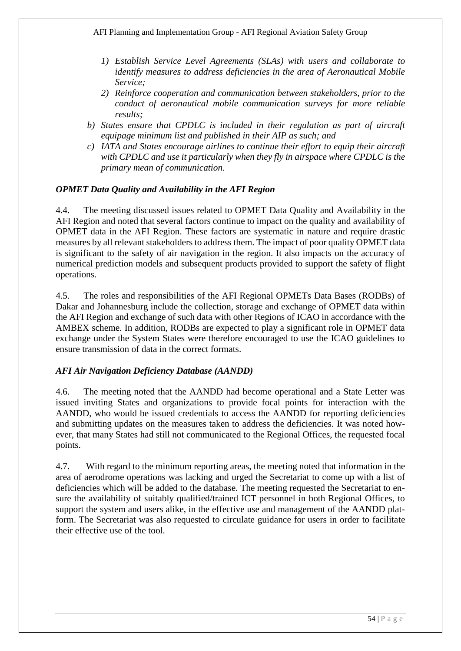- *1) Establish Service Level Agreements (SLAs) with users and collaborate to identify measures to address deficiencies in the area of Aeronautical Mobile Service;*
- *2) Reinforce cooperation and communication between stakeholders, prior to the conduct of aeronautical mobile communication surveys for more reliable results;*
- *b) States ensure that CPDLC is included in their regulation as part of aircraft equipage minimum list and published in their AIP as such; and*
- *c) IATA and States encourage airlines to continue their effort to equip their aircraft with CPDLC and use it particularly when they fly in airspace where CPDLC is the primary mean of communication.*

## *OPMET Data Quality and Availability in the AFI Region*

4.4. The meeting discussed issues related to OPMET Data Quality and Availability in the AFI Region and noted that several factors continue to impact on the quality and availability of OPMET data in the AFI Region. These factors are systematic in nature and require drastic measures by all relevant stakeholders to address them. The impact of poor quality OPMET data is significant to the safety of air navigation in the region. It also impacts on the accuracy of numerical prediction models and subsequent products provided to support the safety of flight operations.

4.5. The roles and responsibilities of the AFI Regional OPMETs Data Bases (RODBs) of Dakar and Johannesburg include the collection, storage and exchange of OPMET data within the AFI Region and exchange of such data with other Regions of ICAO in accordance with the AMBEX scheme. In addition, RODBs are expected to play a significant role in OPMET data exchange under the System States were therefore encouraged to use the ICAO guidelines to ensure transmission of data in the correct formats.

#### *AFI Air Navigation Deficiency Database (AANDD)*

4.6. The meeting noted that the AANDD had become operational and a State Letter was issued inviting States and organizations to provide focal points for interaction with the AANDD, who would be issued credentials to access the AANDD for reporting deficiencies and submitting updates on the measures taken to address the deficiencies. It was noted however, that many States had still not communicated to the Regional Offices, the requested focal points.

4.7. With regard to the minimum reporting areas, the meeting noted that information in the area of aerodrome operations was lacking and urged the Secretariat to come up with a list of deficiencies which will be added to the database. The meeting requested the Secretariat to ensure the availability of suitably qualified/trained ICT personnel in both Regional Offices, to support the system and users alike, in the effective use and management of the AANDD platform. The Secretariat was also requested to circulate guidance for users in order to facilitate their effective use of the tool.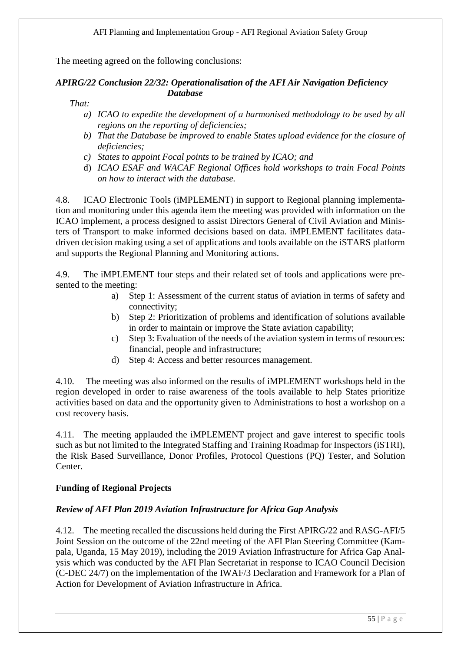The meeting agreed on the following conclusions:

#### *APIRG/22 Conclusion 22/32: Operationalisation of the AFI Air Navigation Deficiency Database*

*That:*

- *a) ICAO to expedite the development of a harmonised methodology to be used by all regions on the reporting of deficiencies;*
- *b) That the Database be improved to enable States upload evidence for the closure of deficiencies;*
- *c) States to appoint Focal points to be trained by ICAO; and*
- d) *ICAO ESAF and WACAF Regional Offices hold workshops to train Focal Points on how to interact with the database.*

4.8. ICAO Electronic Tools (iMPLEMENT) in support to Regional planning implementation and monitoring under this agenda item the meeting was provided with information on the ICAO implement, a process designed to assist Directors General of Civil Aviation and Ministers of Transport to make informed decisions based on data. iMPLEMENT facilitates datadriven decision making using a set of applications and tools available on the iSTARS platform and supports the Regional Planning and Monitoring actions.

4.9. The iMPLEMENT four steps and their related set of tools and applications were presented to the meeting:

- a) Step 1: Assessment of the current status of aviation in terms of safety and connectivity;
- b) Step 2: Prioritization of problems and identification of solutions available in order to maintain or improve the State aviation capability;
- c) Step 3: Evaluation of the needs of the aviation system in terms of resources: financial, people and infrastructure;
- d) Step 4: Access and better resources management.

4.10. The meeting was also informed on the results of iMPLEMENT workshops held in the region developed in order to raise awareness of the tools available to help States prioritize activities based on data and the opportunity given to Administrations to host a workshop on a cost recovery basis.

4.11. The meeting applauded the iMPLEMENT project and gave interest to specific tools such as but not limited to the Integrated Staffing and Training Roadmap for Inspectors (iSTRI), the Risk Based Surveillance, Donor Profiles, Protocol Questions (PQ) Tester, and Solution Center.

## **Funding of Regional Projects**

## *Review of AFI Plan 2019 Aviation Infrastructure for Africa Gap Analysis*

4.12. The meeting recalled the discussions held during the First APIRG/22 and RASG-AFI/5 Joint Session on the outcome of the 22nd meeting of the AFI Plan Steering Committee (Kampala, Uganda, 15 May 2019), including the 2019 Aviation Infrastructure for Africa Gap Analysis which was conducted by the AFI Plan Secretariat in response to ICAO Council Decision (C-DEC 24/7) on the implementation of the IWAF/3 Declaration and Framework for a Plan of Action for Development of Aviation Infrastructure in Africa.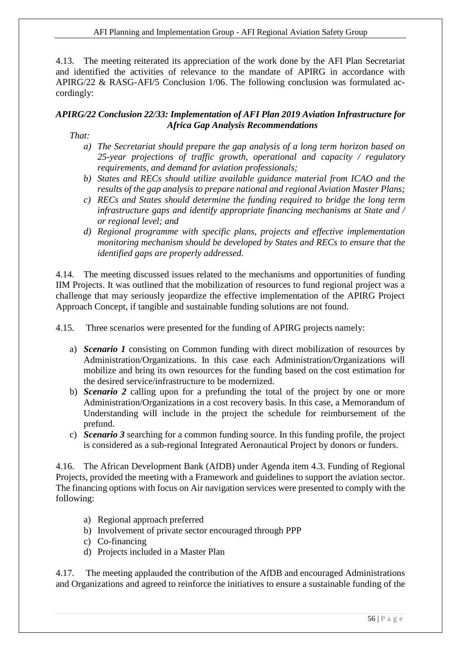#### AFI Planning and Implementation Group - AFI Regional Aviation Safety Group

4.13. The meeting reiterated its appreciation of the work done by the AFI Plan Secretariat and identified the activities of relevance to the mandate of APIRG in accordance with APIRG/22 & RASG-AFI/5 Conclusion 1/06. The following conclusion was formulated accordingly:

#### *APIRG/22 Conclusion 22/33: Implementation of AFI Plan 2019 Aviation Infrastructure for Africa Gap Analysis Recommendations*

*That:*

- *a) The Secretariat should prepare the gap analysis of a long term horizon based on 25-year projections of traffic growth, operational and capacity / regulatory requirements, and demand for aviation professionals;*
- *b) States and RECs should utilize available guidance material from ICAO and the results of the gap analysis to prepare national and regional Aviation Master Plans;*
- *c) RECs and States should determine the funding required to bridge the long term infrastructure gaps and identify appropriate financing mechanisms at State and / or regional level; and*
- *d) Regional programme with specific plans, projects and effective implementation monitoring mechanism should be developed by States and RECs to ensure that the identified gaps are properly addressed.*

4.14. The meeting discussed issues related to the mechanisms and opportunities of funding IIM Projects. It was outlined that the mobilization of resources to fund regional project was a challenge that may seriously jeopardize the effective implementation of the APIRG Project Approach Concept, if tangible and sustainable funding solutions are not found.

4.15. Three scenarios were presented for the funding of APIRG projects namely:

- a) *Scenario 1* consisting on Common funding with direct mobilization of resources by Administration/Organizations. In this case each Administration/Organizations will mobilize and bring its own resources for the funding based on the cost estimation for the desired service/infrastructure to be modernized.
- b) *Scenario 2* calling upon for a prefunding the total of the project by one or more Administration/Organizations in a cost recovery basis. In this case, a Memorandum of Understanding will include in the project the schedule for reimbursement of the prefund.
- c) *Scenario 3* searching for a common funding source. In this funding profile, the project is considered as a sub-regional Integrated Aeronautical Project by donors or funders.

4.16. The African Development Bank (AfDB) under Agenda item 4.3. Funding of Regional Projects, provided the meeting with a Framework and guidelines to support the aviation sector. The financing options with focus on Air navigation services were presented to comply with the following:

- a) Regional approach preferred
- b) Involvement of private sector encouraged through PPP
- c) Co-financing
- d) Projects included in a Master Plan

4.17. The meeting applauded the contribution of the AfDB and encouraged Administrations and Organizations and agreed to reinforce the initiatives to ensure a sustainable funding of the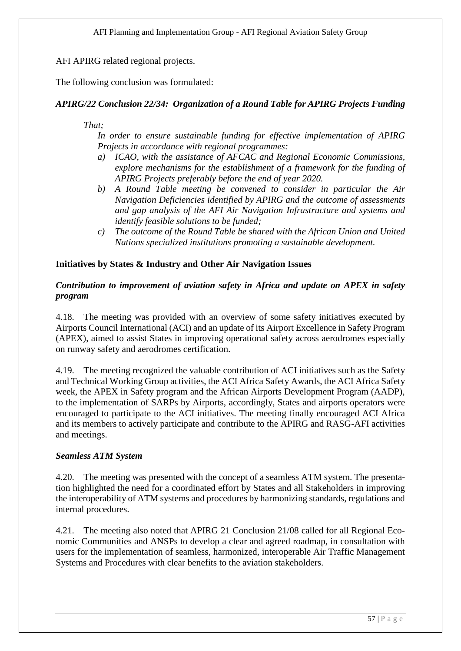AFI APIRG related regional projects.

The following conclusion was formulated:

## *APIRG/22 Conclusion 22/34: Organization of a Round Table for APIRG Projects Funding*

#### *That;*

*In order to ensure sustainable funding for effective implementation of APIRG Projects in accordance with regional programmes:*

- *a) ICAO, with the assistance of AFCAC and Regional Economic Commissions, explore mechanisms for the establishment of a framework for the funding of APIRG Projects preferably before the end of year 2020.*
- *b) A Round Table meeting be convened to consider in particular the Air Navigation Deficiencies identified by APIRG and the outcome of assessments and gap analysis of the AFI Air Navigation Infrastructure and systems and identify feasible solutions to be funded;*
- *c) The outcome of the Round Table be shared with the African Union and United Nations specialized institutions promoting a sustainable development.*

#### **Initiatives by States & Industry and Other Air Navigation Issues**

## *Contribution to improvement of aviation safety in Africa and update on APEX in safety program*

4.18. The meeting was provided with an overview of some safety initiatives executed by Airports Council International (ACI) and an update of its Airport Excellence in Safety Program (APEX), aimed to assist States in improving operational safety across aerodromes especially on runway safety and aerodromes certification.

4.19. The meeting recognized the valuable contribution of ACI initiatives such as the Safety and Technical Working Group activities, the ACI Africa Safety Awards, the ACI Africa Safety week, the APEX in Safety program and the African Airports Development Program (AADP), to the implementation of SARPs by Airports, accordingly, States and airports operators were encouraged to participate to the ACI initiatives. The meeting finally encouraged ACI Africa and its members to actively participate and contribute to the APIRG and RASG-AFI activities and meetings.

#### *Seamless ATM System*

4.20. The meeting was presented with the concept of a seamless ATM system. The presentation highlighted the need for a coordinated effort by States and all Stakeholders in improving the interoperability of ATM systems and procedures by harmonizing standards, regulations and internal procedures.

4.21. The meeting also noted that APIRG 21 Conclusion 21/08 called for all Regional Economic Communities and ANSPs to develop a clear and agreed roadmap, in consultation with users for the implementation of seamless, harmonized, interoperable Air Traffic Management Systems and Procedures with clear benefits to the aviation stakeholders.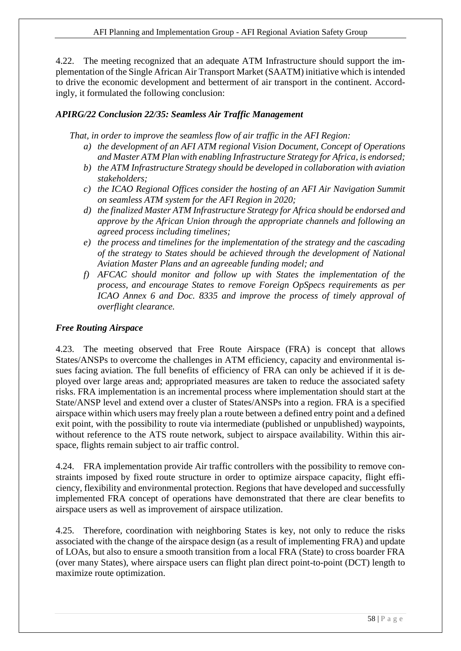4.22. The meeting recognized that an adequate ATM Infrastructure should support the implementation of the Single African Air Transport Market (SAATM) initiative which is intended to drive the economic development and betterment of air transport in the continent. Accordingly, it formulated the following conclusion:

## *APIRG/22 Conclusion 22/35: Seamless Air Traffic Management*

*That, in order to improve the seamless flow of air traffic in the AFI Region:*

- *a) the development of an AFI ATM regional Vision Document, Concept of Operations and Master ATM Plan with enabling Infrastructure Strategy for Africa, is endorsed;*
- *b) the ATM Infrastructure Strategy should be developed in collaboration with aviation stakeholders;*
- *c) the ICAO Regional Offices consider the hosting of an AFI Air Navigation Summit on seamless ATM system for the AFI Region in 2020;*
- *d) the finalized Master ATM Infrastructure Strategy for Africa should be endorsed and approve by the African Union through the appropriate channels and following an agreed process including timelines;*
- *e) the process and timelines for the implementation of the strategy and the cascading of the strategy to States should be achieved through the development of National Aviation Master Plans and an agreeable funding model; and*
- *f) AFCAC should monitor and follow up with States the implementation of the process, and encourage States to remove Foreign OpSpecs requirements as per ICAO Annex 6 and Doc. 8335 and improve the process of timely approval of overflight clearance.*

## *Free Routing Airspace*

4.23. The meeting observed that Free Route Airspace (FRA) is concept that allows States/ANSPs to overcome the challenges in ATM efficiency, capacity and environmental issues facing aviation. The full benefits of efficiency of FRA can only be achieved if it is deployed over large areas and; appropriated measures are taken to reduce the associated safety risks. FRA implementation is an incremental process where implementation should start at the State/ANSP level and extend over a cluster of States/ANSPs into a region. FRA is a specified airspace within which users may freely plan a route between a defined entry point and a defined exit point, with the possibility to route via intermediate (published or unpublished) waypoints, without reference to the ATS route network, subject to airspace availability. Within this airspace, flights remain subject to air traffic control.

4.24. FRA implementation provide Air traffic controllers with the possibility to remove constraints imposed by fixed route structure in order to optimize airspace capacity, flight efficiency, flexibility and environmental protection. Regions that have developed and successfully implemented FRA concept of operations have demonstrated that there are clear benefits to airspace users as well as improvement of airspace utilization.

4.25. Therefore, coordination with neighboring States is key, not only to reduce the risks associated with the change of the airspace design (as a result of implementing FRA) and update of LOAs, but also to ensure a smooth transition from a local FRA (State) to cross boarder FRA (over many States), where airspace users can flight plan direct point-to-point (DCT) length to maximize route optimization.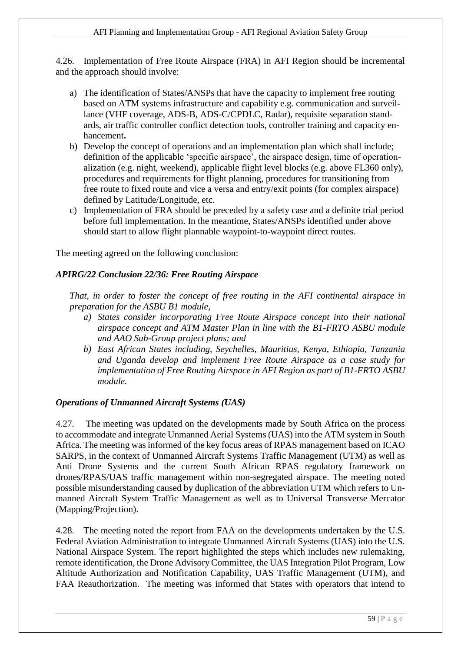4.26. Implementation of Free Route Airspace (FRA) in AFI Region should be incremental and the approach should involve:

- a) The identification of States/ANSPs that have the capacity to implement free routing based on ATM systems infrastructure and capability e.g. communication and surveillance (VHF coverage, ADS-B, ADS-C/CPDLC, Radar), requisite separation standards, air traffic controller conflict detection tools, controller training and capacity enhancement**.**
- b) Develop the concept of operations and an implementation plan which shall include; definition of the applicable 'specific airspace', the airspace design, time of operationalization (e.g. night, weekend), applicable flight level blocks (e.g. above FL360 only), procedures and requirements for flight planning, procedures for transitioning from free route to fixed route and vice a versa and entry/exit points (for complex airspace) defined by Latitude/Longitude, etc.
- c) Implementation of FRA should be preceded by a safety case and a definite trial period before full implementation. In the meantime, States/ANSPs identified under above should start to allow flight plannable waypoint-to-waypoint direct routes.

The meeting agreed on the following conclusion:

## *APIRG/22 Conclusion 22/36: Free Routing Airspace*

*That, in order to foster the concept of free routing in the AFI continental airspace in preparation for the ASBU B1 module,*

- *a) States consider incorporating Free Route Airspace concept into their national airspace concept and ATM Master Plan in line with the B1-FRTO ASBU module and AAO Sub-Group project plans; and*
- *b) East African States including, Seychelles, Mauritius, Kenya, Ethiopia, Tanzania and Uganda develop and implement Free Route Airspace as a case study for implementation of Free Routing Airspace in AFI Region as part of B1-FRTO ASBU module.*

#### *Operations of Unmanned Aircraft Systems (UAS)*

4.27. The meeting was updated on the developments made by South Africa on the process to accommodate and integrate Unmanned Aerial Systems (UAS) into the ATM system in South Africa. The meeting was informed of the key focus areas of RPAS management based on ICAO SARPS, in the context of Unmanned Aircraft Systems Traffic Management (UTM) as well as Anti Drone Systems and the current South African RPAS regulatory framework on drones/RPAS/UAS traffic management within non-segregated airspace. The meeting noted possible misunderstanding caused by duplication of the abbreviation UTM which refers to Unmanned Aircraft System Traffic Management as well as to Universal Transverse Mercator (Mapping/Projection).

4.28. The meeting noted the report from FAA on the developments undertaken by the U.S. Federal Aviation Administration to integrate Unmanned Aircraft Systems (UAS) into the U.S. National Airspace System. The report highlighted the steps which includes new rulemaking, remote identification, the Drone Advisory Committee, the UAS Integration Pilot Program, Low Altitude Authorization and Notification Capability, UAS Traffic Management (UTM), and FAA Reauthorization. The meeting was informed that States with operators that intend to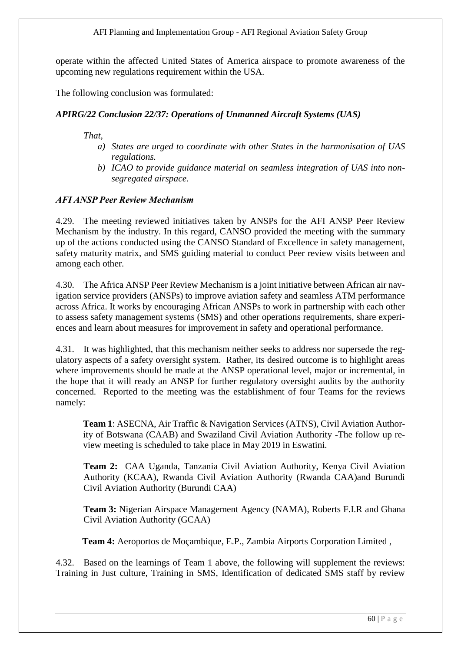operate within the affected United States of America airspace to promote awareness of the upcoming new regulations requirement within the USA.

The following conclusion was formulated:

## *APIRG/22 Conclusion 22/37: Operations of Unmanned Aircraft Systems (UAS)*

*That,* 

- *a) States are urged to coordinate with other States in the harmonisation of UAS regulations.*
- *b) ICAO to provide guidance material on seamless integration of UAS into nonsegregated airspace.*

#### *AFI ANSP Peer Review Mechanism*

4.29. The meeting reviewed initiatives taken by ANSPs for the AFI ANSP Peer Review Mechanism by the industry. In this regard, CANSO provided the meeting with the summary up of the actions conducted using the CANSO Standard of Excellence in safety management, safety maturity matrix, and SMS guiding material to conduct Peer review visits between and among each other.

4.30. The Africa ANSP Peer Review Mechanism is a joint initiative between African air navigation service providers (ANSPs) to improve aviation safety and seamless ATM performance across Africa. It works by encouraging African ANSPs to work in partnership with each other to assess safety management systems (SMS) and other operations requirements, share experiences and learn about measures for improvement in safety and operational performance.

4.31. It was highlighted, that this mechanism neither seeks to address nor supersede the regulatory aspects of a safety oversight system. Rather, its desired outcome is to highlight areas where improvements should be made at the ANSP operational level, major or incremental, in the hope that it will ready an ANSP for further regulatory oversight audits by the authority concerned. Reported to the meeting was the establishment of four Teams for the reviews namely:

**Team 1**: ASECNA, [Air Traffic & Navigation Services](https://www.canso.org/canso-members) (ATNS), [Civil Aviation Author](file:///C:/Users/User/AppData/Local/Microsoft/Windows/INetCache/Content.Outlook/M3WB6TZ1/Civil%20Aviation%20Authority%20of%20Botswana%20(CAAB))[ity of Botswana](file:///C:/Users/User/AppData/Local/Microsoft/Windows/INetCache/Content.Outlook/M3WB6TZ1/Civil%20Aviation%20Authority%20of%20Botswana%20(CAAB)) (CAAB) and [Swaziland Civil Aviation Authority](file:///C:/Users/User/AppData/Local/Microsoft/Windows/INetCache/Content.Outlook/M3WB6TZ1/Swaziland%20Civil%20Aviation%20Authority) -The follow up review meeting is scheduled to take place in May 2019 in Eswatini.

**Team 2:** [CAA Uganda,](file:///C:/Users/User/AppData/Local/Microsoft/Windows/INetCache/Content.Outlook/M3WB6TZ1/CAA%20Uganda) [Tanzania Civil Aviation Authority,](https://www.canso.org/tanzania-civil-aviation-authority) [Kenya Civil Aviation](https://www.canso.org/kenya-civil-aviation-authority-kcaa)  [Authority](https://www.canso.org/kenya-civil-aviation-authority-kcaa) (KCAA), Rwanda Civil Aviation Authority (Rwanda CAA)and Burundi Civil Aviation Authority (Burundi CAA)

**Team 3:** [Nigerian Airspace Management Agency](https://www.canso.org/nigerian-airspace-management-agency-nama) (NAMA), [Roberts F.I.R](https://www.canso.org/roberts-fir) and [Ghana](https://www.canso.org/ghana-civil-aviation-authority-gcaa)  [Civil Aviation Authority](https://www.canso.org/ghana-civil-aviation-authority-gcaa) (GCAA)

 **Team 4:** [Aeroportos de Moçambique, E.P.,](file:///C:/Users/User/AppData/Local/Microsoft/Windows/INetCache/Content.Outlook/M3WB6TZ1/Aeroportos%20de%20Moçambique,%20E.P) [Zambia Airports Corporation Limited](https://www.canso.org/zambia-airports-corporation-limited) ,

4.32. Based on the learnings of Team 1 above, the following will supplement the reviews: Training in Just culture, Training in SMS, Identification of dedicated SMS staff by review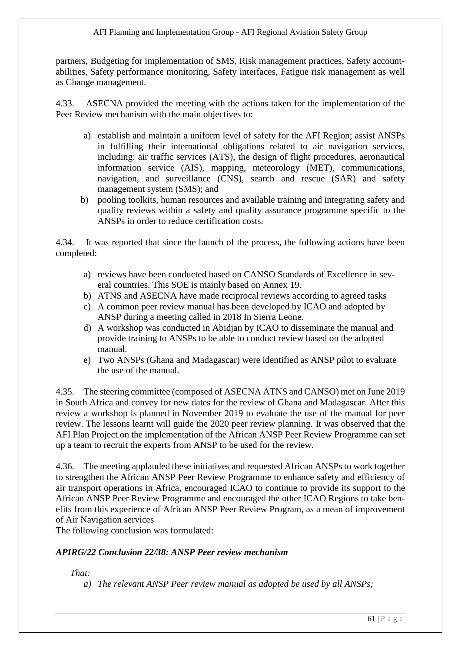partners, Budgeting for implementation of SMS, Risk management practices, Safety accountabilities, Safety performance monitoring, Safety interfaces, Fatigue risk management as well as Change management.

4.33. ASECNA provided the meeting with the actions taken for the implementation of the Peer Review mechanism with the main objectives to:

- a) establish and maintain a uniform level of safety for the AFI Region; assist ANSPs in fulfilling their international obligations related to air navigation services, including: air traffic services (ATS), the design of flight procedures, aeronautical information service (AIS), mapping, meteorology (MET), communications, navigation, and surveillance (CNS), search and rescue (SAR) and safety management system (SMS); and
- b) pooling toolkits, human resources and available training and integrating safety and quality reviews within a safety and quality assurance programme specific to the ANSPs in order to reduce certification costs.

4.34. It was reported that since the launch of the process, the following actions have been completed:

- a) reviews have been conducted based on CANSO Standards of Excellence in several countries. This SOE is mainly based on Annex 19.
- b) ATNS and ASECNA have made reciprocal reviews according to agreed tasks
- c) A common peer review manual has been developed by ICAO and adopted by ANSP during a meeting called in 2018 In Sierra Leone.
- d) A workshop was conducted in Abidjan by ICAO to disseminate the manual and provide training to ANSPs to be able to conduct review based on the adopted manual.
- e) Two ANSPs (Ghana and Madagascar) were identified as ANSP pilot to evaluate the use of the manual.

4.35. The steering committee (composed of ASECNA ATNS and CANSO) met on June 2019 in South Africa and convey for new dates for the review of Ghana and Madagascar. After this review a workshop is planned in November 2019 to evaluate the use of the manual for peer review. The lessons learnt will guide the 2020 peer review planning. It was observed that the AFI Plan Project on the implementation of the African ANSP Peer Review Programme can set up a team to recruit the experts from ANSP to be used for the review.

4.36. The meeting applauded these initiatives and requested African ANSPs to work together to strengthen the African ANSP Peer Review Programme to enhance safety and efficiency of air transport operations in Africa, encouraged ICAO to continue to provide its support to the African ANSP Peer Review Programme and encouraged the other ICAO Regions to take benefits from this experience of African ANSP Peer Review Program, as a mean of improvement of Air Navigation services

The following conclusion was formulated:

## *APIRG/22 Conclusion 22/38: ANSP Peer review mechanism*

*That:*

*a) The relevant ANSP Peer review manual as adopted be used by all ANSPs;*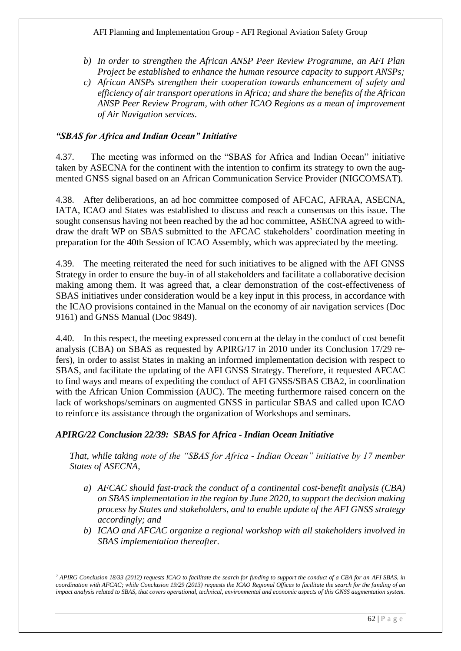- *b) In order to strengthen the African ANSP Peer Review Programme, an AFI Plan Project be established to enhance the human resource capacity to support ANSPs;*
- *c) African ANSPs strengthen their cooperation towards enhancement of safety and efficiency of air transport operations in Africa; and share the benefits of the African ANSP Peer Review Program, with other ICAO Regions as a mean of improvement of Air Navigation services.*

## *"SBAS for Africa and Indian Ocean" Initiative*

4.37. The meeting was informed on the "SBAS for Africa and Indian Ocean" initiative taken by ASECNA for the continent with the intention to confirm its strategy to own the augmented GNSS signal based on an African Communication Service Provider (NIGCOMSAT).

4.38. After deliberations, an ad hoc committee composed of AFCAC, AFRAA, ASECNA, IATA, ICAO and States was established to discuss and reach a consensus on this issue. The sought consensus having not been reached by the ad hoc committee, ASECNA agreed to withdraw the draft WP on SBAS submitted to the AFCAC stakeholders' coordination meeting in preparation for the 40th Session of ICAO Assembly, which was appreciated by the meeting.

4.39. The meeting reiterated the need for such initiatives to be aligned with the AFI GNSS Strategy in order to ensure the buy-in of all stakeholders and facilitate a collaborative decision making among them. It was agreed that, a clear demonstration of the cost-effectiveness of SBAS initiatives under consideration would be a key input in this process, in accordance with the ICAO provisions contained in the Manual on the economy of air navigation services (Doc 9161) and GNSS Manual (Doc 9849).

4.40. In this respect, the meeting expressed concern at the delay in the conduct of cost benefit analysis (CBA) on SBAS as requested by APIRG/17 in 2010 under its Conclusion 17/29 refers), in order to assist States in making an informed implementation decision with respect to SBAS, and facilitate the updating of the AFI GNSS Strategy. Therefore, it requested AFCAC to find ways and means of expediting the conduct of AFI GNSS/SBAS CBA2, in coordination with the African Union Commission (AUC). The meeting furthermore raised concern on the lack of workshops/seminars on augmented GNSS in particular SBAS and called upon ICAO to reinforce its assistance through the organization of Workshops and seminars.

## *APIRG/22 Conclusion 22/39: SBAS for Africa - Indian Ocean Initiative*

*That, while taking note of the "SBAS for Africa - Indian Ocean" initiative by 17 member States of ASECNA,* 

- *a) AFCAC should fast-track the conduct of a continental cost-benefit analysis (CBA) on SBAS implementation in the region by June 2020, to support the decision making process by States and stakeholders, and to enable update of the AFI GNSS strategy accordingly; and*
- *b) ICAO and AFCAC organize a regional workshop with all stakeholders involved in SBAS implementation thereafter.*

<sup>-</sup>*<sup>2</sup> APIRG Conclusion 18/33 (2012) requests ICAO to facilitate the search for funding to support the conduct of a CBA for an AFI SBAS, in coordination with AFCAC; while Conclusion 19/29 (2013) requests the ICAO Regional Offices to facilitate the search for the funding of an impact analysis related to SBAS, that covers operational, technical, environmental and economic aspects of this GNSS augmentation system.*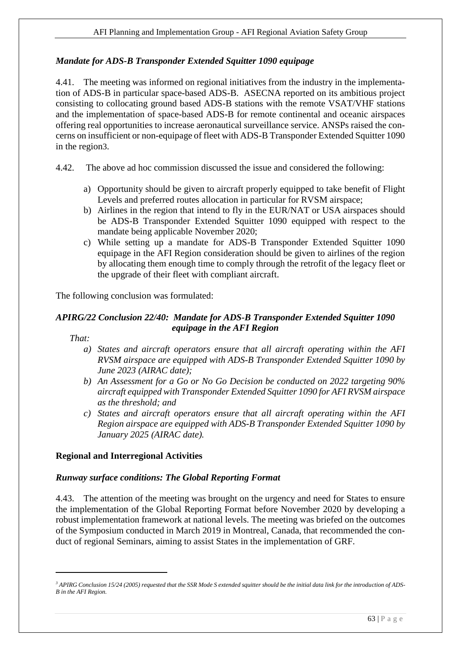## *Mandate for ADS-B Transponder Extended Squitter 1090 equipage*

4.41. The meeting was informed on regional initiatives from the industry in the implementation of ADS-B in particular space-based ADS-B. ASECNA reported on its ambitious project consisting to collocating ground based ADS-B stations with the remote VSAT/VHF stations and the implementation of space-based ADS-B for remote continental and oceanic airspaces offering real opportunities to increase aeronautical surveillance service. ANSPs raised the concerns on insufficient or non-equipage of fleet with ADS-B Transponder Extended Squitter 1090 in the region3.

- 4.42. The above ad hoc commission discussed the issue and considered the following:
	- a) Opportunity should be given to aircraft properly equipped to take benefit of Flight Levels and preferred routes allocation in particular for RVSM airspace;
	- b) Airlines in the region that intend to fly in the EUR/NAT or USA airspaces should be ADS-B Transponder Extended Squitter 1090 equipped with respect to the mandate being applicable November 2020;
	- c) While setting up a mandate for ADS-B Transponder Extended Squitter 1090 equipage in the AFI Region consideration should be given to airlines of the region by allocating them enough time to comply through the retrofit of the legacy fleet or the upgrade of their fleet with compliant aircraft.

The following conclusion was formulated:

## *APIRG/22 Conclusion 22/40: Mandate for ADS-B Transponder Extended Squitter 1090 equipage in the AFI Region*

*That:*

1

- *a) States and aircraft operators ensure that all aircraft operating within the AFI RVSM airspace are equipped with ADS-B Transponder Extended Squitter 1090 by June 2023 (AIRAC date);*
- *b) An Assessment for a Go or No Go Decision be conducted on 2022 targeting 90% aircraft equipped with Transponder Extended Squitter 1090 for AFI RVSM airspace as the threshold; and*
- *c) States and aircraft operators ensure that all aircraft operating within the AFI Region airspace are equipped with ADS-B Transponder Extended Squitter 1090 by January 2025 (AIRAC date).*

#### **Regional and Interregional Activities**

#### *Runway surface conditions: The Global Reporting Format*

4.43. The attention of the meeting was brought on the urgency and need for States to ensure the implementation of the Global Reporting Format before November 2020 by developing a robust implementation framework at national levels. The meeting was briefed on the outcomes of the Symposium conducted in March 2019 in Montreal, Canada, that recommended the conduct of regional Seminars, aiming to assist States in the implementation of GRF.

*<sup>3</sup> APIRG Conclusion 15/24 (2005) requested that the SSR Mode S extended squitter should be the initial data link for the introduction of ADS-B in the AFI Region.*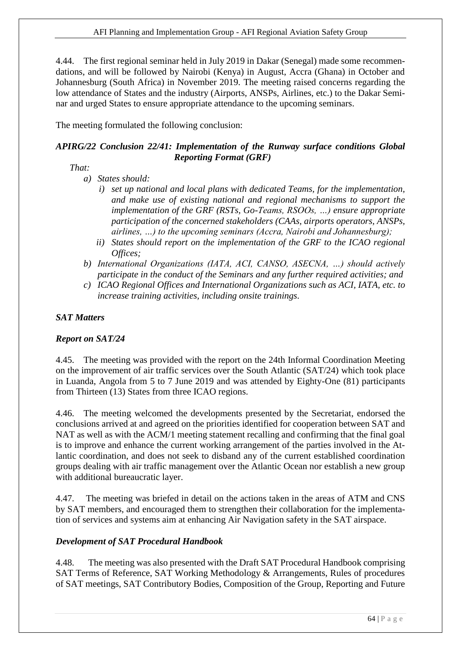4.44. The first regional seminar held in July 2019 in Dakar (Senegal) made some recommendations, and will be followed by Nairobi (Kenya) in August, Accra (Ghana) in October and Johannesburg (South Africa) in November 2019. The meeting raised concerns regarding the low attendance of States and the industry (Airports, ANSPs, Airlines, etc.) to the Dakar Seminar and urged States to ensure appropriate attendance to the upcoming seminars.

The meeting formulated the following conclusion:

## *APIRG/22 Conclusion 22/41: Implementation of the Runway surface conditions Global Reporting Format (GRF)*

## *That:*

- *a) States should:*
	- *i) set up national and local plans with dedicated Teams, for the implementation, and make use of existing national and regional mechanisms to support the implementation of the GRF (RSTs, Go-Teams, RSOOs, …) ensure appropriate participation of the concerned stakeholders (CAAs, airports operators, ANSPs, airlines, …) to the upcoming seminars (Accra, Nairobi and Johannesburg);*
	- *ii) States should report on the implementation of the GRF to the ICAO regional Offices;*
- *b) International Organizations (IATA, ACI, CANSO, ASECNA, …) should actively participate in the conduct of the Seminars and any further required activities; and*
- *c) ICAO Regional Offices and International Organizations such as ACI, IATA, etc. to increase training activities, including onsite trainings.*

#### *SAT Matters*

#### *Report on SAT/24*

4.45. The meeting was provided with the report on the 24th Informal Coordination Meeting on the improvement of air traffic services over the South Atlantic (SAT/24) which took place in Luanda, Angola from 5 to 7 June 2019 and was attended by Eighty-One (81) participants from Thirteen (13) States from three ICAO regions.

4.46. The meeting welcomed the developments presented by the Secretariat, endorsed the conclusions arrived at and agreed on the priorities identified for cooperation between SAT and NAT as well as with the ACM/1 meeting statement recalling and confirming that the final goal is to improve and enhance the current working arrangement of the parties involved in the Atlantic coordination, and does not seek to disband any of the current established coordination groups dealing with air traffic management over the Atlantic Ocean nor establish a new group with additional bureaucratic layer.

4.47. The meeting was briefed in detail on the actions taken in the areas of ATM and CNS by SAT members, and encouraged them to strengthen their collaboration for the implementation of services and systems aim at enhancing Air Navigation safety in the SAT airspace.

#### *Development of SAT Procedural Handbook*

4.48.The meeting was also presented with the Draft SAT Procedural Handbook comprising SAT Terms of Reference, SAT Working Methodology & Arrangements, Rules of procedures of SAT meetings, SAT Contributory Bodies, Composition of the Group, Reporting and Future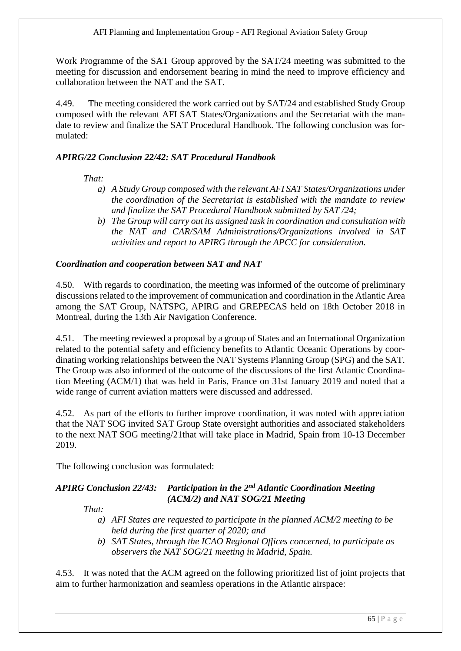Work Programme of the SAT Group approved by the SAT/24 meeting was submitted to the meeting for discussion and endorsement bearing in mind the need to improve efficiency and collaboration between the NAT and the SAT.

4.49. The meeting considered the work carried out by SAT/24 and established Study Group composed with the relevant AFI SAT States/Organizations and the Secretariat with the mandate to review and finalize the SAT Procedural Handbook. The following conclusion was formulated:

# *APIRG/22 Conclusion 22/42: SAT Procedural Handbook*

## *That:*

- *a) A Study Group composed with the relevant AFI SAT States/Organizations under the coordination of the Secretariat is established with the mandate to review and finalize the SAT Procedural Handbook submitted by SAT /24;*
- *b) The Group will carry out its assigned task in coordination and consultation with the NAT and CAR/SAM Administrations/Organizations involved in SAT activities and report to APIRG through the APCC for consideration.*

## *Coordination and cooperation between SAT and NAT*

4.50. With regards to coordination, the meeting was informed of the outcome of preliminary discussions related to the improvement of communication and coordination in the Atlantic Area among the SAT Group, NATSPG, APIRG and GREPECAS held on 18th October 2018 in Montreal, during the 13th Air Navigation Conference.

4.51. The meeting reviewed a proposal by a group of States and an International Organization related to the potential safety and efficiency benefits to Atlantic Oceanic Operations by coordinating working relationships between the NAT Systems Planning Group (SPG) and the SAT. The Group was also informed of the outcome of the discussions of the first Atlantic Coordination Meeting (ACM/1) that was held in Paris, France on 31st January 2019 and noted that a wide range of current aviation matters were discussed and addressed.

4.52. As part of the efforts to further improve coordination, it was noted with appreciation that the NAT SOG invited SAT Group State oversight authorities and associated stakeholders to the next NAT SOG meeting/21that will take place in Madrid, Spain from 10-13 December 2019.

The following conclusion was formulated:

## *APIRG Conclusion 22/43: Participation in the 2nd Atlantic Coordination Meeting (ACM/2) and NAT SOG/21 Meeting*

*That:*

- *a) AFI States are requested to participate in the planned ACM/2 meeting to be held during the first quarter of 2020; and*
- *b) SAT States, through the ICAO Regional Offices concerned, to participate as observers the NAT SOG/21 meeting in Madrid, Spain.*

4.53. It was noted that the ACM agreed on the following prioritized list of joint projects that aim to further harmonization and seamless operations in the Atlantic airspace: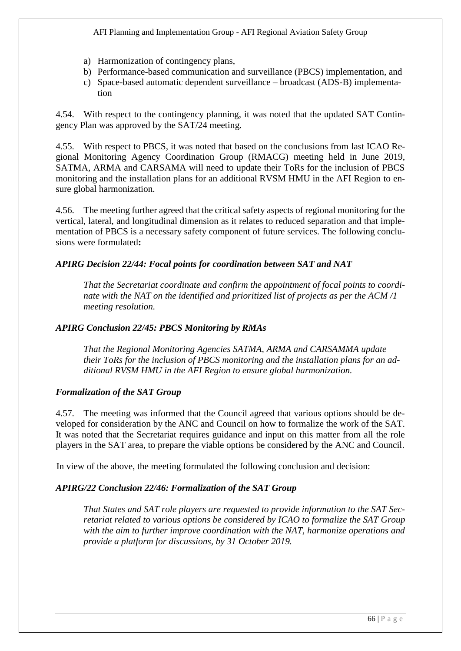- a) Harmonization of contingency plans,
- b) Performance-based communication and surveillance (PBCS) implementation, and
- c) Space-based automatic dependent surveillance broadcast (ADS-B) implementation

4.54. With respect to the contingency planning, it was noted that the updated SAT Contingency Plan was approved by the SAT/24 meeting.

4.55. With respect to PBCS, it was noted that based on the conclusions from last ICAO Regional Monitoring Agency Coordination Group (RMACG) meeting held in June 2019, SATMA, ARMA and CARSAMA will need to update their ToRs for the inclusion of PBCS monitoring and the installation plans for an additional RVSM HMU in the AFI Region to ensure global harmonization.

4.56. The meeting further agreed that the critical safety aspects of regional monitoring for the vertical, lateral, and longitudinal dimension as it relates to reduced separation and that implementation of PBCS is a necessary safety component of future services. The following conclusions were formulated**:**

## *APIRG Decision 22/44: Focal points for coordination between SAT and NAT*

*That the Secretariat coordinate and confirm the appointment of focal points to coordinate with the NAT on the identified and prioritized list of projects as per the ACM /1 meeting resolution.*

#### *APIRG Conclusion 22/45: PBCS Monitoring by RMAs*

*That the Regional Monitoring Agencies SATMA, ARMA and CARSAMMA update their ToRs for the inclusion of PBCS monitoring and the installation plans for an additional RVSM HMU in the AFI Region to ensure global harmonization.*

## *Formalization of the SAT Group*

4.57. The meeting was informed that the Council agreed that various options should be developed for consideration by the ANC and Council on how to formalize the work of the SAT. It was noted that the Secretariat requires guidance and input on this matter from all the role players in the SAT area, to prepare the viable options be considered by the ANC and Council.

In view of the above, the meeting formulated the following conclusion and decision:

#### *APIRG/22 Conclusion 22/46: Formalization of the SAT Group*

*That States and SAT role players are requested to provide information to the SAT Secretariat related to various options be considered by ICAO to formalize the SAT Group with the aim to further improve coordination with the NAT, harmonize operations and provide a platform for discussions, by 31 October 2019.*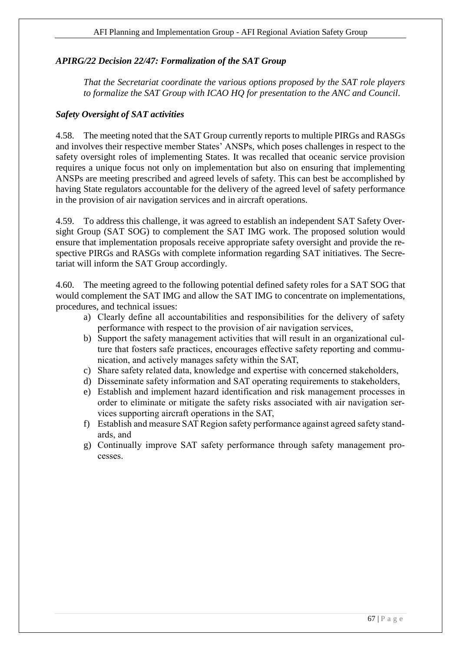## *APIRG/22 Decision 22/47: Formalization of the SAT Group*

*That the Secretariat coordinate the various options proposed by the SAT role players to formalize the SAT Group with ICAO HQ for presentation to the ANC and Council.*

## *Safety Oversight of SAT activities*

4.58. The meeting noted that the SAT Group currently reports to multiple PIRGs and RASGs and involves their respective member States' ANSPs, which poses challenges in respect to the safety oversight roles of implementing States. It was recalled that oceanic service provision requires a unique focus not only on implementation but also on ensuring that implementing ANSPs are meeting prescribed and agreed levels of safety. This can best be accomplished by having State regulators accountable for the delivery of the agreed level of safety performance in the provision of air navigation services and in aircraft operations.

4.59. To address this challenge, it was agreed to establish an independent SAT Safety Oversight Group (SAT SOG) to complement the SAT IMG work. The proposed solution would ensure that implementation proposals receive appropriate safety oversight and provide the respective PIRGs and RASGs with complete information regarding SAT initiatives. The Secretariat will inform the SAT Group accordingly.

4.60. The meeting agreed to the following potential defined safety roles for a SAT SOG that would complement the SAT IMG and allow the SAT IMG to concentrate on implementations, procedures, and technical issues:

- a) Clearly define all accountabilities and responsibilities for the delivery of safety performance with respect to the provision of air navigation services,
- b) Support the safety management activities that will result in an organizational culture that fosters safe practices, encourages effective safety reporting and communication, and actively manages safety within the SAT,
- c) Share safety related data, knowledge and expertise with concerned stakeholders,
- d) Disseminate safety information and SAT operating requirements to stakeholders,
- e) Establish and implement hazard identification and risk management processes in order to eliminate or mitigate the safety risks associated with air navigation services supporting aircraft operations in the SAT,
- f) Establish and measure SAT Region safety performance against agreed safety standards, and
- g) Continually improve SAT safety performance through safety management processes.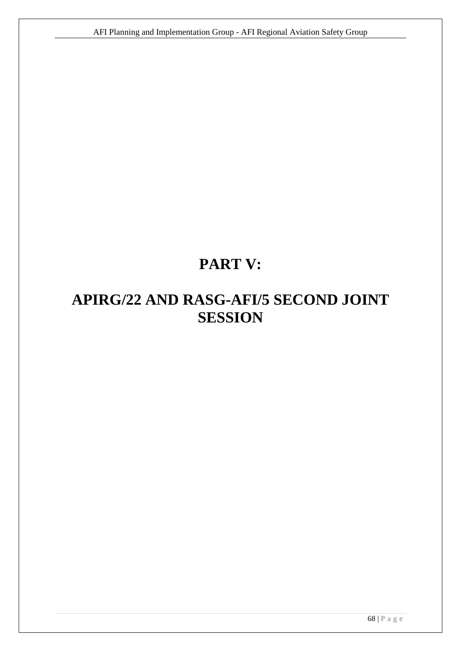# **PART V:**

# **APIRG/22 AND RASG-AFI/5 SECOND JOINT SESSION**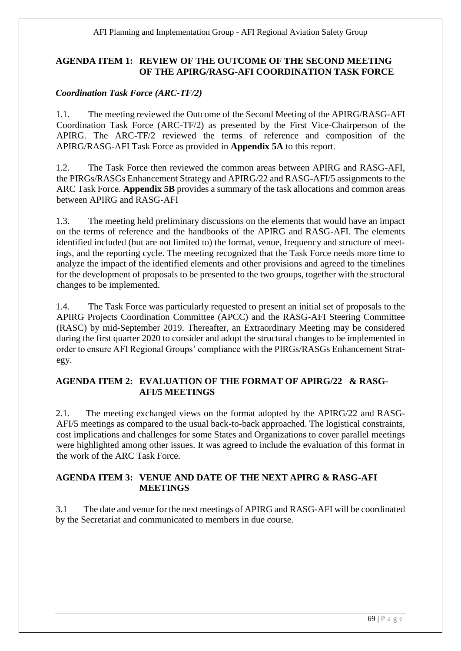# <span id="page-68-0"></span>**AGENDA ITEM 1: REVIEW OF THE OUTCOME OF THE SECOND MEETING OF THE APIRG/RASG-AFI COORDINATION TASK FORCE**

## *Coordination Task Force (ARC-TF/2)*

1.1. The meeting reviewed the Outcome of the Second Meeting of the APIRG/RASG-AFI Coordination Task Force (ARC-TF/2) as presented by the First Vice-Chairperson of the APIRG. The ARC-TF/2 reviewed the terms of reference and composition of the APIRG/RASG-AFI Task Force as provided in **Appendix 5A** to this report.

1.2.The Task Force then reviewed the common areas between APIRG and RASG-AFI, the PIRGs/RASGs Enhancement Strategy and APIRG/22 and RASG-AFI/5 assignments to the ARC Task Force. **Appendix 5B** provides a summary of the task allocations and common areas between APIRG and RASG-AFI

1.3. The meeting held preliminary discussions on the elements that would have an impact on the terms of reference and the handbooks of the APIRG and RASG-AFI. The elements identified included (but are not limited to) the format, venue, frequency and structure of meetings, and the reporting cycle. The meeting recognized that the Task Force needs more time to analyze the impact of the identified elements and other provisions and agreed to the timelines for the development of proposals to be presented to the two groups, together with the structural changes to be implemented.

1.4. The Task Force was particularly requested to present an initial set of proposals to the APIRG Projects Coordination Committee (APCC) and the RASG-AFI Steering Committee (RASC) by mid-September 2019. Thereafter, an Extraordinary Meeting may be considered during the first quarter 2020 to consider and adopt the structural changes to be implemented in order to ensure AFI Regional Groups' compliance with the PIRGs/RASGs Enhancement Strategy.

## <span id="page-68-1"></span>**AGENDA ITEM 2: EVALUATION OF THE FORMAT OF APIRG/22 & RASG-AFI/5 MEETINGS**

2.1. The meeting exchanged views on the format adopted by the APIRG/22 and RASG-AFI/5 meetings as compared to the usual back-to-back approached. The logistical constraints, cost implications and challenges for some States and Organizations to cover parallel meetings were highlighted among other issues. It was agreed to include the evaluation of this format in the work of the ARC Task Force.

## <span id="page-68-2"></span>**AGENDA ITEM 3: VENUE AND DATE OF THE NEXT APIRG & RASG-AFI MEETINGS**

<span id="page-68-3"></span>3.1 The date and venue for the next meetings of APIRG and RASG-AFI will be coordinated by the Secretariat and communicated to members in due course.